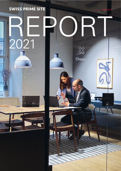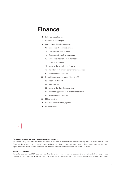# **Finance**

- **2** [Selected group figures](#page-2-0)
- **3** [Valuation Expert's Report](#page-3-0)
- **12** [Consolidated financial statements](#page-12-0)
	- 12 [Consolidated income statement](#page-12-0)
	- 13 [Consolidated balance sheet](#page-13-0)
	- 14 [Consolidated cash flow statement](#page-14-0)
	- 15 [Consolidated statement of changes in](#page-15-0) shareholders' equity
	- 16 [Notes to the consolidated financial statements](#page-16-0)
	- 48 [Definition of alternative performance measures](#page-48-0)
	- 50 [Statutory Auditor's Report](#page-50-0)
- **55** [Financial statements of Swiss Prime Site AG](#page-55-0)
	- 55 [Income statement](#page-55-0)
	- 56 [Balance sheet](#page-56-0)
	- 57 [Notes to the financial statements](#page-57-0)
	- 62 [Proposed appropriation of balance sheet profit](#page-62-0)
	- 63 [Statutory Auditor's Report](#page-63-0)
- **66** [EPRA reporting](#page-66-0)
- **74** [Five-year summary of key figures](#page-74-0)
- **76** [Property details](#page-76-0)



## **Swiss Prime Site – the Real Estate Investment Platform**

We are the leading partner for investors who want to invest or are invested both indirectly and directly in the real estate market. Swiss Prime Site thus covers the entire investor spectrum from private investors to institutional investors. The product range includes funds (open-ended and closed-ended), mandates, investment foundations, bonds and the Swiss Prime Site share.

#### **Reporting structure**

The stakeholder-oriented 2021 reporting consists of the online report (www.sps.swiss/reporting) and other stock exchange-related chapters as PDF downloads, as well as the printed annual magazine «Review 2021». In this way, we create added multimedia value.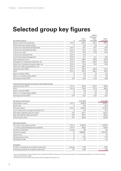# <span id="page-2-0"></span>**Selected group key figures**

|                                                                 |                  |            | without                             |            |
|-----------------------------------------------------------------|------------------|------------|-------------------------------------|------------|
|                                                                 |                  | $01.01 -$  | Tertianum <sup>1</sup><br>$01.01 -$ | $01.01 -$  |
| Key financial figures                                           | in               | 31.12.2020 | 31.12.2020                          | 31.12.2021 |
| Rental income from properties                                   | CHF m            | 424.7      | 413.7                               | 426.7      |
| EPRA like-for-like change relative                              | $\%$             | $-3.8$     | $-3.8$                              | 1.3        |
| Income from real estate developments                            | CHF m            | 50.1       | 50.1                                | 48.3       |
| Income from real estate services                                | CHF m            | 115.2      | 115.2                               | 119.4      |
| Income from retail                                              | CHF m            | 110.6      | 110.6                               | 119.5      |
| Income from assisted living                                     | CHF m            | 72.4       |                                     |            |
| Income from asset management                                    | CHF m            | 13.1       | 13.1                                | 18.2       |
| Total operating income                                          | CHF m            | 792.9      | 708.9                               | 744.9      |
| Revaluation of investment properties, net                       | CHF m            | 203.4      | 203.4                               | 318.8      |
| Result from investment property sales, net                      | CHF m            | 22.2       | 22.2                                | 39.9       |
| Result from sale of participations, net                         | CHF m            | 204.2      |                                     |            |
| Operating result (EBIT)                                         | CHF m            | 762.3      | 555.9                               | 715.4      |
| Profit                                                          | CHF <sub>m</sub> | 610.4      | 405.2                               | 507.4      |
| Return on equity (ROE)                                          | %                | 10.6       | 7.3                                 | 8.2        |
| Return on invested capital (ROIC)                               | %                | 5.4        | 3.7                                 | 4.5        |
| Earnings per share (EPS)                                        | <b>CHF</b>       | 8.04       | 5.33                                | 6.68       |
|                                                                 |                  |            |                                     |            |
| Financial figures excluding revaluations and all deferred taxes |                  |            |                                     |            |
| Operating result (EBIT)                                         | CHF m            | 558.9      | 352.5                               | 396.6      |
| Profit                                                          | CHF m            | 476.6      | 271.5                               | 289.5      |
| Return on equity (ROE)                                          | %                | 8.5        | 5.0                                 | 4.8        |
| Return on invested capital (ROIC)                               | %                | 4.3        | 2.6                                 | 2.8        |
| Earnings per share (EPS)                                        | CHF              | 6.27       | 3.57                                | 3.81       |
|                                                                 |                  |            |                                     |            |
| Key balance sheet figures                                       |                  | 31.12.2020 |                                     | 31.12.2021 |
| Shareholders' equity                                            | CHF m            | 6085.6     |                                     | 6338.7     |
| Equity ratio                                                    | %                | 47.8       |                                     | 48.3       |
| Borrowed capital                                                | CHF m            | 6640.6     |                                     | 6791.6     |
| Loan-to-value ratio of property portfolio (LTV)                 | %                | 41.9       |                                     | 40.2       |
| NAV before deferred taxes per share <sup>2</sup>                | <b>CHF</b>       | 95.41      |                                     | 100.07     |
| NAV after deferred taxes per share <sup>2</sup>                 | CHF              | 80.11      |                                     | 83.44      |
| EPRA NTA per share                                              | CHF              | 96.26      |                                     | 100.84     |
|                                                                 |                  |            |                                     |            |
| Real estate portfolio                                           |                  |            |                                     |            |
| Fair value of real estate portfolio                             | CHF m            | 12322.6    |                                     | 12793.5    |
| of which projects/development properties                        | CHF m            | 829.5      |                                     | 1006.9     |
| Number of properties                                            | number           | 185        |                                     | 184        |
| Rental floor space                                              | m <sup>2</sup>   | 1669941    |                                     | 1677027    |
| Vacancy rate                                                    | $\%$             | 5.1        |                                     | 4.6        |
| Average discount rate                                           | $\%$             | 2.91       |                                     | 2.75       |
| Net property yield                                              | $\%$             | 3.2        |                                     | 3.2        |
|                                                                 |                  |            |                                     |            |
| Employees                                                       |                  |            |                                     |            |
| Number of employees as at balance sheet date                    | persons          | 1728       |                                     | 1667       |
| Full-time equivalents as at balance sheet date                  | <b>FTE</b>       | 1505       |                                     | 1474       |

1 Figures without Tertianum Group (figures January and February 2020 as well as result from sale of participations). The sale and deconsolidation of the Tertianum Group

took place on 28 February 2020 2 Services segment (real estate-related business fields) included at book values only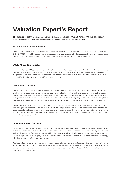# <span id="page-3-0"></span>**Valuation Expert's Report**

The properties of Swiss Prime Site Immobilien AG are valued by Wüest Partner AG on a half-yearly basis at their fair values. The present valuation is valid as at 31 December 2021.

## **Valuation standards and principles**

The fair values determined as at the balance sheet date of 31 December 2021 coincide with the fair values as they are outlined in Swiss GAAP FER 18 sec. 14. In this context, fair value corresponds to the particular price that an independent market participant would receive for the sale of an asset under normal market conditions at the relevant valuation date (i.e. exit price).

## **COVID-19 pandemic disclaimer**

The impact of the COVID-19 pandemic on Swiss Prime Site Immobilien AG's property portfolio, to the extent that this was known and could be estimated at the time of valuation, is reflected in the valuations. The negatively affected properties were mainly those with a large share of income from retail (non-food) or hospitality. The assumption from today's standpoint is that some types of use (e.g. city hotels) will continue to experience a difficult market environment.

## **Definition of fair value**

The exit price is the sales price stated in the purchase agreement to which the parties have mutually agreed. Transaction costs, usually consisting of brokerage commissions and transaction taxes as well as land register and notary costs, are not taken into account in determining current value. The fair value is therefore not adjusted for the transaction costs incurred by the purchaser at the time of sale (gross fair value). No liabilities on the part of Swiss Prime Site Immobilien AG regarding potential taxes (with the exception of ordinary property taxes) and financing costs are taken into account either, which corresponds with valuation practice in Switzerland.

The valuation at fair value implies that the hypothetical transaction for the asset subject to valuation would take place on the market with the largest volumes and highest level of business activity (principal market) – as well as the market where transactions are executed with sufficient frequency and volume – so enough price information is available for that relevant market (active market). In the case that such a market cannot be identified, the principal market for the asset is assumed that maximises the sales price for the divestment of the particular asset.

## **Implementation of fair value**

Fair value was determined on the basis of applying the highest-and-best-use standard for a property. Highest-and-best-use is the utilisation of a property that maximises its value. This assumption implies use that is technically/physically feasible, legally permissible and financially realisable. Since the measurement of fair value implies maximised utilisation, the highest and best use can deviate from the actual or planned use of a property. Future capital expenditures that improve or enhance the value of a property are accordingly taken into account in the fair value measurement.

Application of the highest-and-best-use approach is based on the principle of materiality of possible difference in value relative to the value of the particular property and total real estate assets, as well as relative to possible absolute difference in value. A property's potential added value, which fluctuates within the normal assessment tolerance of an individual valuation, is viewed as insignificant here and consequently disregarded.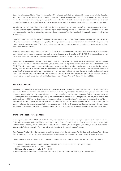Determining the value of Swiss Prime Site Immobilien AG's real estate portfolio is carried out with a model-based valuation based on input parameters that are not directly observable on the market, whereby adapted, observable input parameters may be applied here as well (for example, market rents, operating/maintenance costs, discount/capitalisation rates, proceeds from the sale of owneroccupied residential property). Unobservable input factors are applied only when relevant observable input factors are unavailable.

Valuation techniques are used that are appropriate for the given circumstances and for which sufficient data are available to measure fair value, maximising the use of relevant observable inputs and minimising the use of unobservable inputs. The relevant valuation technique used here is an income-based approach, modelled on the basis of the discounted cash flow valuation method widely applied in Switzerland.

Properties under construction and development sites designed for future use as investment properties are valued at project fair values, taking into account current market conditions, still-outstanding investment costs and a risk premium according to the progress of the project, according to Swiss GAAP FER 18. Any profit is taken into account on a pro rata basis, insofar as its realisation can be determined with sufficient certainty.

Properties under construction that are designated for future divestment (for example condominiums) are recognised in the balance sheet at the lower of cost or investment costs and net realisable value, according to Swiss GAAP FER 17. Consequently, current activities and investment costs are recognised and the subsequent valuation carried out at the lower value.

The valuation guarantees a high degree of transparency, uniformity, relevance and completeness. The relevant legal provisions, as well as the specific national and international standards, are complied with (i.e. regulations for real estate companies listed on SIX, Swiss GAAP FER and others). In order to ensure an independent valuation and thus the highest possible degree of objectivity, the business activity of Wüest Partner AG excludes both trading and related transactions on a commission basis, as well as the management of properties. The valuation principles are always based on the most recent information regarding the properties and the real estate market. The data and documents pertaining to the properties are provided by the owner and are assumed to be accurate. All real estate market data is derived from continuously updated databases held by Wüest Partner AG (Immo-Monitoring 2022).

### **Valuation method**

Investment properties are generally valued by Wüest Partner AG according to the discounted cash flow (DCF) method, which corresponds to national and international standards and is also used in company valuations. The method is recognised – within the scope of general freedom of choice real estate valuations – in the context of best practice. According to the DCF method, the current fair value of a property is determined through deriving the sum of all future estimated net earnings (before interest, taxes, depreciation and amortisation = EBITDA) and discounting to the present, taking into consideration of investments or future repair costs. The net earnings (EBITDA) per property are individually discounted taking into account any relevant opportunities and threats, adjusting for the current market situation and risks. A detailed report for each property discloses all expected cash flows, therefore providing the greatest degree of transparency possible. In the report, attention is drawn to substantial changes compared with the previous valuation.

#### **Trend in the real estate portfolio**

In the reporting period from 01.01.2021 to 31.12.2021, one property was acquired and two properties were divested. In addition, Building E and condominium units of Building A at the «Plan-les-Ouates, Chemin des Aulx – Espace Tourbillon» property were sold. Part of an existing property was also reallocated to a project. Once completed, the two properties, «Monthey, Avenue de la Plantaud 4 – Venise» and «Zurich, Juchweg 6 – West-Log» will also be included in the portfolio for the first time.

The «Paradiso, Riva Paradiso – Du Lac» property under construction and the sub-project «Plan-les-Ouates, Chemin des Aulx – Espace Tourbillon Building A» will be designated as properties intended for sale and shown at cost value in the 2021 year-end figures.

Following these actions, at the end of 2021 the property portfolio of Swiss Prime Site Immobilien AG comprises 184 properties.

Details of the properties sold during the reporting period with values as at 31 December 2020 are as follows:

- Zurich, Stadelhoferstrasse 18, 20: CHF 33270000
- Richterswil, Gartenstrasse 15 Villa: CHF 1609000
- Plan-les-Ouates, Chemin des Aulx Espace Tourbillon, Bldg. E and condominium units Bldg. A: CHF 88529000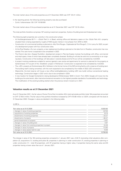The total market value of the sold properties as at 31 December 2020 was CHF 123.41 million.

In the reporting period, the following existing property was also purchased:

— Zurich, Vulkanstrasse 126: CHF 18160000

The total market value of the purchased properties as at 31 December 2021 was CHF 18.16 million.

The total portfolio therefore comprises 167 existing investment properties, 9 plots of building land and 8 development sites.

The following eight properties are currently in the construction phase:

- At Hochbergerstrasse 60 F-I «Stücki Park II» in Basel, existing office and laboratory space on the «Stücki Park A-E» property situated there is being expanded by roughly 27000 square metres in two phases from 2018 to 2023.
- Construction of a commercial building is planned at «Alto Pont-Rouge», Esplanade de Pont-Rouge 5, 7, 9 in Lancy for 2023, as part of a development project with four construction sites.
- At the Riva Paradiso «Du Lac» property, a new replacement building is planned on the lake front in Paradiso; construction has now started. This care home is expected to be completed in 2023.
- The Chemin des Aulx «Espace Tourbillon» development project in Plan-les-Ouates involves five buildings with office, commercial and retail space, three of which have already been completely divested. Building A will also be sold into co-ownership on an ongoing basis. Construction of the buildings will take place in several phases and full fit-out will be completed by mid-2023.
- A project involving residences suitable for seniors (geriatric care centre and apartments for seniors) is planned for the property at Gartenstrasse 7/17 as part of the «Etzelblick» project in Richterswil. Construction is expected to be completed by mid-2022.
- The «JED» property at Zürcherstrasse 39 in Schlieren is the former home of the NZZ printing facility with a reserve of building land. The building itself is being converted, with the work expected to be completed by the middle of 2022 (JED conversion).
- Meanwhile, the land reserve will house a new office building/laboratory building (JED new build) without conventional heating technology. Construction began in 2021 and is due to be completed in 2024.
- A new location for Google Switzerland is being developed at Müllerstrasse 16/20 in Zurich. From 2023, Google will move into the building as the sole tenant, after internal and external renovation to the highest possible standards of sustainability and technology. The modification of the existing building started when the previous tenant moved out in 2021.

## **Valuation results as at 31 December 2021**

As at 31 December 2021, the fair value of Swiss Prime Site Immobilien AG's total real estate portfolio (total 184 properties) amounted to CHF 12793.5 million. The fair value of the portfolio therefore increased by CHF 470.88 million or 3.82% compared with the level at 31 December 2020. Changes in value are detailed in the following table.

#### in CHF m

| Fair value as at 31.12.2020                            | 12322.62 |
|--------------------------------------------------------|----------|
| + changes in value of existing properties              | 427.29   |
| + acquisitions of existing properties                  | 18.16    |
| - divestments of existing properties                   | $-33.27$ |
| - divestments of projects                              | $-80.47$ |
| - partial divestments of projects                      | $-9.67$  |
| + changes in value of building land                    | 0.87     |
| + changes in value from existing properties to project | 24.28    |
| + changes in value of projects                         | 113.60   |
| + changes in value assets held for sale                | 10.09    |
| Fair value as at 31.12.2021                            | 12793.50 |

The change in value of the 164 existing properties compared to 1 January 2021 was +3.64 % (excluding initial valuations after completion (2), acquisitions (1), building land plots (9), properties in planning or under construction (7), existing properties in planning or under construction (1) – total 20 properties), with 97 properties having a higher value, 3 properties having the same value and 64 properties having a lower value than as at 1 January 2021.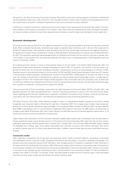The growth in the value of the Swiss Prime Site Immobilien AG portfolio comes from existing properties, acquisitions, building land and the properties in planning or under construction. Only the sales resulted in a drop in value. In general, the prolonged period of very low interest rates and investors' subsequent expectations of low returns continued to impact revaluation.

Furthermore, completed investments, temporarily and structurally slightly lower vacancies and the generally high quality of the properties situated in prime locations contributed to the increase in value. Value losses can be attributed primarily to changed rental potential, newly concluded contracts at a lower level, adjusted revenue forecasts, as well as higher cost estimates for future repair work.

### **Economic development**

The Swiss economy has recovered from the negative consequences of the coronavirus pandemic and has now returned to pre-crisis levels. When compared internationally, Switzerland was subject to relatively looser restrictions, both in terms of their scope and the duration of measures taken. Since restrictions were removed at the end of the second wave, the economy has regained momentum. The government's Expert Group is predicting an increase in GDP adjusted for sporting events of 3.3 percent (as at 9 December 2021) for 2021. This represents significantly above-average growth for Switzerland and shows that the economy continues to recover, even if the recovery is less dynamic than was previously expected. The Expert Group is forecasting growth in GDP adjusted for sporting events of 3.0 percent in 2022.

The ongoing economic recovery is having a strong positive impact on the job market. In its forecast dated 9 December 2021, the government's Expert Group estimates an average unemployment rate for 2021 of 3.0 percent. The situation on the job market is expected to improve over the coming year. According to forecasts, unemployment will fall to an annual average of 2.4 percent in 2022. Population growth is stimulating the recovery in the job market. For 2021 and 2022, Wüest Partner forecasts a further rise of 0.7 percent in the permanent resident population, representing an increase of around 60 000 to 70000 people. As has been the case for a long time, this increase is primarily due to international net migration and natural increase rates among foreign citizens. A notable detail in this regard is the fall in the non-permanent foreign resident population. This is most likely due to the coronavirus crisis, as fewer jobs for short-term residents were created during this period. Over the course of the economic recovery, the job market should once again be in a position to create jobs, including those for people from abroad.

Consumer sentiment of Swiss households, measured by the State Secretariat for Economic Affairs (SECO) in October 2021, was generally optimistic. The index rose significantly from –13 points in the previous October to 4 points in the most recent survey. Expectations regarding general economic development, in particular, contributed to the positive result. However, consumers are less optimistic about their own financial situation, with historical and expected price rises contributing significantly to this.

The Swiss Consumer Price Index, which measures changes in prices in a representative basket of goods and services for private households, was 1.5 percent higher in November this year than in November 2020. This increase is due to higher import prices, particularly for oil and for goods impacted by supply shortages. In its provisional inflation forecast for 2022 and 2023, the Swiss National Bank (SNB) is anticipating a rise of 1.0 and 0.6 percent respectively. With respect to that issue, the SNB stated in its assessment of monetary policy dated 16 December 2021 that it would maintain the SNB base rate and the demand deposits interest rate at –0.75 percent and continue to pursue an expansive monetary policy.

Higher inflation rates, particularly in the US, have been reflected in slightly higher interest rates in Switzerland. Over the year, yields on 10-year government bonds rose by 34 basis points to -0.12 percent at the end of November 2021. Apart from the summer months, yields grew continuously. However, growth came to another halt in October 2021, and since then yields have fallen slightly. Despite the expected rise in inflation rates, the European Central Bank also continues to pursue a zero interest rate policy. One reason for keeping interest rates low is to help finance government debt. In addition, raising interest rates too soon could thwart economic recovery.

#### **Construction market**

After a slight dip in investments over the last year, the construction sector is back on a growth trajectory. Investments in new builds and modifications rose by 1.0 percent in 2021 compared to the previous year (new builds: +1.5 percent; modification of buildings: +0.0 percent) with a total investment volume of CHF 49.8 billion. Even stronger growth of 1.5 percent is expected for 2022. While part of this year's growth can be attributed to the recovery effect following the impact of the coronavirus on the previous year, the forecast for the coming year is based on the renewed optimism among various stakeholders in the Swiss real estate market. However, the increase in the prices of raw materials has also contributed to a rise in nominal revenue in the construction industry. On the commodities exchange in the middle of June 2021, for example, lumber was being traded at double the price of previous years. Prices have eased since then, but they remain volatile and are still above the levels of previous years.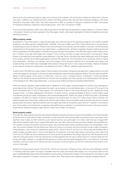Due to continuing investment pressure, larger sums continue to be invested in the construction of apartment blocks than in the previous year. In addition, the improved economic situation and falling vacancy rates may well have increased confidence in the future demand for living space. After a fall in new build investments in 2020, an increase of 1.8 percent is expected for 2021. Construction of residential properties is expected to see stronger growth, with a rise of 2.4 percent in 2022.

In the commercial properties market, new build investments for the 2021 year are expected to increase slightly, by 1.0 percent (2022: +1.5 percent). Growth is primarily expected in the office space market, while project developers of hotel and hospitality spaces are still showing caution.

#### **Office property market**

Employment in many office sectors is growing continually. Even since the start of the coronavirus pandemic, the number of people employed in the office area has increased overall: in Q2 2021, there were 10600 more FTEs in Swiss offices than in the year before, corresponding to a rise of 0.3 percent. Thanks to the current strong economic recovery and the creation of new jobs – which businesses postponed due to the pandemic and are now implementing – an additional rise in demand is expected. However, building permits and planning applications are falling slightly, so despite strong user demand, future growth in the office floor space market remains uncertain. It remains to be seen what impact the increase in home working will have on space requirements in the long term. Wüest Partner is not expecting to see significant space reductions in the near future in the office floor space market as a result of increased home working, as there are contrasting approaches to (future) office space use. On the one hand, some companies will aim to reduce their overall space – resulting in cost savings – due to the increase in home working combined with a more flexible use of space, such as desk-sharing. On the other hand, increasingly hybrid ways of working will result in «new» types of workplace. Adapting workplaces to new ways of working and making them more attractive will result in different, additional space requirements.

Another trend in the office floor space market is that the quality of the location will become less significant. Instead, tenants who want to rent their spaces for the long term will want the space and facilities to demonstrate exceptional usability. This will mean that well-designed, functional spaces will be easier to market even if they are «only» in average locations. Investments in lowering buildings' impact on the climate will also be worthwhile as more and more companies want their business to be climate-neutral. This was one of the findings of the «Office Space Barometer», a survey of around 500 companies conducted by Wüest Partner.

There are currently significant regional differences in availability of office space, making prospects for tenants more challenging in some regions than in others. This is particularly the case in some markets in the Lake Geneva region, in the south of Ticino and in the Zurich metropolitan area. In many of these regions, new build activity is likely to see continued growth so that – despite the strong increase in jobs – it remains challenging to find tenants. It is easier in Zurich, Lausanne and Basel as there is a much smaller supply of properties and the job market is expected to show above-average growth. Overall, the supply of office floor space in Switzerland increased in Q2 2021 by a healthy 12 percent compared to the previous year, to a total of 4.1 million square metres. However, this additional space has primarily been created as the result of major projects in the metropolitan areas around big cities and is not evenly spread across the country. Significant demand saw the supply rate remain at the previous year's level of 7.1 percent. In the medium term, the increase in new build activity is expected to fall slightly due to a reduction in new build permits issued in the second quarter. Wüest Partner therefore forecasts a slight decline in office rents in 2022 (–0.2 percent).

#### **Retail property market**

The retail floor space segment was the most severely affected by business closures as a result of the pandemic, but there have been some glimmers of hope recently. Many companies in bricks-and-mortar retail and providers of personal services were faced with a significant drop in sales, but after restrictions were relaxed revenues rose quickly again. As a result, retail revenues in August 2021 were almost 5 percent higher than in August 2019, before the crisis. Both online and bricks-and-mortar retailers have benefited from this increase. If private consumption continues to grow, many business should make a sustained recovery from the pandemic. However, the structural changes that had started even before the crisis are continuing, and the environment remains highly competitive. During lockdown, many consumers ordered their goods online – some of them for the first time. Online retail was therefore able to rapidly increase its market share. In the non-food segment, the proportion of all retail trade revenue coming from online retail in the first 8 months of 2020 was almost double that of the same period the year before. According to figures from GfK Switzerland, online retail has continued to grow in both the food and the non-food segment and now has a market share of 3.1 percent (food) and 18.1 percent (non-food). However, it is notable that the proportion of online retail has hardly increased further in the meantime. If the Swiss population continues to grow by 0.7 percent per year, this growth will almost balance out the fall in bricks-and-mortar retail as a proportion of total sales.

Despite the strong economic growth of the last few months and consumers' willingness to buy, there are some challenges involved in marketing retail floor space. The supply of available retail floor space has recently fallen slightly, but in the second quarter of this year it totalled 639000 square metres and availability remains strong. Looking at the increase in new build permits, the supply of retail floor space is expected to increase in the short and medium term. Planning permission applications have also increased recently.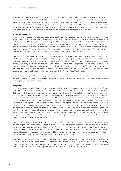In general, price pressure on asking rents will increase further, with the exception of premium locations. The increase in home working has resulted in the location of office floor space becoming less important, but the opposite is true when it comes to retail floor space. The quality of the micro-location, particularly in terms of footfall and prestige, has become more important for retail businesses. In addition, some retailers have been battling with falling revenue, making it harder to afford their shop rents. For this reason, shop landlords came under significant pressure to lower the rents in order to avoid vacancies. The negative trend in market rents is expected to continue in many places. Wüest Partner is therefore forecasting a reduction in asking rents of 2.1 percent.

#### **Market for senior housing**

Properties for older people continue to be in demand in Switzerland. Due to the ageing population, this trend is expected to continue in the future, despite more people wanting to stay in their own home for longer. There are currently around 458300 people (as at the end of 2020) aged 80 and over, a figure which is 1.0 percent higher than the previous year. Housing that can be personalised (with modular, flexible services), lower-priced senior living and simpler support options (such as concierge services or outpatient care) are increasingly attractive. Real estate investors, too, have recognised that these trends were already visible before the coronavirus pandemic but have been further accentuated by it. This is reflected in the current availability of a large amount of good-quality senior housing. The total income generated in this sector has therefore grown, reaching CHF 10.4 billion in 2019.

The generally positive reception of this new housing is having a negative impact on older senior housing and geriatric care facilities, which are now recording significant vacancies (even in some very urban locations). In mid-2021, Switzerland had around 1551 senior housing and geriatric care facilities, of which 460 were private, 877 operated by the public sector and the remaining 214 facilities primarily operated by foundations and associations. Compared to the same quarter of the previous year, the number of employees in healthcare facilities has remained relatively stable, with only a small drop from 149300 to 149100 FTE (–0.2 percent). Looking back over the last ten years, however, the number of employees in healthcare homes has grown by 30.6 percent. These figures are based on the statistics published by social-medical institutes and the Swiss Federal Office of Public Health.

High quality standards, flexible structures, specialised housing and bespoke services are consequently increasingly critical to the success of properties in the senior living segment. In general, market rents for senior living apartments are following the same trends as asking prices for standard apartments.

#### **Hospitality**

Hotel real estate was heavily affected by the coronavirus pandemic. It has slightly recovered recently, but the situation remains fragile. According to the Federal Statistical Office, the average occupancy rate in hotels and spas in the first ten months of 2021 was around 29.8 percent, which represents an increase of almost 5 percentage points over the same period the year before. The number of overnight stays also recovered by more than 18 percent over the same period, totalling 25349236 nights by the end of October. However, these figures are significantly below the levels seen in 2019, when the occupancy rate was 42 percent and a total of 34626053 overnight stays were recorded by the end of October. Compared to previous years, hotels generated lower levels of income, despite this rising by an average of 13 percent over the summer months according to a HotellerieSuisse survey of businesses. A medium occupancy rate (around 44 percent) is expected over the coming winter season. This is slightly higher than in the previous year, but is still 7 percentage points lower than before the crisis. However, it should be noted that hotels in different locations are reporting extremely varied drops in occupancy. City hotels in particular have low occupancy rates compared to the period before the crisis as they are more dependent on business trips, conferences and cross-border tourism than hotels in mountain regions and rural areas. Hotel occupancy rates in cities are expected to stabilise within two to three years, although rates in some segments such as conference tourism may remain lower in the medium term.

These HotellerieSuisse predictions are based on surveys carried out at the beginning of November. Since then, the epidemiological situation has got worse – some countries are back in lockdown and entry restrictions have been expanded. It is therefore possible that the forecasts are overly optimistic. According to HotellerieSuisse, many businesses recently received a wave of cancellations, particularly for corporate and Christmas events. The situation in the accommodation industry therefore remains difficult. According to a HotellerieSuisse survey conducted in summer/autumn 2021, 42 percent of hotels are unable to cover their costs and two-thirds of businesses stated that they couldn't completely exclude the possibility of bankruptcy.

In addition to hotel operators, owners of hotel real estate also felt the effects of the loss of rental income. In 2020, the real estate values of hotels in urban locations fell by between 4 and 16 percent, with a median drop of 10 percent. Despite business being slightly better for holiday hotels, their real estate value still fell by between 1 and 10 percent, with a median drop of 5 percent. Only a few hotels in the best locations in the most popular holiday destinations recorded a slightly increase in value.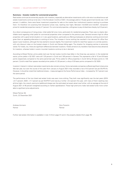#### **Summary – Investor market for commercial properties**

Real estate continues be extremely popular with investors, especially as alternative investments with a risk-return as attractive as real estate investments continue to be rare. In the first eleven months of 2021, the average yield on 10-year government bonds was –0.24 percent. In addition, there were fewer investment properties for sale on the market than institutional investors wanting to purchase them. It's therefore not surprising that transaction prices rose, reaching new highs. Between mid-2020 and mid-2021, transaction prices for residential properties rose by 4.7 percent. For commercial properties, willingness to pay climbed less sharply, by 0.5 percent.

As a direct consequence of rising prices, initial yields fell once more, particularly for residential properties. There was no clearly identifiable trend regarding initial yields for commercial properties when compared to the previous year. Demand remains high for office properties with a good rental situation or in very good locations, particularly as offering employees an attractive working environment gives them an appealing alternative to working at home. The increase in home working has resulted in low demand for office floor space in poor locations, although this has started to recover slightly. The investment market for retail floor space is in a similar position, with only discount rates on the busiest streets in Zurich and Geneva falling again. The situation for shopping centres is extremely varied. For hotels, too, there are significant differences between locations. Hotels aimed at city travellers have become less attractive for investors, whereas hotels in scenic mountain locations continue to be in demand.

According to Wüest Partner, prime yields (net) over the last twelve months have fallen in the three key use sectors: in the residential sector, prime yields in Q2 2021 were still 1.25 percent in Zurich and 1.60 percent in Geneva. This represents a fall of 15 and 30 basis points respectively compared to the same period last year. Prime yields for office properties in Zurich fell by 25 basis points to 1.55 percent. Zurich's retail floor spaces recorded prime yields of 2.20 percent, a drop of 20 basis points compared to Q2 2020.

Investors' interest in indirect real estate investments also remains strong. Some real estate companies suffered significant share price falls last year, but over the course of this year (from January to August 2021) they recorded a rise of 9.0 percent (as per WUPIX-A). However, it should be noted that traditional shares – measured against the Swiss Performance Index – increased by 19.7 percent over the same period.

The performance of the two listed real estate funds was even more striking. They both rose significantly over the last years (2019: +21.7 percent; 2020: +11.7 percent as per WUPIX-F) and rose by a further +5.4 percent this year, with many of them reaching new all-time highs. As a result, premiums (additional charge over the estimated net asset value) rose further, with an average at the end of August 2021 of 46 percent (weighted according to market capitalisation). These high premiums make real estate funds more vulnerable to significant price adjustments.

Wüest Partner AG Zurich, 22 December 2021

Andreas Ammann Gino Fiorentin Partner Partner Partner Partner Partner

Further real estate information is available in note 14 (from page 31) and in the property details (from page 76).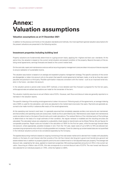# **Annex: Valuation assumptions**

## **Valuation assumptions as at 31 December 2021**

In addition to the previous comments on the valuation standards and methods, the most significant general valuation assumptions for the present valuations are presented in the following section.

## **Investment properties including building land**

Property valuations are fundamentally determined on a going-concern basis, applying the «highest and best use» standards. At the same time, the valuation is based on the current rental situation and present condition of the property. Beyond the expiry of the existing rental agreements, earnings forecasts are based on the current market level.

On the cost side, repair and maintenance costs as well as recurring property management costs are taken into account that are required to ensure realisation of sustainable income.

The valuation assumption is based on an average and expedient property management strategy. The specific scenarios of the owner are disregarded, or taken into account only to the extent that specific rental agreements had been made, or as far as they also seem plausible and practical to a third party. Possible optimisation measures consistent with the market – such as an improved rental situation in the future – are taken into account.

In the valuation period or period under review (DCF method), a more detailed cash flow forecast is prepared for the first ten years, while approximate annualised assumptions are made for the remainder of the term.

The valuation implicitly assumes an annual inflation rate of 0.5%. However, cash flows and discount rates are generally reported on a real basis in the valuation reports.

The specific indexing of the existing rental agreements is taken into account. Following expiry of the agreements, an average indexing rate of 80% is used for the calculation, and rents are adjusted to the market level once every five years. Payments are generally assumed to be made monthly in advance after expiry of the rental agreements.

At the operating cost (owner's cost) level, it is generally assumed that completely separate ancillary cost accounts are maintained, and that ancillary and operating costs are outsourced, insofar as this is permitted by law. Maintenance costs (repair and maintenance costs) are determined on the basis of benchmarks and model calculations. The residual lifetime of the individual parts of the buildings is determined on the basis of a rough estimate of their condition, the regular renewal is modelled and the resulting annuities are calculated. The calculated values are subjected to a plausibility check based on benchmarks set by Wüest Partner AG and figures for comparable properties. Repair costs are included in the calculation at 100% for the first ten years, while the earnings forecast takes into account, where appropriate, possible increases in rent. From the 11th year, repair costs of up to 50% to 70% are allowed (value-preserving components only) without including possible rent increases. Costs for cleaning up contaminated sites are not quantified in the individual valuations and are to be considered separately by the Company.

The applied discounting method is based on ongoing monitoring of the real estate market and is derived from models with plausibility checks on the basis of a real interest rate that consists of the risk-free interest rate (long-term government bonds) plus general real estate-related risks in addition to property-specific premiums and is determined on a risk-adjusted basis per property. The average real discount rate, weighted by fair value, applied to investment properties (164 existing properties) amounts to 2.75% in the current valuation. Assuming an inflation rate of 0.5%, this rate corresponds to a nominal discount rate of 3.27%. The new lowest real discount rate selected for an individual property is 1.70%, while the highest is 4.85%.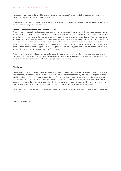The valuations are based on the rental tables of the property managers as at 1 January 2022. The valuations are based on the floor space details provided by the Company/property managers.

Risks relating to credit ratings of individual tenants are not explicitly taken into account in the valuation since it is assumed that appropriate contractual safeguards were concluded.

#### **Properties under construction and development sites**

Properties under construction and development sites with future utilisation as investment properties are recognised at project fair value according to Swiss GAAP FER 18. In this context, planned or possible construction development as at the balance sheet date is therefore valued on the basis of the same assumptions and methods used for investment properties. To determine the current fair value as at the balance sheet date, the still-outstanding investment costs are taken into account in the cash flows, and the additional risks are reported as a return premium on the discount rate or as development risk. Information regarding projected construction work, schedules, building costs and future rentals is obtained from Swiss Prime Site AG insofar as it is specifically available (building permits, plans, cost calculations/investment applications, etc.) or appears to be plausible. Any profit is taken into account on a pro rata basis, insofar as its realisation can be determined with sufficient certainty.

Properties under construction that are designated for future divestment (e.g. condominiums) are recognised in the balance sheet at the lower of cost or investment costs and net realisable value according to Swiss GAAP FER 17, i.e. current activities and investment costs are recognised and the subsequent valuation carried out at the lower value.

## **Disclaimer**

The valuations carried out by Wüest Partner AG represent an economic assessment based on available information, most of which was provided by Swiss Prime Site AG. Wüest Partner AG did not conduct or commission any legal, structural engineering or other specific clarifications. Wüest Partner AG assumes that the information and documents received are accurate. However, no guarantee can be provided in this respect. Value and price may deviate from each other. Specific circumstances that influence the price cannot be taken into account when making a valuation. The valuation performed as at the reporting date is only valid at that specific point in time and may be affected by subsequent or yet unknown events, in which case a revaluation would be necessary.

Since the accuracy of valuation results cannot be guaranteed objectively, no liability can be derived from it for Wüest Partner AG and/ or the author.

Zurich, 22 December 2021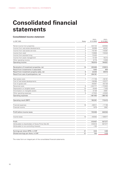# <span id="page-12-0"></span>**Consolidated financial statements**

## **Consolidated income statement**

|                                                     |              | $01.01 -$  | $01.01 -$  |
|-----------------------------------------------------|--------------|------------|------------|
| in CHF 1000                                         | <b>Notes</b> | 31.12.2020 | 31.12.2021 |
| Rental income from properties                       | 4            | 424723     | 426692     |
| Income from real estate developments                | 4            | 50099      | 48261      |
| Income from real estate services                    | 4            | 115 164    | 119387     |
| Income from retail                                  | 4            | 110606     | 119540     |
| Income from assisted living                         | 4            | 72420      |            |
|                                                     | 4            | 13126      | 18215      |
| Income from asset management                        | 4            |            |            |
| Other operating income                              |              | 6778       | 12836      |
| Operating income                                    |              | 792916     | 744931     |
| Revaluation of investment properties, net           | 14           | 203406     | 318814     |
| Result from investments in associates               |              | 1000       | 909        |
| Result from investment property sales, net          | 6            | 22243      | 39916      |
| Result from sale of participations, net             | 3            | 204181     |            |
|                                                     |              |            |            |
| Real estate costs                                   | 7            | $-71739$   | $-59101$   |
| Cost of real estate developments                    |              | $-36268$   | $-33377$   |
| Cost of goods sold                                  |              | $-65567$   | $-63726$   |
| Personnel costs                                     | 8            | $-222777$  | $-172625$  |
| Depreciation on tangible assets                     | 15           | $-8446$    | $-7400$    |
| Amortisation on intangible assets                   | 15           | $-9138$    | $-8981$    |
| Other operating expenses                            | 9            | $-47520$   | $-43945$   |
| Operating expenses                                  |              | $-461455$  | $-389155$  |
|                                                     |              |            |            |
| Operating result (EBIT)                             |              | 762291     | 715415     |
| Financial expenses                                  | 18           | $-60511$   | $-71748$   |
| Financial income                                    |              | 1679       | 2687       |
|                                                     |              |            |            |
| Profit before income taxes                          |              | 703459     | 646354     |
|                                                     |              |            |            |
| Income taxes                                        | 10           | $-93052$   | $-138977$  |
| Profit                                              |              | 610407     | 507377     |
| Attributable to shareholders of Swiss Prime Site AG |              | 610510     | 507377     |
| Attributable to non-controlling interests           |              | $-103$     |            |
| Earnings per share (EPS), in CHF                    | 21           | 8.04       | 6.68       |
| Diluted earnings per share, in CHF                  | 21           | 7.55       | 6.28       |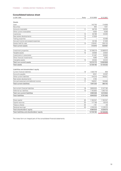## <span id="page-13-0"></span>**Consolidated balance sheet**

| in CHF 1000                                | Notes | 31.12.2020 | 31.12.2021 |
|--------------------------------------------|-------|------------|------------|
| Assets                                     |       |            |            |
| Cash                                       |       | 142750     | 114656     |
| Securities                                 |       | 602        | 1351       |
| Accounts receivable                        | 11    | 56729      | 39330      |
| Other current receivables                  |       | 5005       | 6268       |
| Inventories                                | 12    | 30786      | 33263      |
| Real estate developments                   | 13    | 27628      |            |
| Trading properties                         | 14    |            | 53466      |
| Accrued income and prepaid expenses        |       | 33109      | 31009      |
| Assets held for sale                       | 14    | 216401     | 250124     |
| <b>Total current assets</b>                |       | 513010     | 529467     |
|                                            |       |            |            |
| Investment properties                      | 14    | 12 106 219 | 12489910   |
| Tangible assets                            | 15    | 25956      | 23620      |
| Investments in associates                  |       | 51487      | 50800      |
| Other financial investments                |       | 4060       | 4285       |
| Intangible assets                          | 15    | 25450      | 32243      |
| Total non-current assets                   |       | 12213172   | 12600858   |
| <b>Total assets</b>                        |       | 12726182   | 13130325   |
|                                            |       |            |            |
| Liabilities and shareholders' equity       |       |            |            |
| Current financial liabilities              | 18    | 1333776    | 858        |
| Accounts payable                           |       | 8341       | 25297      |
| Other current liabilities                  |       | 144315     | 160921     |
| Real estate developments                   | 13    | 4742       |            |
| Accrued expenses and deferred income       | 17    | 156051     | 193666     |
| <b>Total current liabilities</b>           |       | 1647225    | 380742     |
|                                            |       |            |            |
| Non-current financial liabilities          | 18    | 3830525    | 5147184    |
| Deferred tax liabilities                   | 10    | 1162803    | 1263720    |
| <b>Total non-current liabilities</b>       |       | 4993328    | 6410904    |
| <b>Total liabilities</b>                   |       | 6640553    | 6791646    |
| Share capital                              | 20    | 1162347    | 1162347    |
| Capital reserves                           | 20    | 177198     | 50016      |
| Treasury shares                            | 20    | $-161$     | $-58$      |
| Retained earnings                          | 20    | 4746245    | 5126374    |
| Total shareholders' equity                 |       | 6085629    | 6338679    |
| Total liabilities and shareholders' equity |       | 12726182   | 13130325   |
|                                            |       |            |            |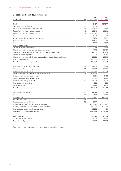# <span id="page-14-0"></span>**Consolidated cash flow statement**

|                                                                              |       | $01.01 -$  | $01.01 -$  |
|------------------------------------------------------------------------------|-------|------------|------------|
| in CHF 1000                                                                  | Notes | 31.12.2020 | 31.12.2021 |
|                                                                              |       |            |            |
| Profit                                                                       |       | 610407     | 507377     |
| Depreciation and amortisation                                                | 15    | 17584      | 16381      |
| Revaluation of investment properties, net                                    | 14    | $-203406$  | $-318814$  |
| Result from investment property sales, net                                   | 6     | $-22243$   | $-39916$   |
| Result from sales of participations, net                                     | 3     | $-204181$  |            |
| Result from investments in associates                                        |       | $-1000$    | $-909$     |
| Other non-cash items affecting net income                                    |       | 3783       | 2021       |
| Financial expenses                                                           |       | 60511      | 71748      |
| Financial income                                                             |       | $-1679$    | $-2687$    |
| Income tax expenses                                                          | 10    | 93052      | 138977     |
| Change in accounts receivable                                                |       | $-12275$   | 17399      |
| Change in inventories and real estate developments                           |       | $-1710$    | 20409      |
| Change in other receivables and accrued income and prepaid expenses          |       | $-2460$    | $-6753$    |
| Change in accounts payable                                                   |       | –12994     | 16956      |
| Change in other current liabilities and accrued expenses and deferred income |       | 29603      | 20616      |
| Income tax payments                                                          |       | $-54500$   | $-13153$   |
| Cash flow from operating activities                                          |       | 298492     | 429652     |
|                                                                              |       |            |            |
| Investments in investment properties                                         | 14    | $-409974$  | $-276646$  |
| Divestments of investment properties                                         | 14    | 76907      | 186295     |
| Investments in tangible assets                                               | 15    | $-6813$    | $-5064$    |
| Divestments of group companies, less disposed cash                           | 3     | 571394     |            |
| Investments in financial investments                                         |       | $-7601$    | $-2436$    |
| Divestments of financial investments                                         |       | 24690      | 2970       |
| Investments in intangible assets                                             | 15    | $-14787$   | $-15774$   |
| Interest payments received                                                   |       | 288        | 228        |
| Dividends received                                                           |       | 1923       | 1709       |
| Cash flow from investing activities                                          |       | 236027     | $-108718$  |
|                                                                              |       |            |            |
| Distribution to shareholders                                                 | 20    | $-288678$  | $-254496$  |
| Purchase of treasury shares                                                  | 20    | $-4976$    | $-2904$    |
| Issue of bonds                                                               | 18    | 299272     | 449878     |
| Redemption of bond                                                           | 18    | $-230000$  | $-300000$  |
| Redemption of convertible bond                                               | 18    | $-3277$    |            |
| Issuance/repayment of current financial liabilities                          |       | $-538772$  | $-1033012$ |
| Issuance/repayment of non-current financial liabilities                      |       | 267579     | 865700     |
| Interest paid and early termination penalties                                |       | $-65982$   | $-74194$   |
| Cash flow from financing activities                                          |       | $-564834$  | $-349028$  |
|                                                                              |       |            |            |
| Change in cash                                                               |       | $-30315$   | $-28094$   |
| Cash at beginning of period                                                  |       | 173065     | 142750     |
| Cash at end of period                                                        |       | 142750     | 114656     |
|                                                                              |       |            |            |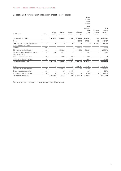# <span id="page-15-0"></span>**Consolidated statement of changes in shareholders' equity**

| in CHF 1000                                                       | Notes | Share<br>capital         | Capital<br>reserves      | Treasury<br>shares       | Retained<br>earnings | Share-<br>holders'<br>equity<br>attributa-<br>ble to<br>share-<br>holders of<br>Swiss<br>Prime<br>Site AG | Non-con-<br>trolling<br>interests | Total<br>share-<br>holders <sup>'</sup><br>equity |
|-------------------------------------------------------------------|-------|--------------------------|--------------------------|--------------------------|----------------------|-----------------------------------------------------------------------------------------------------------|-----------------------------------|---------------------------------------------------|
| Total as at 01.01.2020                                            |       | 1161979                  | 320629                   | $-106$                   | 3975536              | 5458038                                                                                                   | 1149                              | 5459187                                           |
| Profit                                                            |       |                          | $\overline{\phantom{0}}$ | $\overline{\phantom{0}}$ | 610510               | 610510                                                                                                    | $-103$                            | 610407                                            |
| Sale of a majority shareholding with<br>non-controlling interests | 3     |                          |                          |                          |                      |                                                                                                           | $-1046$                           | $-1046$                                           |
| Goodwill                                                          | 3/16  | $\overline{\phantom{0}}$ |                          |                          | 304538               | 304538                                                                                                    |                                   | 304538                                            |
| Distribution to shareholders                                      | 20    |                          | $-144339$                |                          | $-144339$            | $-288678$                                                                                                 |                                   | $-288678$                                         |
| Conversion of convertible bonds into<br>registered shares         | 18    | 368                      | 2046                     |                          |                      | 2414                                                                                                      | -                                 | 2414                                              |
| Share-based compensation                                          | 20    |                          | $-1138$                  | 4921                     |                      | 3783                                                                                                      | -                                 | 3783                                              |
| Purchase of treasury shares                                       | 20    |                          |                          | $-4976$                  |                      | $-4976$                                                                                                   |                                   | $-4976$                                           |
| Total as at 31.12.2020                                            |       | 1162347                  | 177 198                  | $-161$                   | 4746245              | 6085629                                                                                                   | -                                 | 6085629                                           |
| Profit                                                            |       |                          |                          |                          | 507377               | 507377                                                                                                    |                                   | 507377                                            |
| Distribution to shareholders                                      | 20    |                          | $-127248$                |                          | $-127248$            | $-254496$                                                                                                 |                                   | $-254496$                                         |
| Share-based compensation                                          | 20    |                          | 66                       | 3007                     |                      | 3073                                                                                                      | -                                 | 3073                                              |
| Purchase of treasury shares                                       | 20    |                          |                          | $-2904$                  |                      | $-2904$                                                                                                   |                                   | $-2904$                                           |
| Total as at 31.12.2021                                            |       | 1162347                  | 50016                    | $-58$                    | 5126374              | 6338679                                                                                                   | -                                 | 6338679                                           |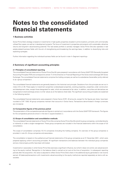# <span id="page-16-0"></span>**Notes to the consolidated financial statements**

## **1 Business activities**

Swiss Prime Site's strategy is based on investments in high-quality properties situated in prime locations, primarily with commercially utilised floor space, as well as in development projects. The focus of investment is properties and projects with sustainable, attractive returns and long-term value-boosting potential. The real estate portfolio is actively managed. Swiss Prime Site also operates in real estate-related business fields with the aim of strengthening and broadening the earnings base, in addition to diversifying risks and exploiting synergies.

Further information regarding the individual business fields can be found in note 4 «Segment reporting».

## **2 Summary of significant accounting principles**

#### **2.1 Principles of consolidated reporting**

The consolidated financial statements of Swiss Prime Site AG were prepared in accordance with Swiss GAAP FER (Generally Accepted Accounting Principles FER) and correspond to article 17 of the Directive on Financial Reporting of the Swiss stock exchange (SIX Swiss Exchange). The consolidated financial statements comprise the holding company as well as its subsidiaries (hereinafter jointly referred to as «group companies»).

The consolidated financial statements are generally based on the historical cost principle. Deviations from this principle are set out in notes 2.6 to 2.35. These apply to investment properties (undeveloped properties, existing properties, properties under construction and development sites, except those designated for sale), which are assessed at fair value. In addition, securities and derivatives are recognised at stock-exchange prices or at fair values as at the balance sheet date. The significant accounting principles are explained in the following section.

The consolidated financial statements were prepared in Swiss francs (CHF). All amounts, except for the figures per share, have been rounded to CHF 1000. All group companies maintain their accounts in Swiss francs. Transactions denominated in foreign currencies are immaterial.

#### **2.2 Comparative figures of the previous period**

The presentation of the comparative periods and figures is carried out in accordance with the Swiss GAAP FER framework. The figures for the comparative period are shown in the text in square brackets [ ].

#### **2.3 Scope of consolidation and consolidation methods**

The consolidated financial statements of Swiss Prime Site comprise Swiss Prime Site AG and all its group companies, controlled directly or indirectly or under a single management. These group companies are included in the financial statements within the scope of full consolidation.

The scope of consolidation comprises 10 [11] companies (including the holding company). An overview of the group companies is provided in note 24 «Group companies and associates».

The consolidation is based on the audited annual financial statements of the group companies as at 31 December 2021, which were prepared applying uniform accounting principles. All significant transactions and balances between the individual group companies and any intercompany profits have been eliminated.

Investments in associates in which Swiss Prime Site exercises a significant influence, but which it does not control, are valued according to the equity method. Recognition in the balance sheet is carried out at cost at the time of acquisition. In subsequent reporting periods after the acquisition, this value is adjusted to reflect Swiss Prime Site's share in the additional equity generated or net income earned. All balances/transactions with investments valued according to the equity method are reported separately as items with associates.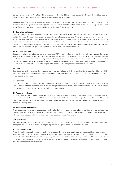Companies in which Swiss Prime Site holds an investment of less than 20% are recognised at fair value (provided that this value can be reliably determined), either as securities or as non-current financial investments.

Investments in group companies and associates are included in the consolidated financial statements from the time when control is assumed – or when significant influence is gained – and excluded from the time when control is relinquished or significant influence is lost. These two dates are not necessarily identical to the date of acquisition or sale.

#### **2.4 Capital consolidation**

Capital consolidation is carried out using the purchase method. The difference between the purchase price of an acquired company and the fair value of the resulting net assets acquired is set off against shareholders' equity (retained earnings) as goodwill from acquisitions. Any negative goodwill is offset against shareholders' equity (retained earnings). Acquisition costs are recognised in the income statement. The effects of theoretical recognition and amortisation of goodwill are disclosed in the notes to the consolidated financial statements. Given divestment of investments in group companies, the difference between the sales proceeds and pro rata book value including historical goodwill is reported as profit or loss in the income statement.

#### **2.5 Segment reporting**

Segment reporting is carried out according to Swiss GAAP FER 31 sec. 8 «Segment reporting» in conjunction with the Company's internal financial reporting to the Executive Board and Board of Directors (i.e. management approach). The group's business activities are divided into two segments that are subject to reporting requirements. The Real Estate segment comprises the core real estate business (purchase, sale, lease and development of properties) as well as central group functions. Real estate-related services – i.e. the real estate services, retail and asset management businesses – are incorporated into the Services segment.

#### **2.6 Cash**

Cash comprises cash in hand and sight deposits held at financial institutions. Cash also consists of time deposits held at financial institutions as well as short-term money market investments with a residual term to maturity of maximum three months. They are recognised at nominal value.

#### **2.7 Securities**

Securities include tradable equities held on a short-term basis that are valued at fair value, as well as term deposits with a residual term to maturity of more than three months that are recognised at nominal value. Unrealised and realised gains as well as income from securities are recognised as financial result in the income statement.

#### **2.8 Accounts receivable**

Accounts receivable and other receivables are valued at amortised cost, which generally corresponds to the nominal value, less any requisite impairments for non-collectable receivables. Receivables can be short term (as a rule) or long term. The receivables in the Real Estate segment and in the real estate services and asset management business fields are subject to individual valuation with strict credit-rating guidelines.

#### **2.9 Impairments on receivables**

To cover debtor risk, outstanding receivables are evaluated at the end of the reporting period by means of maturity lists and legal case reporting with respect to collectability. The necessary impairments are formed, and impairments that are no longer necessary are released. Forming/releasing these impairments is recognised in other operating expenses.

#### **2.10 Inventories**

Inventories are valued at average cost price, but not exceeding the net realisable value. Discounts are treated as reductions in acquisition price. The value of inventories with long storage periods and goods that are hard to sell is impaired.

#### **2.11 Trading properties**

Properties under construction that are intended for future sale (for example condominiums) are recognised in the balance sheet at investment cost or fair value at the time of reclassification or, if lower, net realisable value according to Swiss GAAP FER 17 «Inventories». The realisation of sales is recorded in operating income as «Income from sale of trading properties» at the time of transfer of ownership (transfer of benefits and risks). The recognised costs are reported as expense from the sale of trading properties in operating expenses upon realisation of sales.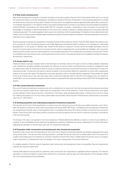#### **2.12 Real estate developments**

Real estate developments (long-term contracts) comprise construction projects that are sold to third parties either prior to or during the construction phase, which are developed or completed on behalf of the buyer. Notarisation of the purchase agreement is carried out following the conclusion of the project. Transfer of ownership for the respective property generally takes place after construction is completed. Recognition in the balance sheet of real estate developments is carried out according to the percentage-of-completion method (POCM) in accordance with Swiss GAAP FER 22 «Long-term contracts». Depending on how the project is structured, the percentage of completion is determined based on the cost-to-cost method or based on building assessments and project planning (milestone approach). The method applied in each case is the method by which the percentage of completion can be determined most reliably. The cumulative costs and realised sales proceeds according to the percentage-of-completion method are reported in the income statement on an ongoing basis.

Advance payments received are recognised in the balance sheet without affecting income. They are offset against the relevant longterm contracts for which the advance payment was made. Reporting in the balance sheet is carried out on a net basis as «real estate developments» on the assets or liabilities side. Insofar as the result of a long-term contract cannot be reliably estimated, only the amount of income equal to the amount of incurred contract costs is recognised that would probably be realisable, with concurrent reporting of the contract costs incurred as expense in the corresponding period. This corresponds to a valuation at actual costs. If there is a probability that total contract costs could exceed total contract income, the expected losses are immediately recorded as expense and provision, respectively.

#### **2.13 Assets held for sale**

These are assets or groups of assets held for sale that have not yet been sold, but the sale of which is highly probable. Classifying such a divestment as highly probable necessitates the fulfilment of various criteria, including that the competent management level has determined a plan for divesting the asset (or group of assets) and actively commenced the process of searching for a buyer and executing the plan. Furthermore, the asset (or group of assets) must be actively offered for acquisition at a price that is appropriate relative to the current fair value. The divestment must also take place within a one-year period as expected. These assets are valued at the lower of book value or fair value less sales costs. Investment properties held for sale fall in this category only with respect to classification, but not for valuation purposes and are therefore recognised at fair value according to Swiss GAAP FER 18 «Tangible fixed assets».

#### **2.14 Non-current financial investments**

Non-current financial investments comprise loans with a residual term to maturity of more than one year and are valued at amortised cost less any requisite impairments. Impairments are recognised in the income statement. Under financial investments, free capital can be invested in Swiss francs and euros. Investments in first-class, stock exchange-listed shares, in bonds with a minimum rating by a leading rating agency of «A» and money market paper are permitted. These financial investments are valued similar to securities (see note 2.7 «Securities»).

#### **2.15 Existing properties and undeveloped properties (investment properties)**

The valuation at the time of initial classification is carried out at cost, taking into account directly accountable transaction costs. Thereafter, the valuation is carried out at fair value in accordance with Swiss GAAP FER 18 sec. 14. Replacement and expansion investments are recognised at the book value of the properties when it is probable that Swiss Prime Site will obtain a resulting future economic benefit. Swiss Prime Site's real estate portfolio comprises exclusively properties that are held for investment purposes in accordance with the core business.

The change in fair value is recognised in the income statement. Related deferred tax liabilities or assets on such sums are debited, or credited, to the consolidated income statement as deferred tax expense or deferred tax income, respectively. For further information regarding the calculation of the fair value, see note 14 «Investment properties».

#### **2.16 Properties under construction and development sites (investment properties)**

Properties under construction and development sites with future utilisation as existing properties are already recognised at fair value during construction – the same as other existing properties – provided that the fair value can be reliably determined. The existence of a legally valid building permit is therefore an important indicator for Swiss Prime Site to reliably determine the fair value of a property under construction or a development site. The change in fair value is recognised in the income statement.

If a reliable valuation of the fair value of properties under construction and development sites is not possible, they are recognised at cost less any required impairments.

Directly attributable borrowing costs for properties under construction are recognised as capitalised interest expenses. The relevant calculation is carried out based on actual costs starting from construction start-up date until initial operation at the average interest rate of all interest-bearing financial liabilities.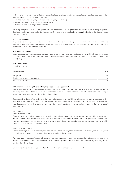If all of the following criteria are fulfilled on a cumulative basis, existing properties are reclassified as properties under construction and development sites at the time of construction:

- Total depletion of the property (elimination of the property's usefulness)
- Planned investments of more than 30% of fair value
- Duration of renovation longer than 12 months

Following completion of the development or total modification, these properties are classified as existing properties. Existing properties are maintained under their category for the duration of modification or renovation, insofar as the aforementioned criteria are unfulfilled.

### **2.17 Tangible assets**

Tangible assets are recognised at acquisition or production costs less cumulated depreciation and impairment. Expenses for repairs and maintenance are charged directly to the consolidated income statement. Depreciation is calculated according to the straight-line method based on the economically useful life.

#### **2.18 Intangible assets**

Intangible assets are recognised at cost less amortisation and any impairments and include software for which a license was obtained from third parties or which was developed by third parties or within the group. The depreciation period for software amounts to five years (straight line).

#### **2.19 Depreciation**

Useful life of assets

| Asset categories                    | Years |
|-------------------------------------|-------|
|                                     |       |
| Equipment                           | 20    |
| Furniture and tenants' improvements |       |
| Hardware and software               |       |

#### **2.20 Impairment of tangible and intangible assets including goodwill**

The value of tangible and intangible assets (including goodwill) is always reviewed if changed circumstances or events indicate the possibility of an overvaluation in the book values. If the book value exceeds the realisable value (fair value less disposal costs or higher value in use), an impairment is applied to the realisable value.

Since goodwill is already offset against shareholders' equity at the time of acquisition, any impairment of goodwill does not result in a negative effect on net income, but rather in disclosure in the notes. In the case of divestment of a group company, the goodwill that was offset against shareholders' equity at a previous point in time is also taken into account when determining the profit or loss affecting net income.

#### **2.21 Leasing**

#### Swiss Prime Site as lessor

Property leases and land lease contracts are basically operating lease contracts, which are generally recognised in the consolidated income statement using the straight line method over the duration of the contract. In some of the rental agreements, target turnovers have been agreed upon with the tenants (i.e. turnover-based rents). If these are exceeded on an annual basis, the resulting rental income is booked or accrued in the reporting year.

#### Swiss Prime Site as lessee

Contracts relating to the use of land and properties, for which land lease or right of use payments are effected, should be subject to review in terms of whether they are to be classified as operating or finance lease.

Payments within the scope of operating leases are recognised in the income statement on a straight-line basis over the term of the lease or rental agreement, or duration of the land lease. Land lease payments during construction of new buildings are recognised as assets in the balance sheet.

Given finance lease transactions, the asset and leasing liability are recognised in the balance sheet.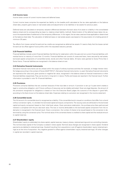#### **2.22 Income taxes**

Income taxes consist of current income taxes and deferred taxes.

Current income taxes comprise the expected tax liability on the taxable profit calculated at the tax rates applicable on the balance sheet date, property gains taxes on real estate sales and adjustments to tax liabilities or tax assets for previous years.

Deferred taxes are calculated on temporary valuation differences between the book value of an asset or a liability in the consolidated balance sheet and its corresponding tax base (i.e. balance sheet liability method). Determination of the deferred taxes takes into account the expected date of settlement of the temporary differences. In this regard, the tax rates used are those applicable or determined at the balance sheet date. The calculation of deferred taxes on real estate assets was based on the assumption of a holding period of minimum 20 years.

Tax effects from losses carried forward and tax credits are recognised as deferred tax assets if it seems likely that the losses carried forward can be offset against future profits within the stipulated statutory periods.

#### **2.23 Financial liabilities**

Financial liabilities include current financial liabilities that fall due for redemption within the year and non-current financial liabilities with residual terms to maturity of more than 12 months. Financial liabilities can consist of unsecured loans, loans secured by real estate, borrowed capital components of convertible bonds, bonds and other financial debts. All loans were granted to Swiss Prime Site in Swiss francs. Financial liabilities are recognised in the balance sheet at cost.

#### **2.24 Derivative financial instruments**

Derivative financial instruments can be utilised within the scope of ordinary business activities (for example, to hedge interest risks). No hedge accounting in the context of Swiss GAAP FER 27 «Derivative financial instruments» is used. Derivative financial instruments are reported at fair value and, given positive or negative fair value, recognised in the balance sheet as financial investments or other financial liabilities respectively. They can be short or long term in nature. Profits and losses are reported in the financial result. Further information is provided in note 18 «Financial liabilities».

#### **2.25 Provisions**

Provisions comprise liabilities that are uncertain because of their due date or amount. A provision is set up if a past event creates a legal or constructive obligation, and if future outflows of resources can be reliably estimated. Given any legal disputes, the amount of the provisions recognised for obligations is based on how the Executive Board judges the outcome of the dispute in good faith, according to the facts known at the balance sheet date. Expenses relating to a provision are recognised in the income statement.

#### **2.26 Convertible bonds**

The full amount of a convertible bond is recognised as a liability. If the convertible bond is issued on conditions that differ from a bond without conversion rights, it is divided into borrowed capital and equity components. The issuing costs are attributed to the borrowed capital and equity component based on their initial book values. Given premature redemption, the purchase price (less paid accrued interest) is compared with the pro rata book value. The loss or income attributable to the borrowed capital component from the redemption is recognised in the financial result. Given a conversion, the number of shares to be issued based on the conversion is determined by using the conversion price. The nominal value of the converted shares is credited to share capital and the residual amount to capital reserves.

#### **2.27 Shareholders' equity**

Shareholders' equity is subdivided into share capital, capital reserves, treasury shares, retained earnings and non-controlling interests. The nominal share capital of the Company is stated in share capital. Nominal value changes are recognised in share capital. Dividend payments are debited to retained earnings. Goodwill resulting from acquisitions is set off against shareholders' equity (retained earnings) as at the time of acquisition. Any negative goodwill is offset against shareholders' equity (retained earnings). All other changes in capital are recorded in capital reserves.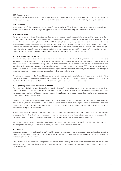#### **2.28 Treasury shares**

Treasury shares are valued at acquisition cost and reported in shareholders' equity as a debit item. No subsequent valuations are carried out following the initial valuation. Proceeds from the sale of treasury shares are offset directly against capital reserves.

#### **2.29 Dividends**

In compliance with Swiss statutory provisions and the Company's Articles of Association, dividends are treated as an appropriation of profit in the financial year in which they were approved by the Annual General Meeting and subsequently paid out.

#### **2.30 Pension plans**

The group companies maintain different pension fund schemes, which are legally independent and financed from employer and employee contributions. Determination of overfunding or underfunding is carried out based on the prepared financial statements of the pension fund scheme, according to Swiss GAAP FER 26. The group's pension plan expense comprises the employer contributions accrued for the relevant period as well as any economic effects from overfunding or underfunding and change in employer contribution reserves. An economic obligation is recognised as a liability, insofar as the prerequisites for forming a provision are fulfilled. Recognition in the balance sheet of economic benefits is carried out insofar as these can be used for the group's future pension plan contributions. Freely disposable employer contribution reserves are recognised as cost in the balance sheet.

#### **2.31 Share-based compensation**

The variable compensation of the members of the Executive Board is designated at 37.5% as performance-based entitlements to shares (performance share units or PSUs). The PSUs are subject to a three-year vesting period, conditionally upon fulfilment of the defined conditions. The payout on the vesting date is effected in the form of Swiss Prime Site AG shares. The performance share units are valued at the current value at the time of allocation according to the principles of Swiss GAAP FER 31 sec. 3 «Share-based payments» and recognised as personnel costs and shareholders' equity (capital reserves) over the three-year vesting period. No subsequent valuations are carried out except given any changes in the relevant payout indicators.

A portion of the fees paid to the Board of Directors and the variable compensation paid to the executives employed by Swiss Prime Site Management AG as well as executive management members of the group companies is effected in the form of Swiss Prime Site AG shares. The fair value of these shares on the date they are granted is recognised as personnel costs.

#### **2.32 Operating income and realisation of income**

Operating income includes all rental income from properties, income from sale of trading properties, income from real estate developments, income from real estate services, income from retail, income from assisted living and income from asset management as well as other operating income. Vacancy costs are deducted directly from the target rental income. Operating income is recorded upon maturity or upon provision of services.

Profits from the divestment of properties and investments are reported on a net basis, taking into account any incidental selling expenses incurred, after operating income. In this context, the gain or loss of sale of investment properties is calculated as the difference between the net sales price and the carrying amount of the investment property, according to the consolidated balance sheet of the past financial year plus any investments.

Realisation of income is generally recognised upon transfer of benefits and risks to the customer. Income from retail trade activities is recognised at the date of delivery of the goods, or in services operations in accordance with the extent of the services provided. For the divestment of properties, this date is designated in the sales contract (generally transfer of ownership).

Income from real estate developments (long-term contracts) is not oriented toward transfer of benefits and risks, but rather recognised according to the percentage-of-completion method (see note 2.12 «Real estate developments»).

#### **2.33 Interest**

Interest on loans as well as land lease interest for qualified properties under construction and development sites, in addition to trading properties, are attributed to cost. With this method, financial expenses or real estate costs are relieved but, at the same time, the revaluation gain is reduced accordingly.

Other interest on borrowed capital is recognised in the income statement using the effective interest rate method. Interest expense and interest income are apportioned as set out in the loan agreements and accordingly directly debited or credited, respectively, to the financial result.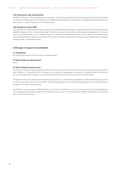#### **2.34 Transactions with related parties**

The Board of Directors, Executive Board, group companies, pension fund foundations of the group, associates and their subsidiaries, and the Swiss Prime Investment Foundation are all regarded as related parties. All transactions with related parties are presented and broken down in note 23 «Transactions with related parties».

#### **2.35 Earnings per share (EPS)**

Basic earnings per share are determined by dividing the consolidated profit attributable to shareholders of Swiss Prime Site AG by the weighted average number of outstanding shares. Diluted earnings per share are determined by deducting expenses in connection with the convertible bonds, such as interest (coupon), amortisation of the proportional costs and tax effects. The potential shares (options and the like) that might lead to a dilution of the number of shares must be taken into account when determining the weighted average number of outstanding shares.

## **3 Changes in scope of consolidation**

#### **3.1 Acquisitions**

No acquisitions during the reporting year or the previous year.

#### **3.2 Sales during the reporting year**

None.

#### **3.3 Sales during the previous year**

The Tertianum Group was sold to the Capvis Equity V fund advised by the investment firm Capvis AG. The sale was announced in a press release on 13 December 2019. The closing of the contract and derecognition took place on 28 February 2020. The Tertianum Group has therefore been included in the consolidated financial statements for two months of the previous year.

The Tertianum Group comprises the entire assisted living business, i.e. the operational management of 80 residential and care centres as well as residences in all parts of Switzerland. The purchase agreement covers all operational management and therefore all group companies in the field of assisted living.

The Tertianum Group has around 4900 employees, who have been transferred to the new owner along with existing management. The 19 properties held by Swiss Prime Site Immobilien AG were not part of the sale and have therefore stayed under the ownership of the Swiss Prime Site Group.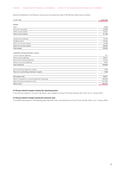Assets and liabilities of the Tertianum Group as at the divestment date of 28 February 2020 were as follows:

| in CHF 1000                                        | 28.02.2020 |
|----------------------------------------------------|------------|
| Assets                                             |            |
| Cash                                               | 5896       |
| Accounts receivable                                | 50998      |
| Other current assets                               | 24291      |
| <b>Total current assets</b>                        | 81185      |
| Investment properties                              | 34745      |
| Tangible assets                                    | 43494      |
| Other non-current assets                           | 16798      |
| Total non-current assets                           | 95037      |
| <b>Total assets</b>                                | 176222     |
| Liabilities and shareholders' equity               |            |
| Current financial liabilities                      | 977        |
| Other current liabilities                          | 68631      |
| Non-current financial liabilities                  | 32122      |
| Other non-current liabilities                      | 4875       |
| <b>Total liabilities</b>                           | 106605     |
| Non-controlling interests in equity                | 1046       |
| Total non-controlling interests in equity          | 1046       |
| Net assets sold                                    | 68571      |
| Return of goodwill to income statement (recycling) | 304538     |
| Sales price less transaction costs                 | 577290     |
| Sales result                                       | 204181     |
|                                                    |            |

## **3.4 Group internal mergers during the reporting period**

In the Services segment, immoveris ag, Berne, was merged into Swiss Prime Site Solutions AG, Zurich, as at 1 January 2021.

#### **3.5 Group internal mergers during the previous year**

In the Real Estate segment, SPS Beteiligungen Alpha AG, Olten, was absorbed into Swiss Prime Site AG, Olten, as at 1 January 2020.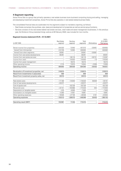## **4 Segment reporting**

Swiss Prime Site is a group that primarily operates a real estate business (core business) comprising buying and selling, managing and developing investment properties. Swiss Prime Site also operates in real estate-related business fields.

The consolidated financial data are subdivided into the segments subject to mandatory reporting, as follows:

- Real Estate comprises the purchase, sale, lease and development of properties as well as central group functions.
- Services consists of the real estate-related real estate services, retail trade and asset management businesses. In the previous year, the Tertianum Group (assisted living), sold as at 28 February 2020, was included for two months.

01.01.–

#### **Segment income statement 01.01.–31.12.2021**

|                                            | <b>Real Estate</b> | Services  | Total     |              | 31.12.2021  |
|--------------------------------------------|--------------------|-----------|-----------|--------------|-------------|
| in CHF 1000                                | segment            | segment   | segments  | Eliminations | Total group |
| Rental income from properties              | 444420             | 12953     | 457373    | $-30681$     | 426692      |
| thereof from third parties                 | 413739             | 12953     | 426692    |              | 426692      |
| thereof from other segments                | 30681              |           | 30681     | $-30681$     |             |
| Income from real estate developments       | 48261              |           | 48261     |              | 48261       |
| Income from real estate services           |                    | 146118    | 146118    | $-26731$     | 119387      |
| Income from retail                         |                    | 119553    | 119553    | $-13$        | 119540      |
| Income from asset management               |                    | 18215     | 18215     |              | 18215       |
| Other operating income                     | 2 1 7 4            | 12670     | 14844     | $-2008$      | 12836       |
| Operating income                           | 494855             | 309509    | 804364    | $-59433$     | 744931      |
| Revaluation of investment properties, net  | 318814             |           | 318814    |              | 318814      |
| Result from investments in associates      | 909                |           | 909       |              | 909         |
| Result from investment property sales, net | 39916              |           | 39916     |              | 39916       |
| Real estate costs                          | $-71189$           | $-44840$  | $-116029$ | 56928        | $-59101$    |
| Cost of real estate developments           | $-33377$           |           | $-33377$  |              | $-33377$    |
| Cost of goods sold                         |                    | $-63726$  | $-63726$  |              | $-63726$    |
| Personnel costs                            | $-22141$           | $-150888$ | $-173029$ | 404          | $-172625$   |
| Depreciation on tangible assets            | $-470$             | $-6930$   | $-7400$   |              | $-7400$     |
| Amortisation on intangible assets          | $-4390$            | $-4591$   | $-8.981$  |              | $-8981$     |
| Other operating expenses                   | $-18946$           | $-27100$  | $-46046$  | 2 1 0 1      | $-43945$    |
| Operating expenses                         | $-150513$          | $-298075$ | $-448588$ | 59433        | $-389155$   |
| Operating result (EBIT)                    | 703981             | 11434     | 715415    |              | 715415      |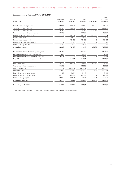| in CHF 1000                                | <b>Real Estate</b><br>segment | Services<br>segment | Total<br>segments | Eliminations | $01.01 -$<br>31.12.2020<br>Total group |
|--------------------------------------------|-------------------------------|---------------------|-------------------|--------------|----------------------------------------|
|                                            |                               |                     |                   |              |                                        |
| Rental income from properties              | 430964                        | 28554               | 459518            | $-34795$     | 424723                                 |
| thereof from third parties                 | 396169                        | 28554               | 424723            |              | 424723                                 |
| thereof from other segments                | 34795                         |                     | 34795             | $-34795$     |                                        |
| Income from real estate developments       | 50099                         |                     | 50099             |              | 50099                                  |
| Income from real estate services           |                               | 146157              | 146157            | $-30993$     | 115 164                                |
| Income from retail                         |                               | 110632              | 110632            | $-26$        | 110606                                 |
| Income from assisted living                |                               | 72426               | 72426             | $-6$         | 72420                                  |
| Income from asset management               |                               | 13126               | 13126             |              | 13126                                  |
| Other operating income                     | 1799                          | 7258                | 9057              | $-2279$      | 6778                                   |
| Operating income                           | 482862                        | 378153              | 861015            | $-68099$     | 792916                                 |
| Revaluation of investment properties, net  | 203406                        |                     | 203406            |              | 203406                                 |
| Result from investments in associates      | 1000                          |                     | 1000              |              | 1000                                   |
| Result from investment property sales, net | 20929                         |                     | 20929             | 1314         | 22243                                  |
| Result from sale of participations, net    |                               | 204181              | 204181            |              | 204181                                 |
| Real estate costs                          | $-69413$                      | $-66275$            | $-135688$         | 63949        | $-71739$                               |
| Cost of real estate developments           | $-36268$                      |                     | $-36268$          |              | $-36268$                               |
| Cost of goods sold                         |                               | $-65567$            | $-65567$          |              | $-65567$                               |
| Personnel costs                            | $-21987$                      | $-201242$           | $-223229$         | 452          | $-222777$                              |
| Depreciation on tangible assets            | $-452$                        | $-7994$             | $-8446$           |              | $-8446$                                |
| Amortisation on intangible assets          | $-4170$                       | $-4968$             | $-9138$           |              | $-9138$                                |
| Other operating expenses                   | $-20923$                      | $-28981$            | $-49904$          | 2384         | $-47520$                               |
| Operating expenses                         | $-153213$                     | $-375027$           | $-528240$         | 66785        | $-461455$                              |
| Operating result (EBIT)                    | 554984                        | 207307              | 762291            |              | 762291                                 |

## **Segment income statement 01.01.–31.12.2020**

In the Eliminations column, the revenues realised between the segments are eliminated.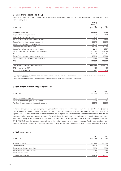## **5 Funds from operations (FFO)**

Funds from operations (FFO) indicates cash effective income from operations (FFO I). FFO II also includes cash effective income from property sales.

|                                                 | without                |            |
|-------------------------------------------------|------------------------|------------|
|                                                 | Tertianum <sup>1</sup> |            |
|                                                 | $01.01 -$              | $01.01 -$  |
| in CHF 1000                                     | 31.12.2020             | 31.12.2021 |
| Operating result (EBIT)                         | 555862                 | 715415     |
| Depreciation on tangible assets                 | 7066                   | 7400       |
| Amortisation on intangible assets               | 8703                   | 8981       |
| Revaluation from investment properties, net     | $-203406$              | $-318814$  |
| Result from investment property sales, net      | $-22243$               | $-39916$   |
| Result from investments in associates           | $-1000$                | $-909$     |
| Cash effective interest expenses <sup>2</sup>   | $-64172$               | $-50148$   |
| Cash effective interest income and dividends    | 2211                   | 1937       |
| Current taxes without investment property sales | $-10431$               | $-23075$   |
| FFO I                                           | 272590                 | 300871     |
| Result from investment property sales, net      | 22243                  | 39916      |
| Current taxes from investment property sales    | $-12439$               | $-14985$   |
| FFO II                                          | 282394                 | 325802     |
| Total weighted average number of shares         | 75964863               | 75968104   |
| FFO I per share in CHF                          | 3.59                   | 3.96       |
| FFO II per share in CHF                         | 3.72                   | 4.29       |
|                                                 |                        |            |

<sup>1</sup> Figures without Tertianum Group (figures January and February 2020 as well as result from sale of participations). The sale and deconsolidation of the Tertianum Group took place on 28 February 2020

2 Not included are the early repayment penalties (non-recurring expenses) of CHF 24.913 million paid due to the refinancing

## **6 Result from investment property sales**

|                                                  | $01.01 -$  | $01.01 -$  |
|--------------------------------------------------|------------|------------|
| in CHF 1000                                      | 31.12.2020 | 31.12.2021 |
|                                                  |            |            |
| Gains from sales of properties                   | 15591      |            |
| Gains from sales of properties held for sale     | 6652       | 39916      |
| Total result from investment property sales, net | 22243      | 39916      |

In the reporting year, two [two] existing properties, an additional building unit (E) in the Espace Tourbillon project and five [two] freehold units in Building A, Espace Tourbillon in Geneva, were sold. Construction of building A in the Espace Tourbillon was completed in the reporting year. The transactions have therefore been split into two parts: the sale of freehold properties under construction and the continuation of construction activity as a service. The sale includes the land portion, the project costs incurred and the construction work carried out up to the date of sale and the transfer of ownership. It is recognised as the sale of investment properties (Swiss GAAP FER 18). The service includes the completion of the freehold properties up to turnkey handover. This is recognised in the consolidated financial statements as real estate development based on construction progress (Swiss GAAP FER Framework 11 and 12).

## **7 Real estate costs**

|                                   | $01.01 -$  | $01.01 -$  |
|-----------------------------------|------------|------------|
| in CHF 1000                       | 31.12.2020 | 31.12.2021 |
|                                   |            |            |
| Property expenses                 | $-34888$   | $-36644$   |
| Third-party rents                 | $-20274$   | $-5737$    |
| Expenses for third-party services | $-6073$    | $-5996$    |
| Expenses for real estate services | $-4283$    | $-4782$    |
| Land lease expenses               | $-6221$    | $-5942$    |
| Total real estate costs           | $-71739$   | $-59101$   |
|                                   |            |            |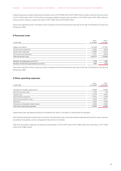Property expenses included maintenance and repair costs of CHF 8.428 million [CHF 8.393 million], ancillary costs borne by the owner of CHF 16.249 million [CHF 12.419 million] and property-related insurance costs and fees of CHF 7.922 million [CHF 7.530 million] as well as costs for cleaning, energy and water of CHF 4.045 million [CHF 6.546 million].

There was a significant drop in third-party rents compared with the same period last year due to the sale of the Tertianum Group as at 28 February 2020.

## **8 Personnel costs**

|                                              | $01.01 -$  | $01.01 -$  |
|----------------------------------------------|------------|------------|
| in CHF 1000                                  | 31.12.2020 | 31.12.2021 |
|                                              |            |            |
| Wages and salaries                           | $-181598$  | $-141567$  |
| Social security expenses                     | $-13305$   | $-9619$    |
| Pension plan expenses                        | $-18693$   | $-15513$   |
| Other personnel expenses                     | $-9181$    | $-5926$    |
| Total personnel costs                        | $-222777$  | $-172625$  |
| Number of employees as at 31.12.             | 1728       | 1667       |
| Number of full-time equivalents as at 31.12. | 1505       | 1474       |

There was a significant drop in personnel costs compared with the same period last year due to the sale of the Tertianum Group as at 28 February 2020.

## **9 Other operating expenses**

|                                        | $01.01 -$  | $01.01 -$  |
|----------------------------------------|------------|------------|
| in CHF 1000                            | 31.12.2020 | 31.12.2021 |
|                                        |            |            |
| Expenses for tangible assets and IT    | $-15859$   | $-14309$   |
| Non-life insurance, fees               | $-1103$    | $-748$     |
| Capital taxes                          | $-4079$    | $-3824$    |
| Administrative expenses                | $-11875$   | $-9756$    |
| Audit and consultancy costs            | $-5919$    | $-6571$    |
| Marketing                              | $-6035$    | $-5535$    |
| Collection and bad debt-related losses | $-2650$    | $-3202$    |
| Total other operating expenses         | $-47520$   | $-43945$   |
|                                        |            |            |

Capital taxes were calculated according to the effective tax rates on the basis of intercantonal tax allocation.

Administrative expenses included costs incurred for the reporting process, other administrative expenses and costs for various services provided by third parties, such as management fees and communication.

Audit and consultancy expenses comprised consulting fees of CHF 5.919 million [CHF 5.256 million] and audit fees of CHF 0.652 million [CHF 0.663 million].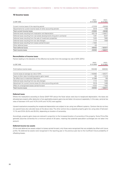## **10 Income taxes**

|                                                                              | $01.01 -$  | $01.01 -$  |
|------------------------------------------------------------------------------|------------|------------|
| in CHF 1000                                                                  | 31.12.2020 | 31.12.2021 |
|                                                                              |            |            |
| Current income taxes of the reporting period                                 | $-27018$   | $-39528$   |
| Adjustments for current income taxes of other accounting periods             | 3518       | 1468       |
| Total current income taxes                                                   | $-23500$   | $-38060$   |
| Deferred taxes resulting from revaluation and depreciation                   | $-83718$   | $-118677$  |
| Deferred taxes resulting from real estate developments (long-term contracts) | 1201       | 8247       |
| Deferred taxes resulting from the sale of investment properties              | 7425       | 7865       |
| Deferred taxes resulting from tax rate changes                               | 7 1 1 4    | 1648       |
| Deferred taxes resulting from losses carried forward                         | $-1554$    |            |
| Other deferred taxes                                                         | $-20$      |            |
| Total deferred taxes                                                         | $-69552$   | $-100917$  |
| Total income taxes                                                           | $-93052$   | $-138977$  |

## **Reconciliation of income taxes**

Factors leading to the deviation of the effective tax burden from the average tax rate of 20% [20%]:

|                                                                  | $01.01 -$  | $01.01 -$  |
|------------------------------------------------------------------|------------|------------|
| in CHF 1000                                                      | 31.12.2020 | 31.12.2021 |
|                                                                  |            |            |
| Profit before income taxes                                       | 703459     | 646354     |
|                                                                  |            |            |
| Income taxes at average tax rate of 20%                          | $-140692$  | $-129271$  |
| Taxes at other rates (including property gains taxes)            | 165        | $-11419$   |
| Tax effect due to investment deduction                           | 41066      | 199        |
| Deferred taxes resulting from tax rate changes                   | 7 1 1 4    | 1648       |
| Adjustment for current income taxes for other accounting periods | 3518       | 1468       |
| Effect of unrecognised losses carried forward                    | $-4223$    | $-1602$    |
| Total income taxes                                               | $-93052$   | $-138977$  |
|                                                                  |            |            |

### **Deferred taxes**

Where the revaluations according to Swiss GAAP FER versus the fiscal values were due to recaptured depreciation, the taxes are allocated per property after deduction of any applicable property gains tax and taken into account separately. In this case, cantonal tax rates of between 4.4% and 14.3% [4.4% and 14.3%] were applied.

Upward revaluations exceeding the recaptured depreciation are subject to tax using two different systems. Cantons that do not levy any special taxes also calculate taxes at the above rates. The other cantons levy a separate property gains tax using rates of between 11.1% and 27.0% [5.0% and 25.0%], depending on duration of ownership.

Accordingly, property gains taxes are reduced in proportion to the increased duration of ownership of the property. Swiss Prime Site generally assumes ownership for a minimum period of 20 years, meaning that potential speculation surcharges are not taken into account.

#### **Deferred income tax assets**

Of the total deferred tax assets subject to losses carried forward, only those were recognised that can probably be offset with future profits. No deferred tax assets were recognised in the reporting year or the previous year due to the insufficient future probability of offsetting losses.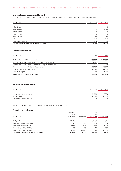## **Expiring taxable losses carried forward**

Taxable losses carried forward of group companies for which no deferred tax assets were recognised expire as follows:

| in CHF 1000                                   | 31.12.2020 | 31.12.2021 |
|-----------------------------------------------|------------|------------|
|                                               |            |            |
| After 1 year                                  | 11         | 5          |
| After 2 years                                 | 5          | 7123       |
| After 3 years                                 | 7123       | 3          |
| After 4 years                                 | 3          | 4235       |
| After 5 years                                 | 4235       | 478        |
| After 6 years                                 | 478        | 16 10 8    |
| After 7 or more years                         | 16229      | 8144       |
| Total expiring taxable losses carried forward | 28084      | 36096      |

## **Deferred tax liabilities**

| in CHF 1000                                                  | 2020    | 2021    |
|--------------------------------------------------------------|---------|---------|
| Deferred tax liabilities as at 01.01.                        | 1099397 | 1162803 |
| Change due to acquisitions/divestments of group companies    | $-4512$ |         |
| Change due to real estate developments (long-term contracts) | $-1201$ | $-8247$ |
| Increase through revaluation and depreciation                | 83658   | 118677  |
| Change through property disposals                            | $-7425$ | $-7865$ |
| Tax rate changes                                             | $-7114$ | $-1648$ |
| Deferred tax liabilities as at 31.12.                        | 1162803 | 1263720 |

## **11 Accounts receivable**

| in CHF 1000                | 31.12.2020 | 31.12.2021 |
|----------------------------|------------|------------|
|                            |            |            |
| Accounts receivable, gross | 61048      | 45930      |
| Impairments                | $-4319$    | $-6600$    |
| Total accounts receivable  | 56729      | 39330      |

Most of the accounts receivable related to claims for rent and ancillary costs.

## **Maturities of receivables**

|                                         | 31.12.2020<br>Gross |             | 31.12.2021<br>Gross |             |
|-----------------------------------------|---------------------|-------------|---------------------|-------------|
| in CHF 1000                             | receivables         | Impairments | receivables         | Impairments |
| Not yet due                             | 39410               |             | 34238               | $-841$      |
| Due between 1 and 30 days               | 7478                | $-520$      | 3625                | $-269$      |
| Due between 31 and 90 days              | 5558                | $-693$      | 1875                | $-1206$     |
| Due between 91 and 120 days             | 473                 | $-116$      | 414                 | $-404$      |
| Due for more than 120 days              | 8129                | $-2990$     | 5778                | $-3880$     |
| Total gross receivables and impairments | 61048               | $-4319$     | 45930               | $-6600$     |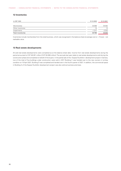## **12 Inventories**

| in CHF 1000       | 31.12.2020 | 31.12.2021 |
|-------------------|------------|------------|
|                   |            |            |
| Merchandise       | 32088      | 35482      |
| Other inventories | 15         | 13         |
| Impairments       | $-1317$    | $-2232$    |
| Total inventories | 30786      | 33263      |

Inventories include merchandise from the retail business, which was recognised in the balance sheet at average cost or – if lower – net realisable value.

## **13 Real estate developments**

All sold real estate developments were completed as at the balance sheet date. Income from real estate developments during the period amounted to CHF 48.261 million [CHF 50.099 million].The accruals last year relate to real estate developments sold during the construction phase and completed on behalf of the buyers. In the partial sale of the «Espace Tourbillon» development project in Geneva, two of the total of five buildings under construction were sold in 2017. Building C was handed over to the new owners in turnkey condition on 15 April 2021. Building D was completed and handed over in the fourth quarter of 2021. In addition, the commercial space in Building A of the Espace Tourbillon development project was also sold as business premises.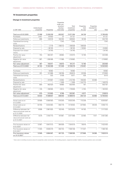## **14 Investment properties**

## **Change in investment properties**

|                                                                       | Undeveloped |            | Properties<br>under con-<br>struction/<br>develop- | Total<br>investment | Properties<br>held | Properties<br>intended for |           |
|-----------------------------------------------------------------------|-------------|------------|----------------------------------------------------|---------------------|--------------------|----------------------------|-----------|
| in CHF 1000                                                           | properties  | Properties | ment sites                                         | properties          | for sale           | sale                       | Total     |
|                                                                       |             |            |                                                    |                     |                    |                            |           |
| Total as at 01.01.2020                                                | 37498       | 11030239   | 603557                                             | 11 671 294          | 94136              |                            | 11765430  |
| Purchases                                                             | 3441        | 87643      | 37                                                 | 91121               |                    |                            | 91121     |
| Follow-up investments                                                 | 856         | 143516     | 182252                                             | 326624              | 18 10 6            |                            | 344730    |
| Capitalised borrowing<br>costs                                        |             |            | 7342                                               | 7342                |                    |                            | 7342      |
| Reclassifications                                                     |             | $-2116$    | $-106412$                                          | $-108528$           | 108528             |                            |           |
| Disposal by sale                                                      |             | $-38100$   |                                                    | $-38100$            | $-16564$           |                            | $-54664$  |
| Disposals from divest-<br>ments                                       |             | $-34745$   |                                                    | $-34745$            |                    |                            | $-34745$  |
| Positive fair value<br>adjustment                                     | 754         | 362457     | 46862                                              | 410073              | 12 195             |                            | 422268    |
| Negative fair value<br>adjustment                                     | $-387$      | $-206486$  | $-11989$                                           | $-218862$           |                    |                            | $-218862$ |
| Fair value adjustment                                                 | 367         | 155971     | 34873                                              | 191211              | 12 195             |                            | 203406    |
| Total as at 31.12.2020                                                | 42162       | 11 342 408 | 721649                                             | 12 106 219          | 216401             |                            | 12322620  |
| Purchases                                                             |             | 18082      |                                                    | 18082               |                    |                            | 18082     |
| Follow-up investments                                                 | 201         | 121666     | 128748                                             | 250615              | 23338              |                            | 273953    |
| Capitalised borrowing<br>costs                                        |             | 533        | 5438                                               | 5971                | 439                |                            | 6410      |
| Reclassifications                                                     |             | $-197807$  | $-14952$                                           | $-212759$           | 159293             | 53466                      |           |
| Disposal by sale                                                      |             |            | $-1609$                                            | $-1609$             | $-144770$          |                            | $-146379$ |
| Positive fair value<br>adjustment                                     | 800         | 482520     | 18680                                              | 502000              | 167                |                            | 502167    |
| Negative fair value<br>adjustment                                     | $-130$      | $-168565$  | $-9914$                                            | $-178609$           | $-4744$            |                            | $-183353$ |
| Fair value adjustment                                                 | 670         | 313955     | 8766                                               | 323391              | $-4577$            |                            | 318814    |
| Total as at 31.12.2021                                                | 43033       | 11598837   | 848040                                             | 12489910            | 250124             | 53466                      | 12793500  |
| Actual costs as at<br>31.12.2020                                      | 33566       | 8380583    | 619200                                             | 9033349             | 172238             |                            | 9205587   |
| Actual costs as at<br>31.12.2021                                      | 33759       | 8434064    | 650179                                             | 9118002             | 227664             | 46449                      | 9392115   |
| Difference between fair<br>value and actual costs as<br>at 31.12.2020 | 8596        | 2961825    | 102449                                             | 3072870             | 44 163             |                            | 3117033   |
| Difference between fair<br>value and actual costs as<br>at 31.12.2021 | 9274        | 3164773    | 197861                                             | 3371908             | 22460              | 7017                       | 3401385   |
| Fire insurance values on<br>01.01.2020 <sup>1</sup>                   | 12067       | 6947513    | 384939                                             | 7344519             | 78916              |                            | 7423435   |
| Fire insurance values on<br>01.01.2021 <sup>1</sup>                   | 11945       | 6946479    | 350734                                             | 7309158             | 171037             |                            | 7480195   |
| Fire insurance values<br>on 31.12.2021 <sup>1</sup>                   | 12569       | 6894067    | 401723                                             | 7308359             | 277869             | 34286                      | 7620514   |

<sup>1</sup> there were no building insurance values for properties under construction. For building projects, respective builders' liability insurance policies were concluded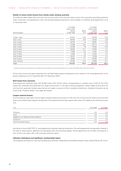#### **Details on future rental income from rentals under existing contracts**

The following table breaks down the future net annual rental income and land lease income from properties (excluding properties under construction and development sites, and excluding leased properties) by the end-dates of individual rental agreements, as at 31 December 2021:

|                           | 31.12.2020<br>Future rental |               | 31.12.2021<br>Future rental |                 |
|---------------------------|-----------------------------|---------------|-----------------------------|-----------------|
| End of contract           | income<br>in CHF 1000       | Share<br>in % | income<br>in CHF 1000       | Share<br>in $%$ |
| Under 1 year <sup>1</sup> | 61207                       | 13.5          | 58756                       | 13.0            |
| Over 1 year               | 63618                       | 14.0          | 44525                       | 9.8             |
| Over 2 years              | 33755                       | 7.4           | 56761                       | 12.5            |
| Over 3 years              | 47268                       | 10.4          | 35777                       | 7.9             |
| Over 4 years              | 34289                       | 7.6           | 72020                       | 15.9            |
| Over 5 years              | 55000                       | 12.1          | 27654                       | 6.1             |
| Over 6 years              | 17899                       | 3.9           | 9261                        | 2.0             |
| Over 7 years              | 8503                        | 1.9           | 21324                       | 4.7             |
| Over 8 years              | 20491                       | 4.5           | 19256                       | 4.3             |
| Over 9 years              | 16829                       | 3.7           | 45556                       | 10.1            |
| Over 10 years             | 94393                       | 21.0          | 61869                       | 13.7            |
| Total                     | 453252                      | 100.0         | 452759                      | 100.0           |

1 includes all indefinite rental agreements (residential, parking facilities, commercial properties etc.) of total CHF 30.942 million [CHF 25.140 million]

Future rental income has been presented from the Real Estate segment perspective and is based on the rental agreements of the group's properties as at 31 December 2021 [31 December 2020].

#### **Rent losses from vacancies**

Rent losses from vacancies were CHF 20.465 million [CHF 22.232 million], corresponding to a vacancy rate of 4.6% [5.1%]. Rent losses from vacancies were deducted from target rental income. In the case of existing properties, neither target rental income nor rent loss from vacancies includes areas that are not usable on account of their complete refurbishment. Detailed information can be found under «Property details» from page 76 onwards.

#### **Largest external tenants**

As at the balance sheet date, the five largest external tenants accounted for 21.9% [22.7%] of future annual rental income and land lease income (Real Estate segment perspective). The individual tenants have a good credit rating. This relates to the following companies:

| in $%$                                | 31.12.2020 | 31.12.2021 |
|---------------------------------------|------------|------------|
|                                       |            |            |
| Tertianum                             | 5.6        | 6.0        |
| Coop                                  | 5.5        | 5.3        |
| Magazine zum Globus (formerly Migros) | 4.5        | 4.7        |
| Swisscom                              | 4.7        | 3.4        |
| Zurich Insurance Group                | 2.4        | 2.5        |

According to Swiss GAAP FER 13, rental agreements represent leasing transactions. The rental agreements are generally indexed; in the case of retail property, additional turnover-based rents are sometimes agreed. Rental agreements are normally concluded for a term of five to ten years, often with a five-year extension option.

#### **Valuation techniques and significant, unobservable inputs**

The properties are valued on a semi-annual basis by an external, independent and qualified valuation expert, Wüest Partner AG, Zurich.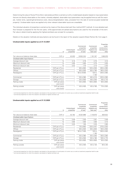Determining the value of Swiss Prime Site's real estate portfolio is carried out with a model-based valuation based on input parameters that are not directly observable on the market, whereby adapted, observable input parameters may be applied here as well (for example, market rents, operating/maintenance costs, discount/capitalisation rates, proceeds from the sale of owner-occupied residential property). Unobservable inputs are applied only when relevant observable inputs are unavailable.

The individual valuation of properties is carried out by means of the discounted cash flow method (DCF method). A more detailed cash flow forecast is prepared for the first ten years, while approximate annualised assumptions are used for the remainder of the term. Fair value is determined by applying the highest-and-best-use concept for a property.

Details on the valuation methods and assumptions can be found in the report of the valuation experts Wüest Partner AG, from page 3.

#### **Unobservable inputs applied as at 31.12.2021**

|                                     | in                         | Undeveloped<br>properties | Commercial<br>properties<br>(continuation<br>of use $)^1$ | Commercial<br>properties<br>(highest and<br>best use $)^2$ | under<br>construction/<br>development<br>sites |
|-------------------------------------|----------------------------|---------------------------|-----------------------------------------------------------|------------------------------------------------------------|------------------------------------------------|
| Fair value as at balance sheet date | CHF m                      | 43.033                    | 10552.324                                                 | 1 191.167                                                  | 1006.976                                       |
| Unobservable input factors          |                            |                           |                                                           |                                                            |                                                |
| Average discount rate               | $\%$                       | 3.10                      | 2.76                                                      | 2.70                                                       | 3.10                                           |
| Maximum discount rate               | $\%$                       | 4.95                      | 4.85                                                      | 4.75                                                       | 4.05                                           |
| Minimum discount rate               | $\%$                       | 3.42                      | 1.70                                                      | 2.15                                                       | 2.35                                           |
| Residential                         | CHF per $m2$ p.a.          |                           | 80 to 692                                                 | 120 to 530                                                 | 255 to 285                                     |
| Offices                             | CHF per $m2$ p.a.          |                           | 80 to 930                                                 | 90 to 780                                                  | 180 to 535                                     |
| Retail/gastro                       | CHF per $m2$ p.a.          |                           | 60 to 9 000                                               | 120 to<br>1 1 9 0                                          | 240 to 395                                     |
| Commercial                          | CHF per $m2$ p.a.          |                           | 55 to 380                                                 | 80 to 210                                                  | 220 to 280                                     |
| Storage                             | CHF per $m2$ p.a.          |                           | 25 to 500                                                 | 48 to 200                                                  | 90 to 170                                      |
| Parking inside                      | CHF per piece<br>and month |                           | 50 to 650                                                 | 100 to 600                                                 | 90 to 635                                      |
| Parking outside                     | CHF per piece<br>and month |                           | 40 to 400                                                 | 40 to 160                                                  | 75 to 200                                      |

 $1$  commercial properties for which the valuation was based on the assumption of continuation of current use, as well as investment properties held for sale <sup>2</sup> commercial properties for which the valuation was based on highest and best use

#### **Unobservable inputs applied as at 31.12.2020**

|                                     | in                          | Undeveloped<br>properties | Commercial<br>properties<br>(continuation<br>of use $)^1$ | Commercial<br>properties<br>(highest and<br>best use $)^2$ | Properties<br>under<br>construction/<br>development<br>sites |
|-------------------------------------|-----------------------------|---------------------------|-----------------------------------------------------------|------------------------------------------------------------|--------------------------------------------------------------|
| Fair value as at balance sheet date | CHF m                       | 42.162                    | 10331.966                                                 | 1118.970                                                   | 829.522                                                      |
| Unobservable input factors          |                             |                           |                                                           |                                                            |                                                              |
| Average discount rate               | $\%$                        | 3.49                      | 2.93                                                      | 2.81                                                       | 3.48                                                         |
| Maximum discount rate               | %                           | 4.95                      | 4.85                                                      | 4.90                                                       | 4.15                                                         |
| Minimum discount rate               | %                           | 3.20                      | 1.95                                                      | 2.25                                                       | 2.80                                                         |
| Residential                         | CHF per m <sup>2</sup> p.a. | -                         | 70 to 692                                                 | 120 to 447                                                 | 275 to 325                                                   |
| Offices                             | CHF per $m2$ p.a.           | -                         | 80 to 920                                                 | 90 to 845                                                  | 150 to 550                                                   |
| Retail/gastro                       | CHF per $m2$ p.a.           | -                         | 60 to 7 450                                               | 120 to<br>1 1 9 0                                          | 250 to 450                                                   |
| Commercial                          | CHF per m <sup>2</sup> p.a. | -                         | 55 to 380                                                 | 55 to 250                                                  | 150 to 280                                                   |
| Storage                             | CHF per $m2$ p.a.           | -                         | 30 to 550                                                 | 50 to 180                                                  | 100 to 175                                                   |
| Parking inside                      | CHF per piece<br>and month  |                           | 50 to 650                                                 | 100 to 600                                                 | 55 to 250                                                    |
| Parking outside                     | CHF per piece<br>and month  | -                         | 40 to 400                                                 | 40 to 120                                                  | 60 to 90                                                     |

1 commercial properties for which the valuation was based on the assumption of continuation of current use, as well as investment properties held for sale

<sup>2</sup> commercial properties for which the valuation was based on highest and best use

Properties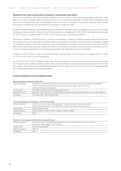#### **Sensitivity of fair value measurement to changes in unobservable input factors**

An increase in the discount rate reduces fair value, whereas a rise in the market rent price and/or sales proceeds increases fair value. There are correlations between these input factors, since they are to some extent dependent on market data. For properties under construction and development sites, the outstanding investments and time to completion of construction reduce fair value, whereas the incurrence of these costs over the period up until completion increases fair value.

In relation to potential changes in the market environment, sensitivity is significant particularly regarding discount rates. An increase or decrease of 10 basis points [±10 basis points] in the average discount rate applied of 2.75% [2.91%] would have a positive impact of +3.8% [+3.5%] or a negative impact of –3.8% [–3.6%] on the fair value of the existing properties.

The impact of changes in market rent prices on fair value is also significant. However, substantial changes in rental income over the entire portfolio (with a varying diversity of uses and tenants) in accumulated form and within a shorter period are less probable, whereas more significant effects on the portfolio would occur with a prolonged time lag. A linear correlation between rental income and fair value can be approximately assumed, whereby the rental income forecast in the valuation comprises several components, such as current contractually guaranteed rents and market rental estimates after the present contracts have expired.

A change of ±2.0% [±2.0%] in market rent prices would have a positive impact of +2.2% [+2.2%] or a negative impact of –2.5% [–2.2%] on the fair value of the existing properties.

Amid the current environment of negative interest rates, there is an investment crisis, creating strong demand for real estate investments. Against such a backdrop of negative interest rates, institutional investors in particular are willing to pay high prices for properties situated in prime locations with corresponding low expectations for returns. This can lead to sales prices for individual properties that noticeably deviate from the fair value assessment.

#### **Current development and new building projects**

| Project description | Construction of three laboratory buildings and offices and transformation of the area into a centre for<br>innovation, entertainment and health. Investment volume: approx. CHF 225 million.<br>Further information: stueckipark.ch |
|---------------------|-------------------------------------------------------------------------------------------------------------------------------------------------------------------------------------------------------------------------------------|
| Project status      | First stage completed, second stage being executed                                                                                                                                                                                  |
| Sale/rental status  | Buildings F and I (laboratory and office) being marketed, Buildings H and G (laboratory and office) 100% let.                                                                                                                       |
| Completion          | First stage: 2021, second stage: 2023                                                                                                                                                                                               |

#### Basel, Hochbergerstrasse 60: Stücki Park

#### Lancy, Esplanade de Pont-Rouge 5, 7, 9: Alto Pont-Rouge

| Project description | Construction of a new services building with 15 upper floors and flexible usable areas.<br>Investment volume: approx. CHF 306 million. Further information: alto-pont-rouge.ch |
|---------------------|--------------------------------------------------------------------------------------------------------------------------------------------------------------------------------|
| Project status      | Project being executed                                                                                                                                                         |
| Sale/rental status  | Being marketed; rental contracts for approx. 6000 m <sup>2</sup> agreed                                                                                                        |
| Completion          | 2023                                                                                                                                                                           |

#### Paradiso, Riva Paradiso 3, 20: Tertianum Residenz Du Lac

| Project description | New senior citizens' residence with 60 apartments and a geriatric care centre with 40 beds. |
|---------------------|---------------------------------------------------------------------------------------------|
|                     | Investment volume: approx. CHF 74 million                                                   |
| Project status      | Project being executed                                                                      |
| Sale/rental status  | $100\%$ let                                                                                 |
| Completion          | 2023                                                                                        |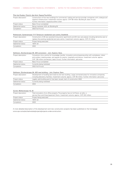| Plan-les-Ouates, Chemin des Aulx: Espace Tourbillon |                                                                                                                                                                                                                                                               |  |  |
|-----------------------------------------------------|---------------------------------------------------------------------------------------------------------------------------------------------------------------------------------------------------------------------------------------------------------------|--|--|
| Project description                                 | Construction of five new buildings for commercial, trading and service provider companies with underground<br>logistics infrastructure. Investment volume: approx. CHF 89 million (Building B, basic fit-out).<br>Further information: espacetourbillon.ch/en |  |  |
| Project status                                      | Basic fit-out completed                                                                                                                                                                                                                                       |  |  |
| Sale/rental status                                  | Being marketed; 40% let (Building B)                                                                                                                                                                                                                          |  |  |
| Completion                                          | 2023 (full fit-out)                                                                                                                                                                                                                                           |  |  |

#### Richterswil, Gartenstrasse 7/17: Tertianum residential care centre, Etzelblick

| Project description | Construction of 26 new assisted living senior apartments and 64 new care places including dementia care to |
|---------------------|------------------------------------------------------------------------------------------------------------|
|                     | replace the existing residential and care centre. Investment volume: approx. CHF 47 million                |
| Project status      | Project being executed                                                                                     |
| Sale/rental status  | $100\%$ let                                                                                                |
| Completion          | 2022                                                                                                       |

#### Schlieren, Zürcherstrasse 39: JED conversion – Join. Explore. Dare.

| Project description | Conversion into a centre for knowledge transfer, innovation and entrepreneurship with workplaces, indoor<br>and outdoor meeting areas, and spaces for events, hospitality and leisure. Investment volume: approx.<br>CHF 136 million (conversion, basic fit-out). Further information: jed.swiss |
|---------------------|--------------------------------------------------------------------------------------------------------------------------------------------------------------------------------------------------------------------------------------------------------------------------------------------------|
| Project status      | Basic fit-out completed                                                                                                                                                                                                                                                                          |
| Sale/rental status  | Currently being marketed                                                                                                                                                                                                                                                                         |
| Completion          | 2022 (full fit-out)                                                                                                                                                                                                                                                                              |

## Schlieren, Zürcherstrasse 39: JED new building – Join. Explore. Dare.

| Project description | Development of building land reserve and new building. Large connected areas for innovative companies,<br>including laboratory facilities. Investment volume: approx. CHF 95 million. Further information: jed.swiss |
|---------------------|----------------------------------------------------------------------------------------------------------------------------------------------------------------------------------------------------------------------|
| Project status      | Legally valid building permit has been issued; start of construction 2022                                                                                                                                            |
| Sale/rental status  | Currently being marketed                                                                                                                                                                                             |
| Completion          | 2024                                                                                                                                                                                                                 |

### Zurich, Müllerstrasse 16, 20

| Project description | Total renovation of an office property. The property has six full floors, an attic, a<br>service floor and three basement floors. Investment volume: approx. CHF 222 million |
|---------------------|------------------------------------------------------------------------------------------------------------------------------------------------------------------------------|
| Project status      | Project being executed                                                                                                                                                       |
| Sale/rental status  | $100\%$ let                                                                                                                                                                  |
| Completion          | 2023                                                                                                                                                                         |

A more detailed description of the development and new construction projects has been published on the homepage [www.sps.swiss/en/real-estate/projects/projects-under-construction.](https://sps.swiss/de/immobilien/projekte/projekte-im-bau)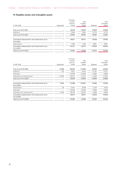# **15 Tangible assets and intangible assets**

| in CHF 1000                                                | Equipment | Furniture/<br>tenants'<br>improve-<br>ments | Total<br>tangible<br>assets | Software | Total<br>intangible<br>assets |
|------------------------------------------------------------|-----------|---------------------------------------------|-----------------------------|----------|-------------------------------|
| Cost as at 01.01.2021                                      |           | 82833                                       | 82833                       | 54808    | 54808                         |
| Additions                                                  |           | 5064                                        | 5064                        | 15774    | 15774                         |
| Cost as at 31.12.2021                                      |           | 87897                                       | 87897                       | 70582    | 70582                         |
| Cumulative depreciation and impairment as at<br>01.01.2021 |           | 56877                                       | 56877                       | 29358    | 29358                         |
| Depreciation                                               |           | 7400                                        | 7400                        | 8981     | 8981                          |
| Cumulative depreciation and impairment as at<br>31.12.2021 |           | 64277                                       | 64277                       | 38339    | 38339                         |
| Total as at 31.12.2021                                     |           | 23620                                       | 23620                       | 32243    | 32243                         |
|                                                            |           |                                             |                             |          |                               |

|                                                            |           | Furniture/ |          |          |            |
|------------------------------------------------------------|-----------|------------|----------|----------|------------|
|                                                            |           | tenants'   | Total    |          | Total      |
|                                                            |           | improve-   | tangible |          | intangible |
| in CHF 1000                                                | Equipment | ments      | assets   | Software | assets     |
| Cost as at 01.01.2020                                      | 15068     | 158582     | 173650   | 60846    | 60846      |
| Additions                                                  | 192       | 6621       | 6813     | 14787    | 14787      |
| <b>Disposals</b>                                           |           | $-20299$   | $-20299$ | $-8890$  | $-8890$    |
| Disposals from divestments                                 | $-15260$  | $-62071$   | $-77331$ | $-11935$ | $-11935$   |
| Cost as at 31.12.2020                                      |           | 82833      | 82833    | 54808    | 54808      |
| Cumulative depreciation and impairment as at<br>01.01.2020 | 4979      | 97588      | 102567   | 32966    | 32966      |
| Depreciation                                               | 95        | 8351       | 8446     | 9138     | 9138       |
| <b>Disposals</b>                                           |           | $-20299$   | $-20299$ | $-8890$  | $-8890$    |
| Disposals from divestments                                 | $-5074$   | $-28763$   | $-33837$ | $-3856$  | $-3856$    |
| Cumulative depreciation and impairment as at<br>31.12.2020 |           | 56877      | 56877    | 29358    | 29358      |
| Total as at 31.12.2020                                     |           | 25956      | 25956    | 25450    | 25450      |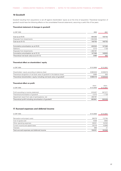# **16 Goodwill**

Goodwill resulting from acquisitions is set off against shareholders' equity as at the time of acquisition. Theoretical recognition of goodwill would have the following effects on the consolidated financial statements, assuming a useful life of five years:

#### **Theoretical statement of changes in goodwill**

| in CHF 1000                             | 2020      | 2021   |
|-----------------------------------------|-----------|--------|
|                                         |           |        |
| Cost as at 01.01.                       | 454293    | 149755 |
| Disposals from divestments              | $-304538$ |        |
| Cost as at 31.12.                       | 149755    | 149755 |
| Cumulative amortisation as at 01.01.    | 430520    | 147066 |
| Additions                               | 2313      | 1739   |
| Disposals from divestments              | $-285767$ |        |
| Cumulative amortisation as at 31.12.    | 147066    | 148805 |
| Theoretical net book value as at 31.12. | 2689      | 950    |

#### **Theoretical effect on shareholders' equity**

| in CHF 1000                                                                | 31.12.2020 | 31.12.2021 |
|----------------------------------------------------------------------------|------------|------------|
|                                                                            |            |            |
| Shareholders' equity according to balance sheet                            | 6085629    | 6338679    |
| Theoretical recognition of net book value of goodwill in the balance sheet | 2689       | 950        |
| Theoretical shareholders' equity including net book value of goodwill      | 6088318    | 6339629    |

# **Theoretical effect on profit**

| in CHF 1000                                           | $01.01 -$<br>31.12.2020 | $01.01 -$<br>31.12.2021 |
|-------------------------------------------------------|-------------------------|-------------------------|
| Profit according to income statement                  | 610407                  | 507377                  |
| Theoretical amortisation of goodwill                  | $-2313$                 | $-1739$                 |
| Adjustment result from sale of participations, net    | 285767                  |                         |
| Theoretical profit including amortisation of goodwill | 893861                  | 505638                  |

# **17 Accrued expenses and deferred income**

| in CHF 1000                                | 31.12.2020 | 31.12.2021 |
|--------------------------------------------|------------|------------|
| Renovation and project costs               | 98078      | 112764     |
| Cost of goods sold                         | 4028       | 3664       |
| Other operating expenses                   | 28031      | 34352      |
| Current income and capital taxes           | 25216      | 42865      |
| Interests                                  | 698        | 21         |
| Total accrued expenses and deferred income | 156051     | 193666     |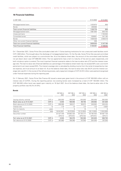# **18 Financial liabilities**

| in CHF 1000                             | 31.12.2020 | 31.12.2021 |
|-----------------------------------------|------------|------------|
|                                         |            |            |
| Mortgage-backed loans                   | 1033870    | 858        |
| <b>Bonds</b>                            | 299906     |            |
| Total current financial liabilities     | 1333776    | 858        |
| Mortgage-backed loans                   | 1681000    | 844700     |
| Unsecured loans                         |            | 1702000    |
| Convertible bonds                       | 539651     | 541165     |
| <b>Bonds</b>                            | 1609536    | 2059319    |
| Other non-current financial liabilities | 338        |            |
| Total non-current financial liabilities | 3830525    | 5147184    |
| <b>Total financial liabilities</b>      | 5164301    | 5148042    |

On 1 December 2021, Swiss Prime Site concluded a deal with 11 Swiss banking institutions for two unsecured credit facilities worth CHF 2.600 billion. This brought about the discharge of mortgage-backed loans. On the flip side, Swiss Prime Site secured committed credit facilities, which are subject to a commitment fee. As at the balance sheet date, the amount of the committed credit facilities not yet drawn down was CHF 898.000 million. The two agreements have a term to maturity of five and six years respectively, and both include an option to extend. The most important financial covenants relate to the loan-to-value ratio (LTV) and the interest coverage ratio. The loan-to-value ratio (financial liabilities as a percentage of the balance sheet total) may not exceed 50% over a six-month period and must never exceed 55%. The interest coverage ratio is calculated by dividing income from the rental of properties by interest expense, and must amount to at least 4.0. As at the balance sheet date, the loan-to-value ratio was 39.2% and the interest coverage ratio was 8.5. In the course of the refinancing process, early repayment charges of CHF 24.913 million were paid and recognised under financial expenses during the reporting year.

On 11 February 2021, Swiss Prime Site Finance AG issued a seven-year green bond in the amount of CHF 300.000 million with an interest rate of 0.375%. During the reporting period, two existing bonds were increased by a total of CHF 150.000 million. The CHF 300.000 million bond was repaid upon maturity on 16 April 2021. As at the balance sheet date, the loan-to-value ratio of the property portfolio was 40.2% [41.9%].

#### **Bonds**

|                  | CHF 300 m<br>2021 | CHF 190 m<br>2024 | CHF 100 m<br>2024 | CHF 250 m<br>2025 | CHF 350 m<br>$2026^1$ |
|------------------|-------------------|-------------------|-------------------|-------------------|-----------------------|
|                  |                   |                   |                   |                   |                       |
| CHF m            | 300,000           | 190.000           | 100,000           | 250,000           | 350,000               |
| CHF m            | 0.000             | 189.940           | 99.755            | 249.962           | 351.639               |
| CHF m            | 299.906           | 189.917           | 99.672            | 249.952           | 249.434               |
| $\%$             | 1.75              | 1.0               | 2.0               | 0.5               | 0.825                 |
| years            |                   | 6                 | 10                | 9                 | 9                     |
| date             | 16.04.2021        | 16.07.2024        | 10.12.2024        | 03.11.2025        | 11.05.2026            |
|                  | 23 427 449        | 39 863 325        | 25 704 217        | 33 764 553        | 36 067 729            |
|                  | (SPS14)           | (SPS181)          | (SPS142)          | (SPS161)          | (SPS17)               |
| CHF <sub>m</sub> | 0.000             | 194.370           | 105.350           | 252.625           | 358.750               |
| CHF m            | 301.860           | 196.080           | 107.350           | 254,000           | 257.250               |
|                  |                   |                   |                   |                   |                       |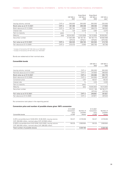# FINANCE – CONSOLIDATED FINANCIAL STATEMENTS – NOTES TO THE CONSOLIDATED FINANCIAL STATEMENTS

|                             |                  | CHF 350 m<br>2027     | Green Bond<br>CHF 300 m<br>2028 | Green Bond<br>CHF 300 m<br>2029 | CHF 220 m<br>$2031^2$  |
|-----------------------------|------------------|-----------------------|---------------------------------|---------------------------------|------------------------|
| Issuing volume, nominal     | CHF m            | 350,000               | 300,000                         | 300,000                         | 220,000                |
| Book value as at 31.12.2021 | CHF <sub>m</sub> | 351.499               | 299.338                         | 299.356                         | 217.830                |
| Book value as at 31.12.2020 | CHF <sub>m</sub> | 351.784               | 0.000                           | 299.275                         | 169.502                |
| Interest rate               | %                | 1.25                  | 0.375                           | 0.65                            | 0.375                  |
| Term to maturity            | years            | 8                     |                                 | 9                               | 12                     |
| Maturity                    | date             | 02.04.2027            | 11.02.2028                      | 18.12.2029                      | 30.09.2031             |
| Securities number           |                  | 41 904 099<br>(SPS19) | 58 194 781<br>(SPS21)           | 58 194 773<br>(SPS20)           | 48 850 668<br>(SPS192) |
| Fair value as at 31.12.2021 | CHF <sub>m</sub> | 364.525               | 299.100                         | 302.550                         | 213.730                |
| Fair value as at 31.12.2020 | CHF m            | 370.475               | 0.000                           | 305.700                         | 167.790                |

1 Increase of the bond by CHF 100 million as at 19.03.2021

 $2$  Increase of the bond by CHF 50 million as at 16.04.2021

Bonds are redeemed at their nominal value.

# **Convertible bonds**

|                                |                  | CHF 250 m  | CHF 300 m  |
|--------------------------------|------------------|------------|------------|
|                                |                  | 2023       | 2025       |
| Issuing volume, nominal        | CHF m            | 250.000    | 300.000    |
| Nominal value as at 31.12.2021 | CHF m            | 247.500    | 296.630    |
| Book value as at 31.12.2021    | CHF <sub>m</sub> | 245.990    | 295.175    |
| Book value as at 31.12.2020    | CHF m            | 244.954    | 294.697    |
| Conversion price               | CHF              | 104.07     | 100.35     |
| Interest rate                  | $\%$             | 0.25       | 0.325      |
| Term to maturity               | years            |            | 7          |
| Maturity                       | date             | 16.06.2023 | 16.01.2025 |
| Securities number              |                  | 32 811 156 | 39 764 277 |
|                                |                  | (SPS16)    | (SPS18)    |
| Fair value as at 31.12.2021    | CHF <sub>m</sub> | 248.861    | 301.821    |
| Fair value as at 31.12.2020    | CHF m            | 247.871    | 297.223    |
|                                |                  |            |            |

No conversions took place in the reporting period.

# **Conversion price and number of possible shares given 100% conversion**

| Convertible bonds                                                                                                       | 31.12.2020<br>Conversion<br>price<br>in CHF | Number of<br>possible<br>shares | 31.12.2021<br>Conversion<br>price<br>in CHF | Number of<br>possible<br>shares |
|-------------------------------------------------------------------------------------------------------------------------|---------------------------------------------|---------------------------------|---------------------------------------------|---------------------------------|
| 0.25%-convertible bond 16.06.2016-16.06.2023, issuing volume<br>CHF 250.000 million, nominal value CHF 247.500 million  | 104.07                                      | 2378206                         | 104.07                                      | 2378206                         |
| 0.325%-convertible bond 16.01.2018-16.01.2025, issuing volume<br>CHF 300.000 million, nominal value CHF 296.630 million | 100.35                                      | 2955954                         | 100.35                                      | 2955954                         |
| Total number of possible shares                                                                                         |                                             | 5334160                         |                                             | 5334160                         |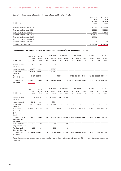# **Current and non-current financial liabilities categorised by interest rate**

|                                    | 31.12.2020 | 31.12.2021 |
|------------------------------------|------------|------------|
|                                    | Total      | Total      |
|                                    | nominal    | nominal    |
| in CHF 1000                        | value      | value      |
|                                    |            |            |
| Financial liabilities up to 1.00%  | 2489130    | 4238488    |
| Financial liabilities up to 1.50%  | 1196000    | 576000     |
| Financial liabilities up to 2.00%  | 772470     | 284700     |
| Financial liabilities up to 2.50%  | 621400     | 32500      |
| Financial liabilities up to 3.00%  | 70000      |            |
| Financial liabilities up to 3.50%  |            |            |
| Financial liabilities up to 4.00%  | 20000      | 20000      |
| <b>Total financial liabilities</b> | 5169000    | 5151688    |
|                                    |            |            |

# **Overview of future contractual cash outflows (including interest) from all financial liabilities**

|                                       | 31.12.2021    | Contrac-           |                          | $<$ 6 months   |               | 6 to 12 months           |               | 1 to 2 years   |               | 2 to 5 years   |               | >5 years       |
|---------------------------------------|---------------|--------------------|--------------------------|----------------|---------------|--------------------------|---------------|----------------|---------------|----------------|---------------|----------------|
| in CHF 1000                           | Book<br>value | tual cash<br>flows | Inter-<br>est            | Repay-<br>ment | Inter-<br>est | Repay-<br>ment           | Inter-<br>est | Repay-<br>ment | Inter-<br>est | Repay-<br>ment | Inter-<br>est | Repay-<br>ment |
| Current financial<br>liabilities      | 858           | 862                | 4                        | 858            |               |                          |               |                |               |                |               |                |
| Accounts payable                      | 25297         | 25297              | $\equiv$                 | 25297          |               |                          |               |                |               |                |               |                |
| Other current<br>liabilities          | 160921        | 160921             | $\overline{\phantom{0}}$ | 160921         |               |                          |               |                |               |                |               |                |
| Non-current<br>financial liabilities  | 5147184       | 5336855            | 18084                    | $-$            | 15131         | $\overline{\phantom{a}}$ | 30735         | 291200         | 69487         | 1772130        | 52588         | 3087500        |
| <b>Total financial</b><br>liabilities | 5334260       | 5523935            | 18088                    | 187076         | 15131         |                          | $-30735$      | 291200         | 69487         | 1772130        | 52588         | 3087500        |

|                                                                    | 31.12.2020    | Contrac-           |               | $<$ 6 months      |               | 6 to 12 months           |               | 1 to 2 years   |               | 2 to 5 years   |               | >5 years       |
|--------------------------------------------------------------------|---------------|--------------------|---------------|-------------------|---------------|--------------------------|---------------|----------------|---------------|----------------|---------------|----------------|
| in CHF 1000                                                        | Book<br>value | tual cash<br>flows | Inter-<br>est | Repay-<br>ment    | Inter-<br>est | Repay-<br>ment           | Inter-<br>est | Repay-<br>ment | Inter-<br>est | Repay-<br>ment | Inter-<br>est | Repay-<br>ment |
| Current financial<br>liabilities                                   | 1333776       | 1341616            | 6453          | 973870            | 1293          | 360000                   |               |                |               |                |               |                |
| Accounts payable                                                   | 8341          | 8341               |               | 8341              |               |                          |               |                |               |                |               |                |
| Other current<br>liabilities                                       | 144315        | 144315             | -             | 144315            |               |                          |               |                |               |                |               |                |
| Non-current<br>financial liabilities<br>(without deriva-<br>tives) | 3830187       | 4065162            | 19031         | $\qquad \qquad -$ | 19031         | $\overline{\phantom{0}}$ | 37031         | 175000         | 84491         | 1524230        | 70448         | 2135900        |
| Total non-deriva-<br>tive financial<br>liabilities                 | 5316619       | 5559434            | 25484         | 1126526           | 20324         | 360000                   | 37031         | 175000         | 84491         | 1524230        | 70448         | 2135900        |
| Derivatives with<br>negative fair value                            | 338           | 304                |               | 244               |               | 60                       |               |                |               |                |               |                |
| <b>Total derivative</b><br>financial liabilities                   | 338           | 304                |               | 244               |               | 60                       |               |                |               |                |               |                |
| <b>Total financial</b><br>liabilities                              | 5316957       | 5559738            | 25484         | 1126770           | 20324         | 360060                   | 37031         | 175000         | 84491         | 1524230        | 70448         | 2135900        |

The weighted average residual term to maturity of all interest-bearing financial liabilities was 5.8 [4.8] years due to the contractual maturities.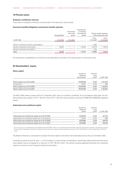# **19 Pension plans**

#### **Employer contribution reserves**

There were no employer contribution reserves held in the reporting or previous year.

#### **Economic benefits/obligations and pension benefit expenses**

|                                              | Surplus/deficit | Economical<br>part of the<br>group | Contributions<br>concerning<br>the reporting<br>period |                         | Pension benefit expenses<br>within personnel costs |
|----------------------------------------------|-----------------|------------------------------------|--------------------------------------------------------|-------------------------|----------------------------------------------------|
| in CHF 1000                                  | 31.12.2021      | 31.12.2021                         |                                                        | $01.01 -$<br>31.12.2020 | $01.01 -$<br>31.12.2021                            |
| Pension institutions without surplus/deficit |                 |                                    |                                                        | $-1883$                 |                                                    |
| Pension institutions with surplus            | 45491           | $\overline{\phantom{0}}$           | $-15513$                                               | $-16710$                | $-15513$                                           |
| Pension institutions with deficit            |                 |                                    |                                                        | $-100$                  |                                                    |
| Total                                        | 45491           |                                    | $-15513$                                               | $-18693$                | $-15513$                                           |

No extraordinary recapitalisation contributions were stipulated or provided in the reporting year or the previous year.

# **20 Shareholders' equity**

#### **Share capital**

|                                | Number of<br>registered | Nominal<br>value |             |
|--------------------------------|-------------------------|------------------|-------------|
|                                | shares issued           | in CHF           | in CHF 1000 |
| Share capital as at 01.01.2020 | 75946349                | 15.30            | 1161979     |
| Conversions                    | 24015                   | 15.30            | 368         |
| Share capital as at 31.12.2020 | 75970364                | 15.30            | 1162347     |
| Share capital as at 31.12.2021 | 75970364                | 15.30            | 1162347     |

The 655 [1844] treasury shares held at 31 December 2021 were not entitled to dividends. As at the balance sheet date, the dividend-entitled share capital of CHF 1162.337 million [CHF 1162.318 million] therefore comprised 75969709 [75968520] registered shares.

#### **Authorised and conditional capital**

|                                                                  | Number of<br>registered<br>shares | Nominal<br>value<br>in CHF | in CHF 1000 |
|------------------------------------------------------------------|-----------------------------------|----------------------------|-------------|
| Authorised and conditional capital as at 01.01.2020              | 7000000                           | 15.30                      | 107100      |
| Appropriation of conditional capital due to conversions          | $-24015$                          | 15.30                      | $-368$      |
| Authorised and conditional capital as at 31.12.2020              | 6975985                           | 15.30                      | 106733      |
| Authorised and conditional capital as at 31.12.2021 <sup>1</sup> | 6975985                           | 15.30                      | 106733      |

<sup>1</sup> due to the issue of a convertible bond, 2 378 206 shares (CHF 36.387 million) from conditional capital have been reserved for potential conversions. According to article 3a of the Articles of Association, the Board of Directors can therefore only increase the share capital by an amount of CHF 70.346 million, which corresponds to 4 597 779 shares

The Board of Directors is authorised to increase the share capital to the extent mentioned above at any time until 23 March 2023.

According to articles 3a and 3b, para. 1, of the Company's current Articles of Association, overall share capital (authorised and conditional capital) may be increased by a maximum of CHF 106.733 million. The precise wording regarding authorised and conditional capital can be found in the Company's Articles of Association.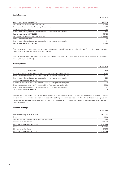#### **Capital reserves**

| Capital reserves as at 01.01.2020                                            | 320629    |
|------------------------------------------------------------------------------|-----------|
| Distribution from capital contribution reserves                              | $-144339$ |
| Conversion of convertible bonds into registered shares                       | 2046      |
| Share-based compensation                                                     | $-518$    |
| Income from delivery of treasury shares relating to share-based compensation | $-620$    |
| Capital reserves as at 31.12.2020                                            | 177198    |
| Distribution from capital contribution reserves                              | $-127248$ |
| Share-based compensation                                                     | 77        |
| Income from delivery of treasury shares relating to share-based compensation | $-11$     |
| Capital reserves as at 31.12.2021                                            | 50016     |

in CHF 1000

Capital reserves are based on above-par issues on foundation, capital increases as well as changes from trading with subscription rights, treasury shares and share-based compensation.

As at the balance sheet date, Swiss Prime Site AG's reserves consisted of a non-distributable amount (legal reserves) of CHF 232.470 million [CHF 232.470 million].

#### **Treasury shares**

|                                                                                  | in CHF 1000 |
|----------------------------------------------------------------------------------|-------------|
| Treasury shares as at 01.01.2020                                                 | $-106$      |
| Purchase of treasury shares, 42,900 shares, CHF 115.98 average transaction price | $-4976$     |
| Share-based compensation, 42168 shares, CHF 102.00 average transaction price     | 4301        |
| Income from delivery of treasury shares relating to share-based compensation     | 620         |
| Treasury shares as at 31.12.2020                                                 | $-161$      |
| Purchase of treasury shares, 32550 shares, CHF 89.21 average transaction price   | $-2904$     |
| Share-based compensation, 33739 shares, CHF 88.78 average transaction price      | 2996        |
| Income from delivery of treasury shares relating to share-based compensation     | 11          |
| Treasury shares as at 31.12.2021                                                 | $-58$       |

Treasury shares are valued at acquisition cost and reported in shareholders' equity as a debit item. Income from delivery of treasury shares relating to share-based compensation is set off directly against capital reserves. As at the balance sheet date, the group companies held 655 shares [1844 shares] and the group's employee pension fund foundations held 228946 shares [290049 shares] in Swiss Prime Site AG.

### **Retained earnings**

|                                                       | in CHF 1000 |
|-------------------------------------------------------|-------------|
| Retained earnings as at 01.01.2020                    | 3975536     |
| Profit                                                | 610510      |
| Goodwill charged to income on sale of group companies | 304538      |
| Distribution to shareholders                          | $-144339$   |
| Retained earnings as at 31.12.2020                    | 4746245     |
| Profit                                                | 507377      |
| Distribution to shareholders                          | $-127248$   |
| Retained earnings as at 31.12.2021                    | 5126374     |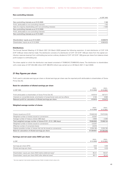# **Non-controlling interests**

|                                                                | in CHF 1000 |
|----------------------------------------------------------------|-------------|
| Non-controlling interests as at 01.01.2020                     | 1149        |
| Profit, attributable to non-controlling interests              | $-103$      |
| Sale of a majority shareholding with non-controlling interests | $-1046$     |
| Non-controlling interests as at 31.12.2020                     |             |
| Profit, attributable to non-controlling interests              |             |
| Non-controlling interests as at 31.12.2021                     |             |
| Shareholders' equity as at 31.12.2021                          | 6338679     |
| Shareholders' equity as at 31.12.2020                          | 6085629     |

# **Distributions**

The Annual General Meeting of 23 March 2021 [24 March 2020] passed the following resolution: A total distribution of CHF 3.35 [CHF 3.80] per share shall be made. The distribution consists of a distribution of CHF 1.67 [CHF 1.90] per share from the capital contribution reserves (exempt from withholding tax) and an ordinary dividend of CHF 1.67 [CHF 1.90] gross per share from balance sheet profit (subject to withholding tax).

The share capital on which the distribution was based consisted of 75969242 [75968018] shares. The distribution to shareholders with a total value of CHF 254.496 million [CHF 288.678 million] was carried out on 29 March 2021 [1 April 2020].

# **21 Key figures per share**

Profit used to calculate earnings per share or diluted earnings per share was the reported profit attributable to shareholders of Swiss Prime Site AG.

# **Basis for calculation of diluted earnings per share**

|                                                                                    | $01.01 -$  | $01.01 -$  |
|------------------------------------------------------------------------------------|------------|------------|
| in CHF 1000                                                                        | 31.12.2020 | 31.12.2021 |
|                                                                                    |            |            |
| Profit attributable to shareholders of Swiss Prime Site AG                         | 610510     | 507377     |
| Interests on convertible bonds, amortisation of proportional costs and tax effects | 3 1 0 0    | 3096       |
| Relevant profit for calculation of diluted earnings per share                      | 613610     | 510473     |
|                                                                                    |            |            |
| Weighted average number of shares                                                  |            |            |
|                                                                                    | $01.01 -$  | $01.01 -$  |
|                                                                                    | 31.12.2020 | 31.12.2021 |
| Shares issued as at 01.01.                                                         | 75946349   | 75970364   |
|                                                                                    |            |            |
| Weighted number of shares issued on conversions                                    | 22207      |            |
| Average number of treasury shares (360 days)                                       | $-3693$    | $-2260$    |
| Total weighted average number of shares 01.01.-31.12. (360 days)                   | 75964863   | 75968104   |
| Weighted number of shares issued on conversions                                    | $-22207$   |            |
| Effective number of converted shares                                               | 24015      |            |
| Highest possible number of shares that can be issued on conversions                | 5334160    | 5334160    |
| Basis for calculation of diluted earnings per share                                | 81300831   | 81302264   |

### **Earnings and net asset value (NAV) per share**

| in CHF                                                                  | $01.01 -$<br>31.12.2020 | $01.01 -$<br>31.12.2021 |
|-------------------------------------------------------------------------|-------------------------|-------------------------|
| Earnings per share (EPS)                                                | 8.04                    | 6.68                    |
| Diluted earnings per share                                              | 7.55                    | 6.28                    |
| Shareholders' equity per share (NAV) before deferred taxes <sup>1</sup> | 95.41                   | 100.07                  |
| Shareholders' equity per share (NAV) after deferred taxes <sup>1</sup>  | 80.11                   | 83.44                   |

<sup>1</sup> Services segment (real estate-related business fields) included at book values only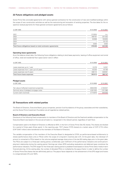# **22 Future obligations and pledged assets**

Swiss Prime Site concluded agreements with various general contractors for the construction of new and modified buildings within the scope of new construction activities as well as the restructuring and renovation of existing properties. The due dates for the respective residual payments for these general contractor agreements are as follows:

| in CHF 1000                                                   | 31.12.2020 | 31.12.2021 |
|---------------------------------------------------------------|------------|------------|
|                                                               |            |            |
| 2021                                                          | 212824     | n.a.       |
| 2022                                                          | 106707     | 231332     |
| 2023                                                          | 53908      | 155835     |
| 2024                                                          | -          | 32123      |
| 2027                                                          | 3000       | 3000       |
| Total future obligations based on total contractor agreements | 376439     | 422290     |

#### **Operating lease agreements**

As at the balance sheet date, the following future obligations relating to land lease payments, leasing of office equipment and rental of office, retail and residential floor space sector were in effect:

| in CHF 1000                                  | 31.12.2020 | 31.12.2021   |
|----------------------------------------------|------------|--------------|
|                                              |            |              |
| Lease expenses up to 1 year                  | 12276      | 14357        |
| Lease expenses from 1 year up to 5 years     | 42225      | 43199        |
| Lease expenses over 5 years                  | 338112     | 328591       |
| Total future lease expenses                  | 392613     | 386147       |
|                                              |            |              |
| <b>Pledged assets</b>                        |            |              |
| in CHF 1000                                  | 31.12.2020 | 31.12.2021   |
|                                              |            |              |
| Fair value of affected investment properties | 8842035    | 2 10 2 0 2 7 |

Nominal value of pledged mortgage notes and the state of the state of the state 4 291 053 1 011 386 Current claim (nominal) 2 714 870 845 558

# **23 Transactions with related parties**

The Board of Directors, Executive Board, group companies, pension fund foundations of the group, associates and their subsidiaries, and the Swiss Prime Investment Foundation are all regarded as related parties.

#### **Board of Directors and Executive Board**

Disclosure of the following fixed compensation to members of the Board of Directors and the fixed and variable compensation to the Executive Board was based on the accrual principle (i.e. recognised in the relevant period, regardless of cash flow).

Compensation paid to the Board of Directors is effected at 50% in the form of Swiss Prime Site AG shares. The shares are blocked for a period of three years [three years]. In the reporting year, 7917 shares [7370 shares] at a market value of CHF 0.715 million [CHF 0.647 million] were transferred to the members of the Board of Directors.

The variable compensation of the members of the Executive Board is designated at 37.5% as performance-based entitlements to shares (performance share units or PSUs) within the scope of a long-term incentive plan (LTI). At the grant date, the individual LTI amount is converted to PSUs based on the volume-weighted average share price of the last 60 trading days prior to the grant date. The PSUs are subject to a three-year vesting period, conditionally upon fulfilment of the performance indicators and continued employment relationship during the vesting period. Earnings per share (EPS) excluding revaluations and deferred taxes constitute the performance indicators. The EPS target for the three-year vesting period is predetermined based on Swiss Prime Site's medium-term financial planning. At the vesting date, the number of allocated PSUs is multiplied by the payout factor in order to define the number of Swiss Prime Site shares that are definitively paid out. The payout factor depends on the achievement of the EPS target and hovers in a range between 0% and 100%.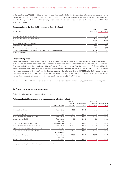In the reporting year, 14552 [10082] performance share units were allocated to the Executive Board. The amount is recognised in the consolidated financial statements at the current price of CHF 87.15 [CHF 94.75] (stock exchange price on the grant date) and spread over the three-year vesting period. The resulting expense booked in the consolidated income statement was CHF 1.078 million [CHF 0.988 million].

#### **Compensation to the Board of Directors and Executive Board**

|                                                                  | $01.01 -$  | $01.01 -$  |
|------------------------------------------------------------------|------------|------------|
| in CHF 1000                                                      | 31.12.2020 | 31.12.2021 |
|                                                                  |            |            |
| Fixed compensation in cash, gross                                | 3686       | 4163       |
| Variable compensation in cash, gross                             | 1611       | 1601       |
| Share-based compensation                                         | 1557       | 1726       |
| Other compensation components                                    | 73         | 90         |
| Pension fund contributions                                       | 466        | 641        |
| Other social security contributions                              | 411        | 370        |
| Total compensation to the Board of Directors and Executive Board | 7804       | 8591       |
| Expense allowance                                                | 130        | 156        |

### **Other related parties**

There were current accounts payable to the various pension funds and the SPS and Jelmoli welfare foundation of CHF –0.424 million [CHF 0.287 million]. Accounts receivable from Swiss Prime Investment Foundation amounted to CHF 0.868 million [CHF 0.135 million]. Accounts receivable from the newly launched Swiss Prime Site Solutions Investment Fund Commercial were CHF 1.363 million [nil]. Income from asset management with the Swiss Prime Investment Foundation totalled CHF 14.797 million [CHF 12.259 million]. Income from asset management with Swiss Prime Site Solutions Investment Fund Commercial was CHF 1.269 million [nil]. Income from other real estate services came to CHF 4.331 million [CHF 3.020 million]. The amount recorded for the provision of real estate services as well as other services to other related pension fund foundations was zero [CHF 0.008 million].

There were no additional transactions with other related parties carried out either in the reporting period or previous year's period.

# **24 Group companies and associates**

Swiss Prime Site AG holds the following investments:

#### **Fully consolidated investments in group companies (direct or indirect)**

| Shareholding |
|--------------|
|              |
| in %         |
| n.a.         |
| 100.0        |
| 100.0        |
| 100.0        |
|              |
| 100.0        |
| 100.0        |
| 100.0        |
| 100.0        |
|              |
| 100.0        |
|              |
| 100.0        |
|              |

1 merger of immoveris ag in Swiss Prime Site Solutions AG as at 01.01.2021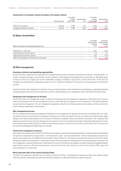#### **Investments in associates valued according to the equity method**

|                             |                   | 31.12.2020  |              | 31.12.2021  |              |
|-----------------------------|-------------------|-------------|--------------|-------------|--------------|
|                             |                   | Capital     | Shareholding | Capital     | Shareholding |
|                             | Field of activity | in CHF 1000 | in $%$       | in CHF 1000 | in $%$       |
|                             |                   |             |              |             |              |
| <b>INOVIL SA, Lausanne</b>  | Parking           | 5160        | 27.1         | 5160        | 27.1         |
| Parkgest Holding SA, Geneva | Parking           | 4750        | 38.8         | 4750        | 38.8         |

#### **25 Major shareholders**

| Major shareholders (shareholding interest >3%) | Shareholding<br>interest<br>in $%$ | Shareholding<br>interest<br>in $%$ |
|------------------------------------------------|------------------------------------|------------------------------------|
| BlackRock Inc., New York                       | <10.0                              | < 10.0                             |
| Credit Suisse Funds AG, Zurich                 | 7.8                                | 7.7                                |
| State Street Corporation, Boston               | >3.0                               | >3.0                               |
| UBS Fund Management (Switzerland) AG, Basel    | 4.3                                | 3.8                                |

#### **26 Risk management**

### **Ensuring continuity and exploiting opportunities**

Swiss Prime Site is exposed to a broad spectrum of opportunities and risks. To achieve the Company's long-term corporate goals, it is crucial to recognise changes in the economic, social, regulatory, technological and ecological environment early on. Managing opportunities and risks as an integral part of the sustainability strategy is therefore a high priority at Swiss Prime Site. To this end, the Company has implemented a systematic process that is an important foundation for ensuring its continued growth and long-term success.

Swiss Prime Site's risk management is based on the group-wide risk policy, which establishes a homogeneous, responsible approach to tackling opportunities and risks and promotes a uniform understanding of risk management within the Swiss Prime Site Group.

#### **Systematic risk management at all levels**

Swiss Prime Site's risk management system is based on the group-wide risk management regulations. These define the minimum rules and requirements for the risk management process, which each group company can then supplement with specific additional requirements and regulations. The risk management regulations comprise the following elements: principles, control environment, communication, organisation and processes.

#### **Risk management process**

The risk management process encompasses all activities for the management of opportunities and risks. Identifying risks is an ongoing, dynamic process that involves all employees. Existing and new risks and opportunities are constantly monitored through regular dialogue with various stakeholders and on the basis of analyses of available internal and external information, with measures then defined as required. The annual risk meetings are a key element of the risk management process. These take place between the Executive Board and the Risk & Audit Committee of the respective group company on the one hand, and between the risk owners and the Group Risk Management department on the other.

#### **Central risk management measures**

Risk response is a key element of Swiss Prime Site's risk management process. The appropriateness of implementation and the degree of maturity are assessed on a regular basis – but at least once a year – by Group Audit & Risk, which if required plays an active coordination and support role with regard to implementation. Responsibility for compliance with group-wide requirements and for establishing and implementing measures in these areas remains with the operational management of the individual group companies. The risk management measures defined and implemented by Swiss Prime Site can be grouped into eight overarching categories/topics: organisational measures, directives and processes, internal and external audit, insurance, internal control system (ICS), cyber risks and sustainability or climate risks.

#### **Most important risks in the various business fields**

The 2021 risk assessment identified main risk topics for Swiss Prime Site. Comprehensive measures to reduce any negative impact were also defined. Please see the Corporate Governance Report for a detailed discussion of these measures.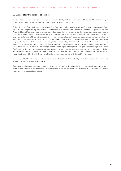# **27 Events after the balance sheet date**

The consolidated financial statements were approved for publication by the Board of Directors on 10 February 2022. They are subject to approval by the Annual General Meeting of Swiss Prime Site AG on 23 March 2022.

Swiss Prime Site AG acquired 100% of the shares of the Akara Group in Zug with retrospective effect from 1 January 2022. Akara Funds AG is a fund provider regulated by FINMA that specialises in residential and commercial properties. The group also includes Akara Real Estate Management AG, which provides real estate services in the areas of development, execution, management and marketing, and Akara Property Development AG, which manages a limited partnership for collective investment (KmGK). The group employs a total of around 50 real estate specialists, all of whom are being kept on. The real estate assets under management, totalling around CHF 2.3 billion, comprise Akara Diversity PK (a real estate fund for tax-exempt pension funds), the private equity product Akara Property Development 1 KmGK for qualified investors, and a development pipeline of more than CHF 240 million (which also includes Akara Tower in Baden). The plan is to integrate the Akara Group and the respective companies into Swiss Prime Site Solutions during the course of the 2022 financial year and to merge the two fund management companies. Through the planned merger, Swiss Prime Site Solutions will grow into one of the leading Swiss real estate asset managers, with real estate assets under management (including development pipeline) of more than CHF 6.5 billion and an expected EBIT contribution of CHF 27–28 million in 2022. The acquisition will be financed 35% through Swiss Prime Site shares from authorised capital designated for this purpose.

In February 2022, Moody's assigned an A3 long term issuer rating to Swiss Prime Site AG, with a stable outlook. This confirms the excellent creditworthiness of Swiss Prime Site.

There were no other events occurring between 31 December 2021 and the date of publication of these consolidated financial statements that would result in adjustment of the carrying amounts of the group's assets and liabilities as at 31 December 2021, or that would need to be disclosed at this point.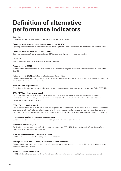# **Definition of alternative performance indicators**

#### **Cash yield**

Distribution per share as a percentage of the share price at the end of the period.

#### **Operating result before depreciation and amortisation (EBITDA)**

Operating result before financial result and taxes (EBIT) plus depreciation on tangible assets and amortisation on intangible assets.

#### **Operating result (EBIT) excluding revaluations**

Operating result before financial result and taxes (EBIT) excluding revaluation of investment properties.

#### **Equity ratio**

Total shareholders' equity as a percentage of balance sheet total.

#### **Return on equity (ROE)**

Profit (attributable to shareholders of Swiss Prime Site AG) divided by average equity (attributable to shareholders of Swiss Prime Site AG).

#### **Return on equity (ROE) excluding revaluations and deferred taxes**

Profit (attributable to shareholders of Swiss Prime Site AG) less revaluations and deferred taxes, divided by average equity (attributable to shareholders of Swiss Prime Site AG).

### **EPRA NDA (net disposal value)**

Determines equity per share based on a sales scenario. Deferred taxes are therefore recognised as they are under Swiss GAAP FER.

#### **EPRA NRV (net reinstatement value)**

Determines equity per share based on the assumption that no properties are ever sold. The NAV is therefore adjusted for deferred taxes and the necessary incidental purchase expenses are added back. Captures the value of the assets that would be needed to rebuild Swiss Prime Site.

#### **EPRA NTA (net tangible asset)**

Determines equity per share on the assumption that properties are bought and sold in the same volumes as before. Some of the deferred taxes will therefore be crystallised through sales. However, based on our Company performance to date and our planning, the share of sales is low. Besides expected sales, intangible assets (in our case mainly IT systems) are fully excluded from the NTA.

#### **Loan-to-value (LTV) ratio of the real estate portfolio**

Current and non-current financial liabilities as a percentage of the property portfolio at fair value.

#### **Funds from operations (FFO)**

This key figure is a measure of cash effective income from operations (FFO I). FFO II also includes cash effective income from property sales. See note 5 for the calculation.

#### **Profit excluding revaluations and deferred taxes**

Profit less revaluations of investment properties and deferred taxes.

#### **Earnings per share (EPS) excluding revaluations and deferred taxes**

Profit (attributable to shareholders of Swiss Prime Site AG) less revaluations and deferred taxes, divided by the weighted average number of outstanding shares.

#### **Return on invested capital (ROIC)**

Profit (attributable to shareholders of Swiss Prime Site AG) plus financial expenses divided by the average balance sheet total.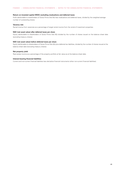#### **Return on invested capital (ROIC) excluding revaluations and deferred taxes**

Profit (attributable to shareholders of Swiss Prime Site AG) less revaluations and deferred taxes, divided by the weighted average number of outstanding shares.

#### **Vacancy rate**

Rental income from vacancies as a percentage of target rental income from the rental of investment properties.

# **NAV (net asset value) after deferred taxes per share**

Equity (attributable to shareholders of Swiss Prime Site AG) divided by the number of shares issued on the balance sheet date (excluding treasury shares).

#### **NAV (net asset value) before deferred taxes per share**

Equity (attributable to shareholders of Swiss Prime Site AG) plus deferred tax liabilities, divided by the number of shares issued at the balance sheet date (excluding treasury shares).

#### **Net property yield**

Real estate income as a percentage of the property portfolio at fair value as at the balance sheet date.

#### **Interest-bearing financial liabilities**

Current and non-current financial liabilities less derivative financial instruments (other non-current financial liabilities).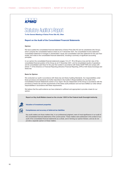

# Statutory Auditor's Report

**To the General Meeting of Swiss Prime Site AG, Olten**

#### **Report on the Audit of the Consolidated Financial Statements**

#### **Opinion**

We have audited the consolidated financial statements of Swiss Prime Site AG and its subsidiaries (the Group), which comprise the consolidated balance sheet as at 31 December 2021, the consolidated income statement, consolidated statement of changes in shareholders' equity and consolidated cash flow statement for the year then ended, and notes to the consolidated financial statements, including a summary of significant accounting principles.

In our opinion the consolidated financial statements (pages 12 to 47, 76 to 83) give a true and fair view of the consolidated financial position of the Group as at 31 December 2021, and its consolidated results of operations and its consolidated cash flows for the year then ended in accordance with Swiss GAAP FER and comply with Article 17 of the Directive on Financial Reporting (Directive Financial Reporting, DFR) of SIX Swiss Exchange and Swiss law.

#### **Basis for Opinion**

We conducted our audit in accordance with Swiss law and Swiss Auditing Standards. Our responsibilities under those provisions and standards are further described in the Auditor's Responsibilities for the Audit of the Consolidated Financial Statements section of our report. We are independent of the Group in accordance with the provisions of Swiss law and the requirements of the Swiss audit profession and we have fulfilled our other ethical responsibilities in accordance with these requirements.

We believe that the audit evidence we have obtained is sufficient and appropriate to provide a basis for our opinion.

**Report on Key Audit Matters based on the circular 1/2015 of the Federal Audit Oversight Authority**



#### **Valuation of investment properties**



#### **Completeness and accuracy of deferred tax liabilities**

Key audit matters are those matters that, in our professional judgment, were of most significance in our audit of the consolidated financial statements of the current period. These matters were addressed in the context of our audit of the consolidated financial statements as a whole, and in forming our opinion thereon, and we do not provide a separate opinion on these matters.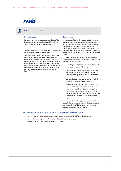



#### **Valuation of investment properties**

#### **Key Audit Matter Our response**

Investment properties form a substantial part of the balance sheet and showed an overall fair value of TCHF 12'489'910 as at 31 December 2021.

The Group's total investment properties are valued at fair value as at the balance sheet date.

The valuation is based on the external valuation expert's report. The fair value estimates performed every six months using the discounted cash flow model are significantly influenced by assumptions and estimates made by the Executive Board and the external valuation expert with regard to the expected future cash flows and the discount rate used for each property depending on its individual rewards and risks.

In the course of our audit, we assessed the external valuation expert's competence and independence. We met with the external valuation expert regarding the valuation of the investment properties, and discussed the valuation methodology and selected input factors applied in the valuation. We used our own real estate valuation specialists to support our audit procedures.

For a sample identified based on quantitative and qualitative factors, we performed, amongst others, the following audit procedures:

- evaluating the methodical accuracy of the model used to determine the fair value;
- − challenging the most important input factors applied in the valuation (such as discount rate, market rents, vacancy rates, overhead / maintenance and renovation expenses) by comparing them with past figures, benchmarks, publicly available data and our own market assessments.
- − additionally concerning properties under construction / development sites: assessment of key assumptions related to construction costs, utilisation, date of completion, expected revenues as well as future market outlook and evaluation of recoverability and allocation of investment costs capitalized.

We also considered the appropriateness of disclosures in the consolidated financial statements regarding the sensitivity of the investment properties' fair value to changes in discount rates.

For further information on the valuation of the investment properties refer to the following:

- Note 2 "Summary of significant accounting principles" to the consolidated financial statements
- Note 14 "Investment properties" to the consolidated financial statements
- Valuation Expert's Report, Wüest Partner AG, Zurich

2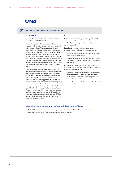

#### **Completeness and accuracy of deferred tax liabilities**

#### **Key Audit Matter Our response**

As at 31 December 2021, deferred tax liabilities amounted to TCHF 1'263'720.

Deferred taxes arise due to temporary differences between the values in the tax accounts and the consolidated balance sheet. The calculation of deferred taxes takes into account the expected point in time when, and the manner in which, the assets and liabilities are expected to be realized or settled. The applied tax rates correspond to those that are enacted or substantively enacted at the respective locations at the balance sheet date. Deferred taxes primarily result from valuation differences between the fair values of investment properties and their values for tax purposes.

In the calculation of the deferred tax liabilities, assumptions and estimates must be made with regards to the fiscally relevant investment costs and the fair values of the properties as well as the tax rates applicable at the time the tax differences are realized. If properties are held for long periods, the fiscally relevant investment costs may be determined using an alternative measure instead of the actual investment costs, depending on the respective cantonal rules (e.g. fair value 20 years ago for Zurich properties). Moreover, in cantons with a separate property gains tax (one-tier system), the residual holding period of the properties has to be estimated, whereby SPS assumes a minimum ownership period of 20 years for properties not held for sale.

In the course of our audit, we critically assessed the calculation of deferred taxes on investment, development and commercial properties with the support of our tax specialists.

Based on the overall portfolio, we performed, amongst others, the following audit procedures:

- − evaluating the calculation method used to determine deferred tax liabilities;
- − critically assessing the assumed tax rates applicable to each canton at the time the tax differences are realized.

For a sample identified based on quantitative and qualitative factors, we performed, amongst others, the following audit procedures:

- − reconciling the fair value with the valuation documentation and the fiscally relevant investment costs with the fixed asset accounting or the client's detailed records;
- testing the mathematical accuracy of the deferred tax calculation.

3

#### For further information on the calculation of deferred tax liabilities refer to the following:

- Note 2 "Summary of significant accounting principles" to the consolidated financial statements
- Note 10 "Income taxes" to the consolidated financial statements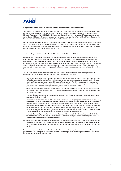

#### **Responsibility of the Board of Directors for the Consolidated Financial Statements**

The Board of Directors is responsible for the preparation of the consolidated financial statements that give a true and fair view in accordance with Swiss GAAP FER, Article 17 of the Directive on Financial Reporting (Directive Financial Reporting, DFR) of SIX Swiss Exchange and the provisions of Swiss law, and for such internal control as the Board of Directors determines is necessary to enable the preparation of consolidated financial statements that are free from material misstatement, whether due to fraud or error.

In preparing the consolidated financial statements, the Board of Directors is responsible for assessing the Group's ability to continue as a going concern, disclosing, as applicable, matters related to going concern and using the going concern basis of accounting unless the Board of Directors either intends to liquidate the Group or to cease operations, or has no realistic alternative but to do so.

#### **Auditor's Responsibilities for the Audit of the Consolidated Financial Statements**

Our objectives are to obtain reasonable assurance about whether the consolidated financial statements as a whole are free from material misstatement, whether due to fraud or error, and to issue an auditor's report that includes our opinion. Reasonable assurance is a high level of assurance, but is not a guarantee that an audit conducted in accordance with Swiss law and Swiss Auditing Standards will always detect a material misstatement when it exists. Misstatements can arise from fraud or error and are considered material if, individually or in the aggregate, they could reasonably be expected to influence the economic decisions of users taken on the basis of these consolidated financial statements.

As part of an audit in accordance with Swiss law and Swiss Auditing Standards, we exercise professional judgment and maintain professional skepticism throughout the audit. We also:

- Identify and assess the risks of material misstatement of the consolidated financial statements, whether due to fraud or error, design and perform audit procedures responsive to those risks, and obtain audit evidence that is sufficient and appropriate to provide a basis for our opinion. The risk of not detecting a material misstatement resulting from fraud is higher than for one resulting from error, as fraud may involve collusion, forgery, intentional omissions, misrepresentations, or the override of internal control.
- Obtain an understanding of internal control relevant to the audit in order to design audit procedures that are appropriate in the circumstances, but not for the purpose of expressing an opinion on the effectiveness of the Group's internal control.
- Evaluate the appropriateness of accounting policies used and the reasonableness of accounting estimates and related disclosures made.
- Conclude on the appropriateness of the Board of Directors' use of the going concern basis of accounting and, based on the audit evidence obtained, whether a material uncertainty exists related to events or conditions that may cast significant doubt on the Group's ability to continue as a going concern. If we conclude that a material uncertainty exists, we are required to draw attention in our auditor's report to the related disclosures in the consolidated financial statements or, if such disclosures are inadequate, to modify our opinion. Our conclusions are based on the audit evidence obtained up to the date of our auditor's report. However, future events or conditions may cause the Group to cease to continue as a going concern.
- Evaluate the overall presentation, structure and content of the consolidated financial statements, including the disclosures, and whether the consolidated financial statements represent the underlying transactions and events in a manner that achieves fair presentation.
- Obtain sufficient appropriate audit evidence regarding the financial information of the entities or business activities within the Group to express an opinion on the consolidated financial statements. We are responsible for the direction, supervision and performance of the Group audit. We remain solely responsible for our audit opinion.

We communicate with the Board of Directors or its relevant committee regarding, among other matters, the planned scope and timing of the audit and significant audit findings, including any significant deficiencies in internal control that we identify during our audit.

4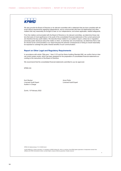

We also provide the Board of Directors or its relevant committee with a statement that we have complied with relevant ethical requirements regarding independence, and to communicate with them all relationships and other matters that may reasonably be thought to bear on our independence, and where applicable, related safeguards.

From the matters communicated with the Board of Directors or its relevant committee, we determine those matters that were of most significance in the audit of the consolidated financial statements of the current period and are therefore the key audit matters. We describe these matters in our auditor's report, unless law or regulation precludes public disclosure about the matter or when, in extremely rare circumstances, we determine that a matter should not be communicated in our report because the adverse consequences of doing so would reasonably be expected to outweigh the public interest benefits of such communication.

# **Report on Other Legal and Regulatory Requirements**

In accordance with article 728a para. 1 item 3 CO and the Swiss Auditing Standard 890, we confirm that an internal control system exists, which has been designed for the preparation of consolidated financial statements according to the instructions of the Board of Directors.

We recommend that the consolidated financial statements submitted to you be approved.

KPMG AG

Kurt Stocker Licensed Audit Expert Auditor in Charge

Anna Pohle Licensed Audit Expert

Zurich, 10 February 2022

KPMG AG, Badenerstrasse 172, CH-8036 Zurich

© 2022 KPMG AG, a Swiss corporation, is a subsidiary of KPMG Holding AG, which is a member of the KPMG global organization of independent member firms affiliated with KPMG International Limited, a private English company limited by guarantee. All rights reserved.

5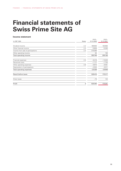# **Financial statements of Swiss Prime Site AG**

# **Income statement**

|                                    |       | $01.01 -$  | $01.01 -$  |
|------------------------------------|-------|------------|------------|
| in CHF 1000                        | Notes | 31.12.2020 | 31.12.2021 |
| Dividend income                    | 2.2   | 166900     | 192683     |
| Other financial income             | 2.3   | 13659      | 13290      |
| Income from sale of participations | 2.4   | 375096     |            |
| Other operating income             |       | 94         | 193        |
| Total operating income             |       | 555749     | 206166     |
| Financial expenses                 | 2.5   | $-6419$    | $-13403$   |
| Personnel costs                    |       | $-1717$    | $-1754$    |
| Other operating expenses           | 2.6   | $-9670$    | $-6481$    |
| Depreciation of participations     |       | $-2533$    | $-9311$    |
| Total operating expenses           |       | $-20339$   | $-30949$   |
| Result before taxes                |       | 535410     | 175217     |
| Direct taxes                       |       | $-70$      | 124        |
| Profit                             | 4     | 535340     | 175341     |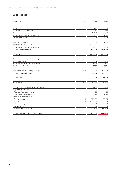# **Balance sheet**

| in CHF 1000                                   | Notes | 31.12.2020 | 31.12.2021 |
|-----------------------------------------------|-------|------------|------------|
|                                               |       |            |            |
| Assets                                        |       |            |            |
| Cash                                          |       | 277        | 39         |
| Securities with market price                  |       | 291        | 294        |
| Other current receivables                     | 2.7   | 167 173    | 192624     |
| Accrued income and prepaid expenses           |       | 1792       | 1575       |
| Total current assets                          |       | 169533     | 194532     |
| Financial investments                         | 2.8   | 255755     | 67559      |
| Investments in subsidiaries                   | 2.9   | 2387956    | 2378956    |
| Accrued income and prepaid expenses           |       | 2092       | 1178       |
| Total non-current assets                      |       | 2645803    | 2447693    |
| <b>Total assets</b>                           |       | 2815336    | 2642225    |
| Liabilities and shareholders' equity          |       |            |            |
| Other current liabilities                     | 2.10  | 1594       | 2280       |
| Accrued expenses and deferred income          |       | 5305       | 4691       |
| <b>Total current liabilities</b>              |       | 6899       | 6971       |
|                                               |       |            |            |
| Non-current interest-bearing liabilities      | 2.11  | 788930     | 694862     |
| Total non-current liabilities                 |       | 788930     | 694862     |
| <b>Total liabilities</b>                      |       | 795829     | 701833     |
| Share capital                                 | 2.12  | 1162347    | 1162347    |
| Statutory reserves                            |       |            |            |
| Statutory reserves from capital contributions |       | 157468     | 30220      |
| Legal retained earnings                       |       |            |            |
| Reserves for treasury shares                  |       | 165        | 55         |
| Other legal retained earnings                 |       | 147378     | 147378     |
| Voluntary retained earnings                   |       |            |            |
| Balance sheet profit                          | 4     | 726467     | 439425     |
| Merger loss                                   | 2.1   | $-335135$  |            |
| Other voluntary retained earnings             |       | 160860     | 160970     |
| Treasury shares                               | 2.13  | $-43$      | $-3$       |
| Total shareholders' equity                    |       | 2019507    | 1940392    |
| Total liabilities and shareholders' equity    |       | 2815336    | 2642225    |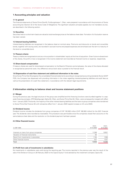### **1 Accounting principles and valuation**

#### **1.1 In general**

The financial statements of Swiss Prime Site AG, Frohburgstrasse 1, Olten, were prepared in accordance with the provisions of Swiss accounting law (Section 32 of the Swiss Code of Obligations). The significant valuation principles applied, but not mandatory by law, are described in the following section.

#### **1.2 Securities**

Securities held on a short-term basis are valued at stock-exchange prices at the balance sheet date. Formation of a fluctuation reserve has been waived.

#### **1.3 Interest-bearing liabilities**

Interest-bearing liabilities are recognised in the balance sheet at nominal value. Premiums and discounts on bonds and convertible bonds, together with issuing costs, are recorded in accrued income and prepaid expenses and amortised over the term to maturity of the bond or convertible bond.

#### **1.4 Treasury shares**

Treasury shares are recognised at cost as a minus position in shareholders' equity at the time of acquisition. Given future re-divestment of the shares, the profit or loss is recognised in the income statement and recorded as financial income or expense, respectively.

#### **1.5 Share-based compensation**

If treasury shares are used for share-based compensation to the Board of Directors and employees, the value of the shares allocated is recognised as personnel costs. Any difference versus book value is posted to the financial result.

#### **1.6 Dispensation of cash flow statement and additional information in the notes**

Since Swiss Prime Site AG prepares the consolidated financial statements according to recognised accounting standards (Swiss GAAP FER), the Company has dispensed with providing information in the notes regarding interesting-bearing liabilities and audit fees as well as the presentation of a cash flow statement, in accordance with the relevant legal requirements.

#### **2 Information relating to balance sheet and income statement positions**

#### **2.1 Merger**

During the previous year, the legal structure of the group was simplified and the financing functions were bundled together in a separate financing company. SPS Beteiligungen Alpha AG, Olten, and Swiss Prime Site AG, Olten, were consequently merged with effect from 1 January 2020. The bonds, the majority of the other interest-bearing liabilities and the loans to group companies were transferred to Swiss Prime Site Finance AG with retroactive effect from 1 January 2020 (capital increase on 24 June 2020).

#### **2.2 Dividend income**

Dividend income includes the dividends from group companies of CHF 192.683 million [CHF 166.900 million] for the 2021 financial year. The dividends were recorded as receivables. This procedure was permissible since the companies closed their accounts on the same balance sheet date and the resolution on the dividend payment had been passed.

# **2.3 Other financial income**

| in CHF 1000                             | $01.01 -$<br>31.12.2020 | $01.01 -$<br>31.12.2021 |
|-----------------------------------------|-------------------------|-------------------------|
| Interests on loans from group companies | 11 3 9 6                | 10657                   |
| Valuation of financial instruments      | 92                      |                         |
| Result from investments in associates   | 1744                    | 1596                    |
| Other financial income                  | 427                     | 1037                    |
| Total                                   | 13659                   | 13290                   |

# **2.4 Profit from sale of investments in subsidiaries**

No investments in subsidiaries were sold during the reporting year. The income reported in the previous year was the result of the sale of the Tertianum Group on 28 February 2020 to the Capvis Equity V fund advised by the investment company Capvis AG.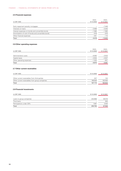# **2.5 Financial expenses**

|                                                     | $01.01 -$  | $01.01 -$  |
|-----------------------------------------------------|------------|------------|
| in CHF 1000                                         | 31.12.2020 | 31.12.2021 |
| Early repayment penalty mortgages                   |            | $-7446$    |
| Interests on loans                                  | $-3469$    | $-3345$    |
| Interest expenses on bonds and convertible bonds    | $-1580$    | $-1583$    |
| Amortisation of cost of bonds and convertible bonds | $-919$     | $-915$     |
| Other financial expenses                            | $-451$     | $-114$     |
| Total                                               | $-6419$    | $-13403$   |

# **2.6 Other operating expenses**

| in CHF 1000              | $01.01 -$<br>31.12.2020 | $01.01 -$<br>31.12.2021 |
|--------------------------|-------------------------|-------------------------|
|                          |                         |                         |
| Administration costs     | $-6383$                 | -3533                   |
| Capital taxes            | $-2034$                 | $-2027$                 |
| Other operating expenses | $-1253$                 | $-921$                  |
| Total                    | $-9670$                 | $-6481$                 |

# **2.7 Other current receivables**

| in CHF 1000                                    | 31.12.2020 | 31.12.2021 |
|------------------------------------------------|------------|------------|
|                                                |            |            |
| Other current receivables from third parties   | 247        | 124        |
| Other current receivables from group companies | 166926     | 192500     |
| Total                                          | 167173     | 192624     |

# **2.8 Financial investments**

| in CHF 1000              | 31.12.2020               | 31.12.2021 |
|--------------------------|--------------------------|------------|
|                          |                          |            |
| Loans to group companies | 254668                   | 65019      |
| Third loans              | $\overline{\phantom{0}}$ | 500        |
| Participations under 20% | 1087                     | 2040       |
| Total                    | 255755                   | 67559      |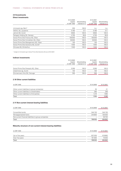# **2.9 Investments**

# **Direct investments**

|                                                    | 31.12.2020  |               | 31.12.2021  |               |
|----------------------------------------------------|-------------|---------------|-------------|---------------|
|                                                    | Capital     | Shareholding  | Capital     | Shareholding  |
|                                                    | in CHF 1000 | interest in % | in CHF 1000 | interest in % |
|                                                    |             |               |             |               |
| immoveris ag, Bern <sup>1</sup>                    | 200         | 100.0         | n.a.        | n.a.          |
| <b>INOVIL SA, Lausanne</b>                         | 5160        | 27.1          | 5160        | 27.1          |
| Jelmoli AG, Zurich                                 | 6600        | 100.0         | 6600        | 100.0         |
| Parkgest Holding SA, Geneva                        | 4750        | 38.8          | 4750        | 38.8          |
| Swiss Prime Site Finance AG, Olten                 | 100000      | 100.0         | 100000      | 100.0         |
| Swiss Prime Site Immobilien AG, Olten              | 50000       | 100.0         | 50000       | 100.0         |
| Swiss Prime Site Management AG, Olten              | 100         | 100.0         | 100         | 100.0         |
| Swiss Prime Site Solutions AG, Zurich <sup>1</sup> | 1500        | 100.0         | 1500        | 100.0         |
| Wincasa AG, Winterthur                             | 1500        | 100.0         | 1500        | 100.0         |
|                                                    |             |               |             |               |

1 merger of immoveris ag in Swiss Prime Site Solutions AG as at 01.01.2021

### **Indirect investments**

| 31.12.2020<br>Capital<br>in CHF 1000 | Shareholding<br>interest in % | 31.12.2021<br>Capital<br>in CHF 1000 | Shareholding<br>interest in % |
|--------------------------------------|-------------------------------|--------------------------------------|-------------------------------|
| 5295                                 | 100.0                         | 5295                                 | 100.0                         |
| 100                                  | 100.0                         | 100                                  | 100.0                         |
| 350                                  | 100.0                         | 350                                  | 100.0                         |
|                                      |                               |                                      |                               |

# **2.10 Other current liabilities**

| in CHF 1000                                  | 31.12.2020 | 31.12.2021 |
|----------------------------------------------|------------|------------|
| Other current liabilities to group companies | 35         | 21         |
| Other current liabilities to shareholders    | 285        | 299        |
| Other current liabilities to third parties   | 1274       | 1960       |
| Total                                        | 1594       | 2280       |

# **2.11 Non-current interest-bearing liabilities**

| in CHF 1000                                          | 31.12.2020 | 31.12.2021 |
|------------------------------------------------------|------------|------------|
|                                                      |            |            |
| Convertible bonds                                    | 544130     | 544130     |
| Mortgage-backed loans                                | 244800     | 100000     |
| Non-current financial liabilities to group companies |            | 50732      |
| Total                                                | 788930     | 694862     |

# **Maturity structure of non-current interest-bearing liabilities**

| in CHF 1000      | 31.12.2020 | 31.12.2021 |
|------------------|------------|------------|
|                  |            |            |
| Up to five years | 627030     | 619862     |
| Over five years  | 161900     | 75000      |
| Total            | 788930     | 694862     |
|                  |            |            |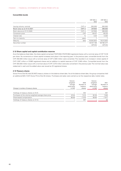# **Convertible bonds**

|                             |            | CHF 250 m<br>2023 | CHF 300 m<br>2025 |
|-----------------------------|------------|-------------------|-------------------|
|                             |            |                   |                   |
| Issuing volume, nominal     | CHF m      | 250,000           | 300.000           |
| Book value as at 31.12.2021 | CHF m      | 247.500           | 296.630           |
| Book value as at 31.12.2020 | CHF m      | 247.500           | 296.630           |
| Conversion price            | <b>CHF</b> | 104.07            | 100.35            |
| Interest rate               | %          | 0.25              | 0.325             |
| Term to maturity            | years      |                   | 7                 |
| Maturity                    | date       | 16.06.2023        | 16.01.2025        |
| Securities number           |            | 32 811 156        | 39 764 277        |
|                             |            | (SPS16)           | (SPS18)           |

#### **2.12 Share capital and capital contribution reserves**

As at the balance sheet date, the share capital comprised 75970364 [75970364] registered shares with a nominal value of CHF 15.30 per share. No conversions or share capital increases took place in the reporting year. In the previous year, convertible bonds from the CHF 250.000 million issue with a nominal value of CHF 2.500 million were converted. This resulted in an increase in share capital of CHF 0.367 million or 23983 registered shares and an addition to capital reserves of CHF 2.046 million. Convertible bonds from the CHF 300.000 million issue with a nominal value of CHF 3.370 million were also converted in the previous year. The nominal value was redeemed in cash and the added value was issued as 32 registered shares.

#### **2.13 Treasury shares**

Swiss Prime Site AG held 30 [497] treasury shares on the balance sheet date. As at the balance sheet date, the group companies held an additional 625 [1347] Swiss Prime Site AG shares. Purchases and sales were carried out at the respective daily market rates.

| Change in number of treasury shares                  | Volume-<br>weighted<br>average<br>share price<br>in CHF | 2020<br>Number of<br>treasury<br>shares | Volume-<br>weighted<br>average<br>share price<br>in CHF | 2021<br>Number of<br>treasury<br>shares |
|------------------------------------------------------|---------------------------------------------------------|-----------------------------------------|---------------------------------------------------------|-----------------------------------------|
| Holdings of treasury shares on 01.01.                |                                                         | 454                                     |                                                         | 497                                     |
| Purchases at the volume-weighted average share price | 87.44                                                   | 7413                                    | 92.35                                                   | 7450                                    |
| Share-based compensation                             | 86.90                                                   | $-7370$                                 | 89.65                                                   | $-7917$                                 |
| Holdings of treasury shares on 31.12.                |                                                         | 497                                     |                                                         | 30                                      |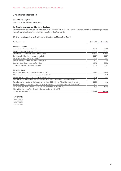# **3 Additional information**

# **3.1 Full-time employees**

Swiss Prime Site AG has no employees.

#### **3.2 Security provided for third-party liabilities**

The company has provided security in the amount of CHF 4506.700 million [CHF 4379.200 million]. This takes the form of guarantees for the financial liabilities of the subsidiary Swiss Prime Site Finance AG.

#### **3.3 Shareholding rights for the Board of Directors and Executive Board**

| Number of shares                                                                                        | 31.12.2020 | 31.12.2021 |
|---------------------------------------------------------------------------------------------------------|------------|------------|
|                                                                                                         |            |            |
| <b>Board of Directors</b>                                                                               |            |            |
| Ton Büchner, Chairman of the BoD                                                                        | 4809       | 6716       |
| Mario F. Seris, Vice-Chairman of the BoD                                                                | 15138      | 16172      |
| Christopher M. Chambers, member of the BoD                                                              | 43640      | 44620      |
| Dr. Barbara Frei-Spreiter, member of the BoD                                                            | 2987       | 3967       |
| Dr. Rudolf Huber, member of the BoD <sup>1</sup>                                                        | 15969      | n.a.       |
| Barbara Antonia Knoflach, member of the BoD <sup>2</sup>                                                | n.a.       | 754        |
| Gabrielle Nater-Bass, member of the BoD                                                                 | 1840       | 2820       |
| Thomas Studhalter, member of the BoD                                                                    | 3107       | 4141       |
|                                                                                                         |            |            |
| <b>Executive Board</b>                                                                                  |            |            |
| René Zahnd, member of the Executive Board (CEO)                                                         | 9680       | 12894      |
| Marcel Kucher, member of the Executive Board (CFO) <sup>3</sup>                                         | n.a.       | 5150       |
| Markus Meier, member of the Executive Board (CFO) <sup>4</sup>                                          | 8754       | n.a.       |
| Martin Kaleja, member of the Executive Board and CEO of Swiss Prime Site Immobilien AG <sup>5</sup>     | n.a.       |            |
| Peter Lehmann, member of the Executive Board and CEO of Swiss Prime Site Immobilien AG <sup>6</sup>     | 15069      | n.a.       |
| Anastasius Tschopp, member of the Executive Board and CEO of Swiss Prime Site Solutions AG <sup>5</sup> | n.a.       | 581        |
| Oliver Hofmann, member of the Executive Board and CEO of Wincasa AG                                     | 400        | 1830       |
| Nina Müller, member of the Executive Board and CEO of Jelmoli AG                                        |            |            |
| Total share ownership                                                                                   | 121393     | 99645      |

1 until 23.03.2021

2 since 23.03.2021

3 since 01.07.2021

4 until 30.06.2021

5 since 01.01.2021

<sup>6</sup> until 31.12.2020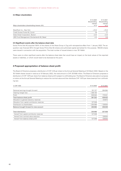### **3.4 Major shareholders**

| Major shareholders (shareholding interest >3%) | 31.12.2020<br>Shareholding<br>interest<br>in $%$ | 31.12.2021<br>Shareholding<br>interest<br>in $%$ |
|------------------------------------------------|--------------------------------------------------|--------------------------------------------------|
| BlackRock Inc., New York                       | < 10.0                                           | < 10.0                                           |
| Credit Suisse Funds AG, Zurich                 | 7.8                                              | 7.7                                              |
| State Street Corporation, Boston               | >3.0                                             | >3.0                                             |
| UBS Fund Management (Switzerland) AG, Basel    | 4.3                                              | 3.8                                              |

#### **3.5 Significant events after the balance sheet date**

Swiss Prime Site AG acquired 100% of the shares of the Akara Group in Zug with retrospective effect from 1 January 2022. The acquisition was financed 35% through Swiss Prime Site AG shares and authorised capital earmarked for this purpose. 748240 shares were issued in connection with the acquisition. The total number of issued shares is now 76718604.

There were no other significant events after the balance sheet date that would have an impact on the book values of the reported assets or liabilities, or which would need to be disclosed at this point.

# **4 Proposed appropriation of balance sheet profit**

The Board of Directors proposes a distribution of CHF 3.35 per share to the Annual General Meeting of 23 March 2022. Based on the 76718604 shares issued in total as at 10 February 2022, the total amount is CHF 257.008 million. The Board of Directors proposes a distribution of CHF 1.675 per share from balance sheet profit (subject to withholding tax). The Board of Directors also plans to propose a motion at the Annual General Meeting to reduce the nominal value and then distribute CHF 1.675 per share (exempt from withholding tax).

| in CHF 1000                                   | 31.12.2020 | 31.12.2021 |
|-----------------------------------------------|------------|------------|
| Retained earnings brought forward             | 191 127    | 264084     |
| Clearing merger loss                          | $-335135$  |            |
| Profit                                        | 535340     | 175341     |
| Total balance sheet profit                    | 391332     | 439425     |
| Allocation to general statutory reserves      |            | $-54872$   |
| Allocation from capital contribution reserves | 127248     |            |
| Distribution to shareholders                  | $-254496$  | $-128504$  |
| Balance brought forward to new account        | 264084     | 256049     |
| <b>Total distribution</b>                     | 254496     | 257008     |
| thereof from capital contribution reserves    | 127248     |            |
| thereof from nominal value reduction          |            | 128504     |
| thereof from balance sheet profit             | 127248     | 128504     |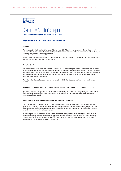

# Statutory Auditor's Report

**To the General Meeting of Swiss Prime Site AG, Olten**

#### **Report on the Audit of the Financial Statements**

#### **Opinion**

We have audited the financial statements of Swiss Prime Site AG, which comprise the balance sheet as at 31 December 2021, the income statement for the year then ended, and notes to the financial statements, including a summary of significant accounting principles.

In our opinion the financial statements (pages 55 to 62) for the year ended 31 December 2021 comply with Swiss law and the company's articles of incorporation.

#### **Basis for Opinion**

We conducted our audit in accordance with Swiss law and Swiss Auditing Standards. Our responsibilities under those provisions and standards are further described in the Auditor's Responsibilities for the Audit of the Financial Statements section of our report. We are independent of the entity in accordance with the provisions of Swiss law and the requirements of the Swiss audit profession and we have fulfilled our other ethical responsibilities in accordance with these requirements.

We believe that the audit evidence we have obtained is sufficient and appropriate to provide a basis for our opinion.

#### **Report on Key Audit Matters based on the circular 1/2015 of the Federal Audit Oversight Authority**

Key audit matters are those matters that, in our professional judgment, were of most significance in our audit of the financial statements of the current period. We have determined that there are no key audit matters to communicate in our report.

#### **Responsibility of the Board of Directors for the Financial Statements**

The Board of Directors is responsible for the preparation of the financial statements in accordance with the provisions of Swiss law and the company's articles of incorporation, and for such internal control as the Board of Directors determines is necessary to enable the preparation of financial statements that are free from material misstatement, whether due to fraud or error.

In preparing the financial statements, the Board of Directors is responsible for assessing the entity's ability to continue as a going concern, disclosing, as applicable, matters related to going concern and using the going concern basis of accounting unless the Board of Directors either intends to liquidate the entity or to cease operations, or has no realistic alternative but to do so.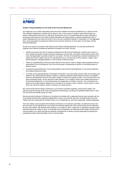

#### **Auditor's Responsibilities for the Audit of the Financial Statements**

Our objectives are to obtain reasonable assurance about whether the financial statements as a whole are free from material misstatement, whether due to fraud or error, and to issue an auditor's report that includes our opinion. Reasonable assurance is a high level of assurance, but is not a guarantee that an audit conducted in accordance with Swiss law and Swiss Auditing Standards will always detect a material misstatement when it exists. Misstatements can arise from fraud or error and are considered material if, individually or in the aggregate, they could reasonably be expected to influence the economic decisions of users taken on the basis of these financial statements.

As part of an audit in accordance with Swiss law and Swiss Auditing Standards, we exercise professional judgment and maintain professional skepticism throughout the audit. We also:

- Identify and assess the risks of material misstatement of the financial statements, whether due to fraud or error, design and perform audit procedures responsive to those risks, and obtain audit evidence that is sufficient and appropriate to provide a basis for our opinion. The risk of not detecting a material misstatement resulting from fraud is higher than for one resulting from error, as fraud may involve collusion, forgery, intentional omissions, misrepresentations, or the override of internal control.
- Obtain an understanding of internal control relevant to the audit in order to design audit procedures that are appropriate in the circumstances, but not for the purpose of expressing an opinion on the effectiveness of internal control.
- Evaluate the appropriateness of accounting policies used and the reasonableness of accounting estimates and related disclosures made.
- Conclude on the appropriateness of the Board of Directors' use of the going concern basis of accounting and, based on the audit evidence obtained, whether a material uncertainty exists related to events or conditions that may cast significant doubt on the entity's ability to continue as a going concern. If we conclude that a material uncertainty exists, we are required to draw attention in our auditor's report to the related disclosures in the financial statements or, if such disclosures are inadequate, to modify our opinion. Our conclusions are based on the audit evidence obtained up to the date of our auditor's report. However, future events or conditions may cause the entity to cease to continue as a going concern.

We communicate with the Board of Directors or its relevant committee regarding, among other matters, the planned scope and timing of the audit and significant audit findings, including any significant deficiencies in internal control that we identify during our audit.

We also provide the Board of Directors or its relevant committee with a statement that we have complied with relevant ethical requirements regarding independence, and to communicate with them all relationships and other matters that may reasonably be thought to bear on our independence, and where applicable, related safeguards.

From the matters communicated with the Board of Directors or its relevant committee, we determine those matters that were of most significance in the audit of the financial statements of the current period and are therefore the key audit matters. We describe these matters in our auditor's report, unless law or regulation precludes public disclosure about the matter or when, in extremely rare circumstances, we determine that a matter should not be communicated in our report because the adverse consequences of doing so would reasonably be expected to outweigh the public interest benefits of such communication.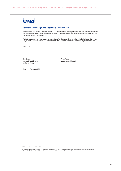

# **Report on Other Legal and Regulatory Requirements**

In accordance with article 728a para. 1 item 3 CO and the Swiss Auditing Standard 890, we confirm that an internal control system exists, which has been designed for the preparation of financial statements according to the instructions of the Board of Directors.

We further confirm that the proposed appropriation of available earnings complies with Swiss law and the company's articles of incorporation. We recommend that the financial statements submitted to you be approved.

KPMG AG

Kurt Stocker Licensed Audit Expert Auditor in Charge

Anna Pohle Licensed Audit Expert

Zurich, 10 February 2022

KPMG AG, Badenerstrasse 172, CH-8036 Zurich

© 2022 KPMG AG, a Swiss corporation, is a subsidiary of KPMG Holding AG, which is a member of the KPMG global organization of independent member firms affiliated with KPMG International Limited, a private English company limited by guarantee. All rights reserved.

3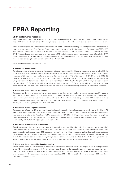# **EPRA Reporting**

#### **EPRA performance measures**

The European Public Real Estate Association (EPRA) is a non-profit association representing Europe's publicly listed property companies. EPRA's aim is to establish consistent reporting across the real estate sector. Further information can be found at www.epra.com.

Swiss Prime Site applies the best practices recommendations of EPRA for financial reporting. The EPRA performance measures were prepared in accordance with Best Practices Recommendations (BPR) Guidelines dated October 2019. The application of EPRA BPR 2019 generally requires financial statements prepared in accordance with IFRS. For this reason, a bridge from earnings per Swiss GAAP FER consolidated income statements to earnings per «IFRS equivalent» consolidated income statement and from Swiss GAAP FER equity attributable to shareholders to «IFRS equivalent» equity attributable to shareholders is provided. The previous year's figures have also been adjusted; the transition date is therefore 1 January 2020.

The relevant adjustments are explained below:

#### **1. Adjustment due to leases**

The adjustment due to leases incorporates the necessary adjustments to reflect IFRS 16 Leases accounting for situations in which the Group is a lessee. The Group applied the discount rate based on the build-up approach on all lease contracts as of 1 January 2020. A lessee recognises a ROU asset and a lease liability for all leases as of the transition date to IFRS. A ROU asset of CHF 293.201 million [CHF 302.158 million] and a lease liability of CHF 293.466 million [CHF 302.314 million] existed at 31.12.2021 [31.12.2020] under «IFRS equivalent». The Group recorded revaluation and depreciation expenses on the ROU asset of CHF 8.957 million [CHF 8.914 million], interest expenses on the lease liability of CHF 3.876 million [CHF 3.966 million] and deferred tax effect of CHF 0.022 million [CHF 0.031 million] which in total was higher by CHF 0.087 million [CHF 0.125 million] than the recognised straight-line operating lease expense under Swiss GAAP FER.

#### **2. Adjustment due to revenue recognition**

The adjustment due to revenue recognition relates to a property development contract for a client that was accounted for with two identified performance obligations under Swiss GAAP FER whereas only one performance obligation was identified under IFRS 15 Revenue from Contracts with Customers. The analysis led to a deferral in the revenue recognition under IFRS compared to Swiss GAAP FER in the years prior to 2020. As such, in 2021, the revenue recognised under «IFRS equivalent» increased by CHF 3.703 million [CHF 3.573 million] compared to Swiss GAAP FER.

#### **3. Adjustment due to employee benefits**

The adjustment reflects the differences regarding defined benefit accounting for the Group's several pension plans. Specifically, IAS 19 Employee Benefits requires the application of the projected unit credit method to reflect the defined benefit plans whereas there was no actuarial valuation under Swiss GAAP FER. When converting to 2021 [2020] «IFRS equivalent» values, the expense for employee benefits increased by CHF 1.332 million [CHF 0.393 million] and the asset from employee benefits increased by CHF 22.064 million [decreased by CHF 18.281 million] compared to Swiss GAAP FER.

#### **4. Adjustment due to financial instruments**

The adjustment due to financial instruments relates to the recognition of a separable embedded derivative (a holder conversion option) under IFRS included in a convertible loan issued by the group in 2018. Swiss GAAP FER foresees an option for the separation of separable embedded derivatives whereas IFRS requires the separation of separable embedded derivatives. Such derivatives need to be remeasured at fair value through profit or loss at each reporting date. As a result, the derivative's fair value of CHF 34.740 million as of 01.01.2020 was recorded as financial liability through retained earnings (excluding tax effects). The liability was adjusted to a fair value of nil as of 31.12.2020. The resulting gain of CHF 34.740 million was recorded as financial income in 2020.

#### **5. Adjustment due to reclassification of properties**

The adjustment relates to a reclassification of properties from investment properties to own-used properties due to the requirements of IAS 40 Investment Property. As such, for 2021, there was a decrease in the revaluation gain on investment properties, net, of CHF 13.977 million [increase of CHF 2.164 million] under «IFRS equivalent» compared to Swiss GAAP FER. In addition, for 2021, there is an increase in the depreciation expense for own-used properties of CHF 1.121 million [CHF 0.961 million] under «IFRS equivalent» compared to Swiss GAAP FER.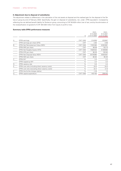# **6. Adjustment due to disposal of subsidiaries**

The adjustment relates to differences in the calculation of the net assets at disposal and the realised gain for the disposal of the Tertianum group by end of February 2020. Specifically, the gain on disposal of subsidiaries, net, under «IFRS equivalent» increased by reflecting the net defined benefit liability for Tertianum group, amounting to CHF 60.829 million (net of tax), and by the elimination of the reclassification of goodwill of CHF 304.538 million from equity to profit or loss.

#### **Summary table EPRA performance measures**

|           |                                                  |            | $01.01 -$     | $01.01 -$     |
|-----------|--------------------------------------------------|------------|---------------|---------------|
|           |                                                  |            | 31.12.2020    | 31.12.2021    |
|           |                                                  | in         | or 31.12.2020 | or 31.12.2021 |
| $A_{1}$   | EPRA earnings                                    | CHF 1000   | 214959        | 233697        |
|           | EPRA earnings per share (EPS)                    | <b>CHF</b> | 2.83          | 3.08          |
| <b>B.</b> | EPRA Net Reinstatement Value (NRV)               | CHF 1000   | 7974360       | 8352961       |
|           | EPRA NRV per share                               | CHF        | 98.08         | 102.74        |
|           | EPRA Net Tangible Assets (NTA)                   | CHF 1000   | 7826532       | 8198983       |
|           | EPRA NTA per share                               | CHF        | 96.26         | 100.84        |
|           | EPRA Net Disposal Value (NDV)                    | CHF 1000   | 6578980       | 6935567       |
|           | EPRA NDV per share                               | CHF        | 80.92         | 85.30         |
| C.        | <b>EPRA NIY</b>                                  | $\%$       | 3.3           | 3.2           |
|           | EPRA topped-up NIY                               | $\%$       | 3.4           | 3.3           |
| D.        | EPRA vacancy rate                                | %          | 5.0           | 4.4           |
| Е.        | EPRA cost ratio (including direct vacancy costs) | $\%$       | 24.5          | 24.0          |
|           | EPRA cost ratio (excluding direct vacancy costs) | $\%$       | 22.4          | 21.9          |
| E.        | EPRA like-for-like change relative               | $\%$       | $-3.8$        | 1.3           |
| G.        | EPRA capital expenditure                         | CHF 1000   | 443193        | 298445        |
|           |                                                  |            |               |               |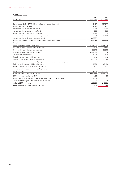# **A. EPRA earnings**

| in CHF 1000                                                                   | $01.01 -$<br>31.12.2020 | $01.01 -$<br>31.12.2021 |
|-------------------------------------------------------------------------------|-------------------------|-------------------------|
|                                                                               |                         |                         |
| Earnings per Swiss GAAP FER consolidated income statement                     | 610407                  | 507377                  |
| Adjustment due to leases (1)                                                  | $-125$                  | $-87$                   |
| Adjustment due to revenue recognition (2)                                     | 3073                    | 3185                    |
| Adjustment due to employee benefits (3)                                       | $-205$                  | $-995$                  |
| Adjustment due to financial instruments (4)                                   | 27792                   |                         |
| Adjustment due to reclassification of properties (5)                          | 964                     | $-12124$                |
| Adjustment due to disposal of subsidiaries (6)                                | 365367                  |                         |
| Earnings per «IFRS equivalent» consolidated income statement                  | 1007273                 | 497356                  |
| Exclude:                                                                      |                         |                         |
| Revaluations of investment properties                                         | $-202330$               | $-301554$               |
| Profit on disposal of real estate developments                                | $-17404$                | $-18587$                |
| Profit on disposal of investment properties                                   | $-22243$                | $-39916$                |
| Profit on disposal of participations, net                                     | $-569548$               |                         |
| Tax on profits on disposals                                                   | 6997                    | 9697                    |
| Negative goodwill/goodwill impairment                                         | n.a.                    | n.a.                    |
| Changes in fair value of financial instruments                                | $-35552$                | 24575                   |
| Transaction costs on acquisitions of group companies and associated companies |                         |                         |
| Deferred tax in respect of EPRA adjustments                                   | 47766                   | 62126                   |
| Adjustments in respect of associated companies                                | n.a.                    | n.a.                    |
| Adjustments in respect of non-controlling interests                           | n.a.                    | n.a.                    |
| <b>EPRA</b> earnings                                                          | 214959                  | 233697                  |
| Average number of outstanding shares                                          | 75964863                | 75968104                |
| EPRA earnings per share in CHF                                                | 2.83                    | 3.08                    |
| Adjustment profit on disposal of real estate developments (core business)     | 17404                   | 18587                   |
| Tax on profit on disposal of real estate developments                         | $-2668$                 | $-2602$                 |
| <b>Adjusted EPRA earnings</b>                                                 | 229695                  | 249682                  |
| Adjusted EPRA earnings per share in CHF                                       | 3.02                    | 3.29                    |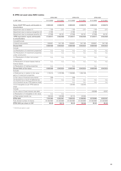# **B. EPRA net asset value (NAV) metrics**

|                                                                             | <b>EPRA NRV</b> |            | <b>EPRA NTA</b> |            | <b>EPRA NDV</b> |            |
|-----------------------------------------------------------------------------|-----------------|------------|-----------------|------------|-----------------|------------|
| in CHF 1000                                                                 | 31.12.2020      | 31.12.2021 | 31.12.2020      | 31.12.2021 | 31.12.2020      | 31.12.2021 |
| Swiss GAAP FER equity attributable to<br>shareholders                       | 6085629         | 6338679    | 6085629         | 6338679    | 6085629         | 6338679    |
| Adjustment due to leases (1)                                                | $-125$          | $-211$     | $-125$          | $-211$     | $-125$          | $-211$     |
| Adjustment due to revenue recognition (2)                                   | $-3185$         |            | $-3185$         |            | $-3185$         |            |
| Adjustment due to employee benefits (3)                                     | 47598           | 64191      | 47598           | 64191      | 47598           | 64191      |
| «IFRS equivalent» equity attributable<br>to shareholders                    | 6129917         | 6402659    | 6129917         | 6402659    | 6129917         | 6402659    |
| Include/Exclude:                                                            |                 |            |                 |            |                 |            |
| i) Hybrid instruments                                                       | 539651          | 541165     | 539651          | 541165     | 539651          | 541165     |
| <b>Diluted NAV</b>                                                          | 6669568         | 6943824    | 6669568         | 6943824    | 6669568         | 6943824    |
| Include:                                                                    |                 |            |                 |            |                 |            |
| ii.a) Revaluation of investment properties <sup>1</sup>                     | n.a.            | n.a.       | n.a.            | n.a.       | n.a.            | n.a.       |
| ii.b) Revaluation of investment properties<br>under construction            | n.a.            | n.a.       | n.a.            | n.a.       | n.a.            | n.a.       |
| ii.c) Revaluation of other non-current<br>investments                       | n.a.            | n.a.       | n.a.            | n.a.       | n.a.            | n.a.       |
| iii) Revaluation of tenant leases held as<br>finance leases                 | n.a.            | n.a.       | n.a.            | n.a.       | n.a.            | n.a.       |
| iv) Revaluation of trading properties                                       | n.a.            |            | n.a.            |            | n.a.            |            |
| Diluted NAV at Fair Value                                                   | 6669568         | 6943824    | 6669568         | 6943824    | 6669568         | 6943824    |
| Exclude:                                                                    |                 |            |                 |            |                 |            |
| v) Deferred tax in relation to fair value<br>gains of investment properties | 1 174 2 14      | 1279768    | 1159963         | 1264108    |                 |            |
| vi) Fair value of financial instruments                                     | 338             |            | 338             |            |                 |            |
| vii) Goodwill as a result of deferred tax                                   | n.a.            | n.a.       | n.a.            | n.a.       | n.a.            | n.a.       |
| viii.a) Goodwill as per IFRS balance sheet                                  |                 |            | n.a.            | n.a.       | n.a.            | n.a.       |
| viii.b) Intangibles as per IFRS balance<br>sheet                            |                 |            | $-25450$        | $-32243$   |                 |            |
| Include:                                                                    |                 |            |                 |            |                 |            |
| ix) Fair value of fixed interest rate debt                                  |                 |            |                 |            | $-90588$        | $-8257$    |
| x) Revaluation of intangibles to fair value                                 | n.a.            | n.a.       |                 |            |                 |            |
| xi) Real estate transfer tax                                                | 130240          | 129369     | 22 113          | 23294      |                 |            |
| <b>EPRA NAV</b>                                                             | 7974360         | 8352961    | 7826532         | 8198983    | 6578980         | 6935567    |
| Fully diluted number of shares                                              | 81302680        | 81303869   | 81302680        | 81303869   | 81302680        | 81303869   |
| EPRA NAV per share in CHF                                                   | 98.08           | 102.74     | 96.26           | 100.84     | 80.92           | 85.30      |

<sup>1</sup> If IAS 40 cost option is used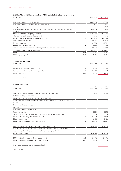# **C. EPRA NIY and EPRA «topped-up» NIY (net initial yield) on rental income**

| in CHF 1000                                                                          | 31.12.2020    | 31.12.2021 |
|--------------------------------------------------------------------------------------|---------------|------------|
|                                                                                      | 12322620      | 12740034   |
| Investment property – wholly owned                                                   |               |            |
| Investment property – share of joint ventures/funds                                  | n.a.          | n.a.       |
| Trading properties                                                                   |               | 53466      |
| Less: properties under construction and development sites, building land and trading | $-871684$     | $-1103475$ |
| properties                                                                           |               |            |
| Value of completed property portfolio                                                | 11450936      | 11690025   |
| Allowance for estimated purchasers' costs                                            | n.a.          | n.a.       |
| Gross up value of completed property portfolio                                       | B<br>11450936 | 11690025   |
| Annualised rental income                                                             | 444546        | 442469     |
| Property outgoings                                                                   | $-64870$      | $-67931$   |
| Annualised net rental income                                                         | 379676<br>A   | 374538     |
| Add: notional rent expiration of rent-free periods or other lease incentives         | 14021         | 10214      |
| Topped-up net annualised rental income                                               | C<br>393697   | 384752     |
| A/B<br><b>EPRA NIY</b>                                                               | 3.3%          | 3.2%       |
| C/B<br>EPRA topped-up NIY                                                            | 3.4%          | 3.3%       |

# **D. EPRA vacancy rate**

| in CHF 1000                                                |     | 31.12.2020 | 31.12.2021 |
|------------------------------------------------------------|-----|------------|------------|
|                                                            |     |            |            |
| Estimated rental value of vacant space                     |     | 23046      | 20043      |
| Estimated rental value of the whole portfolio <sup>1</sup> |     | 456946     | 452757     |
| EPRA vacancy rate                                          | A/B | 5.0%       | $4.4\%$    |

1 market rental estimates

# **E. EPRA cost ratios**

|                                                                                                  | $01.01 -$  | $01.01 -$  |
|--------------------------------------------------------------------------------------------------|------------|------------|
| in CHF 1000                                                                                      | 31.12.2020 | 31.12.2021 |
| Operating expenses per Real Estate segment income statement                                      | 116945     | 117136     |
| Net service charge costs/fees                                                                    |            |            |
| Management fees less actual/estimated profit element                                             |            |            |
| Other operating income/recharges intended to cover overhead expenses less any related<br>profits |            |            |
| Share of Joint Ventures expenses                                                                 |            |            |
| Exclude:                                                                                         |            |            |
| Investment property depreciation                                                                 |            |            |
| Ground rent costs                                                                                | $-6221$    | $-5942$    |
| Service charge costs recovered through rents but not separately invoiced                         |            |            |
| EPRA costs (including direct vacancy costs)<br>A                                                 | 110724     | 111 194    |
| Direct vacancy costs                                                                             | $-9474$    | $-9403$    |
| EPRA costs (excluding direct vacancy costs)<br>B                                                 | 101250     | 101791     |
| Gross rental income less ground rents per Swiss GAAP FER <sup>1</sup>                            | 452373     | 464060     |
| Less: service fee and service charge costs components of gross rental income                     |            |            |
| Add: share of Joint Ventures (gross rental income less ground rents)                             |            |            |
| Gross rental income<br>C                                                                         | 452373     | 464060     |
| EPRA cost ratio (including direct vacancy costs)<br>A/C                                          | 24.5%      | 24.0%      |
| EPRA cost ratio (excluding direct vacancy costs)<br>B/C                                          | 22.4%      | 21.9%      |
| Overhead and operating expenses capitalised                                                      |            |            |

<sup>1</sup> Calculated at full occupancy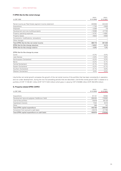# **F. EPRA like-for-like rental change**

| in CHF 1000<br>31.12.2020                                        | 31.12.2021 |
|------------------------------------------------------------------|------------|
|                                                                  |            |
| Rental income per Real Estate segment income statement<br>430964 | 444420     |
| Acquisitions<br>$-1752$                                          | $-3630$    |
| Disposals<br>$-2394$                                             | $-76$      |
| $-19080$<br>Development and new building projects                | $-27700$   |
| Property operating expenses<br>$-14741$                          | $-14881$   |
| $-6822$<br>Property leases                                       | $-6684$    |
| Conversions, modifications, renovations                          |            |
| Other changes                                                    |            |
| Total EPRA like-for-like net rental income<br>386175             | 391449     |
| EPRA like-for-like change absolute<br>$-14521$                   | 5273       |
| EPRA like-for-like change relative<br>$-3.8%$                    | 1.3%       |

#### EPRA like-for-like change by areas

| Zurich                   | $-0.3%$  | $0.0\%$ |
|--------------------------|----------|---------|
| Lake Geneva              | $-2.8%$  | 0.8%    |
| Northwestern Switzerland | $-0.2%$  | $0.3\%$ |
| Berne                    | $-0.2\%$ | 0.1%    |
| Central Switzerland      | $-0.1%$  | $0.3\%$ |
| Eastern Switzerland      | $-0.2%$  | $-0.1%$ |
| Southern Switzerland     | $-0.1\%$ | $0.0\%$ |
| Western Switzerland      | $0.0\%$  | $0.0\%$ |

Like-for-like net rental growth compares the growth of the net rental income of the portfolio that has been consistently in operation, and not under development, during the two full preceding periods that are described. Like-for-like rental growth 2021 is based on a portfolio of CHF 11135.941 million [CHF 10717.243 million] which grew in value by CHF 418.698 million [CHF 252.878 million].

# **G. Property-related EPRA CAPEX**

|                                                 | $01.01 -$  | $01.01 -$  |
|-------------------------------------------------|------------|------------|
| in CHF 1000                                     | 31.12.2020 | 31.12.2021 |
|                                                 |            |            |
| Acquisitions                                    | 91 1 21    | 18082      |
| Development (ground-up/green field/brown field) | 268464     | 178682     |
| Like-for-like portfolio                         | 75978      | 95129      |
| Capitalised interests                           | 7342       | 6410       |
| Other                                           | 288        | 142        |
| Total EPRA capital expenditure                  | 443 193    | 298445     |
| Conversion from accrual to cash basis           | $-33219$   | $-21799$   |
| Total EPRA capital expenditure on cash basis    | 409974     | 276646     |
|                                                 |            |            |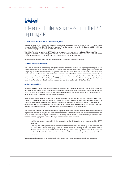

## Independent Limited Assurance Report on the EPRA Reporting 2021

### **To the Board of Directors of Swiss Prime Site AG, Olten**

We were engaged to carry out a limited assurance engagement on the EPRA Reporting containing the EPRA performance measures of Swiss Prime Site AG (hereafter "company") for the business year ended 31 December 2021, which are disclosed on the pages 66-71 of the financial report 2021.

The EPRA Reporting containing the EPRA performance measures was prepared by the Board of Directors of the company based on the corresponding Best Practices Recommendations of the European Public Real Estate Association (EPRA) as published in October 2019 ("the EPRA Best Practices Recommendations").

Our engagement does not cover any prior-year information disclosed in the EPRA Reporting.

### **Board of Directors' responsibility**

The Board of Directors of the company is responsible for the preparation of the EPRA Reporting containing the EPRA performance measures in accordance with the EPRA Best Practices Recommendations. This responsibility includes the design, implementation and maintenance of systems, processes and internal controls relevant to the preparation of an EPRA Reporting containing the EPRA performance measures that is free from material misstatement, whether due to fraud or error. Management is further responsible for the selection and application of the EPRA Best Practices Recommendations, for the determination of the "IFRS-equivalent" numbers and the related basis of preparation disclosed in the EPRA Reporting as well as for maintaining adequate records in relation to the EPRA Reporting.

#### **Auditors' responsibility**

Our responsibility is to carry out a limited assurance engagement and to express a conclusion, based on our procedures performed and the evidence obtained, as to whether any matters have come to our attention that cause us to believe that the EPRA Reporting containing the EPRA performance measures have not been prepared, in all material respects, in accordance with the EPRA Best Practices Recommendations.

We conducted our engagement in accordance with International Standard on Assurance Engagements (ISAE) 3000 Assurance Engagements other than Audits or Reviews of Historical Financial Information issued by the International Auditing and Assurance Standards Board (IAASB). That standard requires that we plan and perform the engagement to obtain limited assurance about whether the EPRA Reporting containing the EPRA performance measures have been prepared in accordance with the EPRA Best Practices Recommendations in all material respects.

The procedures performed in a limited assurance engagement are less in extent than for a reasonable assurance engagement, and consequently the level of assurance obtained is substantially lower. The procedures selected depend on the auditor's judgment. Taking into account risk and materiality considerations, we have carried out procedures in order to obtain sufficient appropriate evidence. These procedures included amongst others:

- Inquiries with persons responsible for the preparation of the EPRA performance measures and the EPRA Reporting;
- Assessing the EPRA performance measures regarding completeness and accuracy of the derivation and calculation based on the underlying Swiss GAAP FER numbers according to the consolidated financial statements of the company as at 31 December 2021, taking into account the adjustments to the "IFRS equivalent" numbers disclosed in the EPRA Reporting and the related basis of preparation, or if applicable other internal source data.

We believe that the evidence we have obtained is sufficient and appropriate to provide a basis for our conclusion.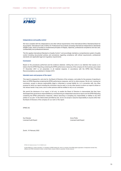

### **Independence and quality control**

We have complied with the independence and other ethical requirements of the International Ethics Standards Board for Accountants' *International Code of Ethics for Professional Accountants (including International Independence Standards)* (IESBA Code), which is founded on fundamental principles of integrity, objectivity, professional competence and due care, confidentiality and professional behavior.

The firm applies International Standard on Quality Control 1 and accordingly maintains a comprehensive system of quality control including documented policies and procedures regarding compliance with ethical requirements, professional standards and applicable legal and regulatory requirements.

### **Conclusion**

Based on the procedures performed and the evidence obtained, nothing has come to our attention that causes us to believe that the EPRA Reporting containing the EPRA performance measures of the company for the business year ended 31 December 2021 is not presented, in all material respects, in accordance with the EPRA Best Practices Recommendations as published in October 2019.

### **Intended users and purpose of the report**

This report is prepared for, and only for, the Board of Directors of the company, and solely for the purpose of reporting to them on EPRA Reporting containing the EPRA performance measures, and for no other purpose. We do not, in giving our conclusion, accept or assume responsibility (legal or otherwise) or accept liability for, or in connection with, any other purpose for which our report including the conclusion may be used, or to any other person to whom our report is shown or into whose hands it may come, and no other persons shall be entitled to rely on our conclusion.

We permit the disclosure of our report, in full only, to enable the Board of Directors to demonstrate that they have discharged their governance responsibilities by commissioning an independent assurance report over the EPRA Reporting containing the EPRA performance measures, without assuming or accepting any responsibility or liability to any third parties on our part. To the fullest extent permitted by law, we do not accept or assume responsibility to anyone other than the Board of Directors of the company for our work or this report.

KPMG AG

Kurt Stocker **Anna Pohle** Licensed Audit Expert Licensed Audit Expert

Zurich, 10 February 2022

KPMG AG, Badenerstrasse 172, CH-8036 Zurich

© 2022 KPMG AG, a Swiss corporation, is a subsidiary of KPMG Holding AG, which is a member of the KPMG global organization of independent member firms affiliated with KPMG International Limited, a private English company limited by guarantee. All rights reserved.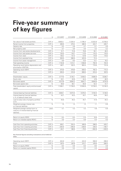# **Five-year summary of key figures**

|                                                                                            | in               | 31.12.2017 | 31.12.2018 | 31.12.2019 | 31.12.2020 | 31.12.2021 |
|--------------------------------------------------------------------------------------------|------------------|------------|------------|------------|------------|------------|
| Fair value of real estate portfolio                                                        | CHF m            | 10633.1    | 11 204.4   | 11765.4    | 12322.6    | 12793.5    |
| Rental income from properties                                                              | CHF m            | 469.9      | 479.4      | 486.9      | 424.7      | 426.7      |
| Vacancy rate                                                                               | $\%$             | 5.2        | 4.8        | 4.7        | 5.1        | 4.6        |
| Net property yield                                                                         | $\%$             | 3.7        | 3.6        | 3.5        | 3.2        | 3.2        |
| Income from real estate developments                                                       | CHF <sub>m</sub> | 51.7       | 72.8       | 79.8       | 50.1       | 48.3       |
| Income from real estate services                                                           | CHF m            | 120.0      | 116.7      | 117.5      | 115.2      | 119.4      |
| Income from retail                                                                         | CHF <sub>m</sub> | 136.2      | 131.3      | 127.8      | 110.6      | 119.5      |
| Income from assisted living                                                                | CHF m            | 359.9      | 396.9      | 423.9      | 72.4       |            |
| Income from asset management                                                               | CHF <sub>m</sub> | 9.9        | 8.5        | 13.5       | 13.1       | 18.2       |
| Total operating income                                                                     | CHF m            | 1154.8     | 1214.1     | 1258.8     | 792.9      | 744.9      |
| Operating result before depreciation and<br>amortisation (EBITDA)                          | CHF m            | 487.1      | 501.2      | 653.4      | 779.9      | 731.8      |
| Operating result (EBIT)                                                                    | CHF m            | 470.6      | 478.6      | 628.3      | 762.3      | 715.4      |
| Profit                                                                                     | CHF m            | 305.5      | 310.9      | 608.5      | 610.4      | 507.4      |
| Shareholders' equity                                                                       | CHF <sub>m</sub> | 4777.5     | 5145.1     | 5459.2     | 6085.6     | 6338.7     |
| Equity ratio                                                                               | $\frac{1}{2}$    | 43.1       | 43.9       | 44.4       | 47.8       | 48.3       |
| Borrowed capital                                                                           | CHF m            | 6317.6     | 6564.2     | 6841.7     | 6640.6     | 6791.6     |
| Borrowed capital ratio                                                                     | $\%$             | 56.9       | 56.1       | 55.6       | 52.2       | 51.7       |
| Total shareholders' equity and borrowed<br>capital                                         | CHF m            | 11 095.1   | 11709.3    | 12300.9    | 12726.2    | 13130.3    |
| Interest-bearing financial liabilities                                                     | CHF m            | 4848.1     | 5073.5     | 5378.4     | 5164.0     | 5148.0     |
| Interest-bearing financial liabilities<br>in % of balance sheet total                      | %                | 43.7       | 43.3       | 43.7       | 40.6       | 39.2       |
| Loan-to-value ratio of property portfolio<br>(LTV)                                         | $\%$             | 45.6       | 45.3       | 45.7       | 41.9       | 40.2       |
| Weighted average interest rate<br>on financial liabilities                                 | $\%$             | 1.5        | 1.4        | 1.2        | 1.1        | 0.8        |
| Weighted average residual term to<br>maturity of interest-bearing financial<br>liabilities | years            | 4.7        | 4.3        | 4.2        | 4.8        | 5.8        |
| Return on equity (ROE)                                                                     | $\%$             | 6.4        | 6.4        | 11.5       | 10.6       | 8.2        |
| Return on invested capital (ROIC)                                                          | $\%$             | 3.5        | 3.4        | 5.6        | 5.4        | 4.5        |
| Cash flow from operating activities                                                        | CHF m            | 458.1      | 334.4      | 406.6      | 298.5      | 429.7      |
| Cash flow from investing activities                                                        | CHF <sub>m</sub> | $-394.6$   | $-495.6$   | $-338.6$   | 236.0      | $-108.7$   |
| Cash flow from financing activities                                                        | CHF m            | $-64.7$    | 186.6      | $-79.5$    | $-564.8$   | $-349.0$   |

Key financial figures excluding revaluations and all deferred taxes

| Operating result (EBIT)           | CHF m | 404.8 | 411 1 | 424.9 | 558.9 | 396.6 |
|-----------------------------------|-------|-------|-------|-------|-------|-------|
| Profit                            | CHF m | 307.4 | 287.8 | 315.7 | 476.6 | 289.5 |
| Return on equity (ROE)            | $\%$  | 6.4   | 5.9   | 6.3   | 8.5   | 4.8   |
| Return on invested capital (ROIC) | $\%$  | 3.6   | 32    | 3.2   | 4.3   | 2.8   |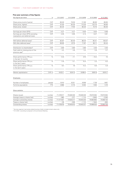## **Five-year summary of key figures**

| Key figures per share                                                 | in         | 31.12.2017 | 31.12.2018 | 31.12.2019 | 31.12.2020 | 31.12.2021 |
|-----------------------------------------------------------------------|------------|------------|------------|------------|------------|------------|
| Share price at end of period                                          | CHF        | 90.00      | 79.55      | 111.90     | 86.90      | 89.65      |
| Share price, highest                                                  | CHF        | 91.00      | 94.30      | 113.30     | 123.70     | 99.90      |
| Share price, lowest                                                   | CHF        | 82.25      | 77.45      | 80.20      | 74.75      | 85.00      |
| Earnings per share (EPS)                                              | CHF        | 4.27       | 4.27       | 8.00       | 8.04       | 6.68       |
| Earnings per share (EPS) excluding<br>revaluations and deferred taxes | CHF        | 4.30       | 3.95       | 4.14       | 6.27       | 3.81       |
| NAV before deferred taxes <sup>1</sup>                                | CHF        | 82.87      | 83.40      | 86.34      | 95.41      | 100.07     |
| NAV after deferred taxes <sup>1</sup>                                 | CHF        | 66.85      | 67.74      | 71.87      | 80.11      | 83.44      |
| Distribution to shareholders <sup>2</sup>                             | CHF        | 3.80       | 3.80       | 3.80       | 3.35       | 3.35       |
| Cash yield on closing price of the<br>previous year <sup>2</sup>      | $\%$       | 4.2        | 4.8        | 3.4        | 3.9        | 3.7        |
| Share performance (TR) p.a.<br>in the last 12 months                  | $\%$       | 12.6       | $-7.1$     | 47.0       | $-19.2$    | 7.0        |
| Share performance (TR) p.a.<br>in the last 3 years                    | $\%$       | 11.6       | 5.1        | 15.4       | 3.3        | 8.3        |
| Share performance (TR) p.a.<br>in the last 5 years                    | $\%$       | 8.4        | 7.9        | 14.2       | 6.6        | 5.9        |
| Market capitalisation                                                 | CHF m      | 6433.1     | 6041.5     | 8498.4     | 6601.8     | 6810.7     |
| Employees                                                             |            |            |            |            |            |            |
| Number of employees                                                   | people     | 5910       | 6321       | 6506       | 1728       | 1667       |
| Full-time equivalents                                                 | <b>FTE</b> | 4868       | 5115       | 5402       | 1505       | 1474       |
| Share statistics                                                      |            |            |            |            |            |            |
| Shares issued                                                         | number     | 71478917   | 75946349   | 75946349   | 75970364   | 75970364   |
| Average treasury shares held                                          | number     | $-980$     | $-377$     | $-1114$    | $-3693$    | $-2260$    |
| Average outstanding shares                                            | number     | 71477937   | 72620217   | 75945235   | 75964863   | 75968104   |
| Treasury shares held                                                  | number     | $-39$      | $-539$     | $-1112$    | $-1844$    | $-655$     |
| Outstanding shares                                                    | number     | 71478878   | 75945810   | 75945237   | 75968520   | 75969709   |

<sup>1</sup> Services segment (real estate-related business fields) included at book values only<br><sup>2</sup> 31.12.2021, according to proposal to Annual General Meeting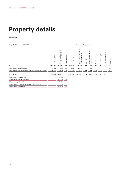# **Property details**

**Summary**

| Property details as at 31.12.2021                         |                   |                                                              |                      |                                      |                                                                     |          | Overview of type of use                                                                   |                                                        |                             |                                         |         |
|-----------------------------------------------------------|-------------------|--------------------------------------------------------------|----------------------|--------------------------------------|---------------------------------------------------------------------|----------|-------------------------------------------------------------------------------------------|--------------------------------------------------------|-----------------------------|-----------------------------------------|---------|
|                                                           | ValueTCHF<br>Fair | land<br>TCHF<br>and<br>income<br>ental<br>get<br>lease<br>Γā | న<br>rate<br>Vacancy | $\mathbf{\tilde{E}}$<br>area<br>Site | units<br>commercial<br>parking<br>excluding<br>$\sim$<br>ε<br>Total | Retail % | actice<br>ă<br>వ్<br>edical<br>eťc.<br>Ē<br>$\omega$<br>Φ<br>ທີ<br>ō<br>premis<br>Offices | ≻<br>Ë<br>c<br>$\overline{\text{str}}$<br>gg<br>Hotel/ | ೫<br>living<br>ssisted<br>⋖ | ৯<br>facilities<br>Storage <sup>-</sup> | Other % |
| Total properties                                          | 11743491          | 452821                                                       | 4.5                  | 1133414                              | 1623298                                                             | 17.7     | 41.9                                                                                      | 7.0                                                    | 7.9                         | 22.4                                    | 3.1     |
| Total undeveloped properties                              | 43033             | 230                                                          | 6.9                  | 78003                                | 18071                                                               | $\equiv$ | 1.6                                                                                       |                                                        |                             | ۰                                       | 98.4    |
| Total properties under construction and development sites | 1006976           | 11834                                                        | 0.2                  | 73167                                | 35658                                                               | 1.1      | 69.4                                                                                      | 5.8                                                    | -                           | 13.4                                    | 10.3    |
| Overall total                                             | 12793500          | 464885                                                       |                      | 1284584                              | 1677027                                                             | 17.1     | 42.1                                                                                      | 6.9                                                    | 7.7                         | 22.0                                    | 4.2     |
| Rent losses from vacancies                                |                   | $-20465$                                                     |                      |                                      |                                                                     |          |                                                                                           |                                                        |                             |                                         |         |
| Consolidated subtotal segment                             |                   | 444420                                                       | 4.4                  |                                      |                                                                     |          |                                                                                           |                                                        |                             |                                         |         |
| Intercompany eliminations                                 |                   | $-30681$                                                     |                      |                                      |                                                                     |          |                                                                                           |                                                        |                             |                                         |         |
| Rental income from third parties, Services segment        |                   | 12953                                                        |                      |                                      |                                                                     |          |                                                                                           |                                                        |                             |                                         |         |
| Consolidated overall total                                |                   | 426692                                                       | 4.6                  |                                      |                                                                     |          |                                                                                           |                                                        |                             |                                         |         |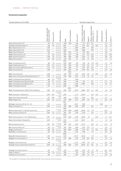Property details as at 31.12.2021 **Overview of type of use** 

| Overview of type of us |  |  |
|------------------------|--|--|
|                        |  |  |

|                                                     | Target rental and land<br>lease incomeTCHF | న<br>rate<br>Vacancy     | status<br>Ownership            | Built         | of renovation<br>Year | $\mathbf{\tilde{E}}$<br>area<br>Site | units,<br>commercial<br>excluding parking<br>$\tilde{E}$<br>Total | $\%$<br>Retail           | Offices, medical practice<br>$\frac{5}{6}$<br>premises, etc. | Hotel/gastronomy         | ℅<br>Assisted living | $\%$<br>Storage facilities | Other <sup>%</sup> |
|-----------------------------------------------------|--------------------------------------------|--------------------------|--------------------------------|---------------|-----------------------|--------------------------------------|-------------------------------------------------------------------|--------------------------|--------------------------------------------------------------|--------------------------|----------------------|----------------------------|--------------------|
| Aarau, Bahnhofstrasse 23                            | 755                                        | 10.7                     | sole ownership                 | 1946          | 1986                  | 685                                  | 1817                                                              | 55.2                     | 28.1                                                         | $\overline{\phantom{a}}$ |                      | 12.4                       | 4.3                |
| Amriswil, Weinfelderstrasse 74                      | 390                                        | 0.6                      | sole ownership                 | 2004          |                       | 3672                                 | 2776                                                              | 46.7                     | 0.4                                                          | 45.9                     |                      | 6.6                        | 0.4                |
| Baar, Grabenstrasse 17, 19                          | 1204                                       |                          | sole ownership                 | 2015          |                       | 2084                                 | 3685                                                              |                          | 95.8                                                         |                          |                      | 4.2                        |                    |
| Baar, Zugerstrasse 57, 63                           | 2416                                       | $\overline{a}$           | sole ownership                 | 2009          |                       | 6029                                 | 8999                                                              |                          | 89.8                                                         | $\overline{a}$           |                      | 6.7                        | 3.5                |
| Baden, Bahnhofstrasse 2                             | 340                                        | $\overline{\phantom{0}}$ | sole ownership                 | 1927          | 1975                  | 212                                  | 979                                                               | 93.4                     |                                                              | $\overline{\phantom{0}}$ |                      | 6.6                        | $\overline{a}$     |
| Baden, Weite Gasse 34, 36                           | 431                                        | 0.8                      | sole ownership                 | 1953          | 1975                  | 366                                  | 1377                                                              | 16.3                     | 30.9                                                         |                          |                      | 8.0                        | 44.8               |
| Basel, Aeschenvorstadt 2-4                          | 1948                                       | 5.8                      | sole ownership                 | 1960          | 2005                  | 1362                                 | 6226                                                              | 17.1                     | 63.8                                                         |                          |                      | 18.6                       | 0.5                |
| Basel, Barfüsserplatz 3                             | 1335                                       | 10.8                     | sole ownership                 | 1874          | 2020                  | 751                                  | 3827                                                              | 9.7                      | 78.6                                                         |                          |                      | 11.6                       | 0.1                |
|                                                     |                                            |                          |                                | 1870/         |                       |                                      |                                                                   |                          |                                                              |                          |                      |                            |                    |
| Basel, Centralbahnplatz 9/10                        | 862                                        | 2.6                      | sole ownership                 | 2005          | 2005                  | 403                                  | 1445                                                              | 6.6                      | 37.9                                                         | 22.9                     |                      | 14.7                       | 17.9               |
| Basel, Elisabethenstrasse 15                        | 1324                                       | 0.2                      | sole ownership                 | 1933          | 1993                  | 953                                  | 4276                                                              | 13.0                     | 71.4                                                         | 7.8                      |                      | 7.8                        |                    |
| Basel, Freie Strasse 26/Falknerstrasse 3            | 1218                                       | 4.6                      | sole ownership                 | 1854          | 1980                  | 471                                  | 2877                                                              | 43.5                     | 50.2                                                         |                          |                      | 6.3                        |                    |
| Basel, Freie Strasse 36                             | 1550                                       | $\overline{\phantom{a}}$ | sole ownership                 | 1894          | 2003                  | 517                                  | 2429                                                              | 59.4                     | 13.6                                                         | $\overline{\phantom{0}}$ |                      | 21.5                       | 5.5                |
|                                                     |                                            |                          |                                |               | 2015/                 |                                      |                                                                   |                          |                                                              |                          |                      |                            |                    |
| Basel, Freie Strasse 68                             | 2468                                       |                          | sole ownership                 | 1930          | 2016                  | 1461                                 | 8200                                                              | 19.5                     | 1.2                                                          | 62.9                     |                      | 15.9                       | 0.5                |
| Basel, Henric Petri-Strasse 9/Elisabethenstrasse 19 | 1590                                       | 1.1                      | sole ownership                 | 1949          | 1985                  | 2387                                 | 6778                                                              | 4.2                      | 75.1                                                         |                          |                      | 20.7                       |                    |
| Basel, Hochbergerstrasse 40/parking                 | 589                                        | 6.2                      | sole ownership<br>land lease   | 1976          |                       | 4209                                 |                                                                   |                          |                                                              |                          |                      |                            |                    |
| Basel, Hochbergerstrasse 60/building 860            | 166                                        | 5.1                      | sole ownership                 | 1990          |                       | 980                                  | 897                                                               |                          | 84.1                                                         |                          |                      | 14.1                       | 1.8                |
| Basel, Hochbergerstrasse 60/Stücki Park             | 7199                                       | 1.0                      | sole ownership                 | 2008          |                       | 8343                                 | 37663                                                             |                          | 85.9                                                         |                          |                      | 14.0                       | 0.1                |
| Basel, Hochbergerstrasse 62                         | 424                                        | ۰                        | sole ownership                 | 2005          |                       | 2680                                 |                                                                   |                          |                                                              |                          |                      |                            |                    |
|                                                     |                                            |                          |                                |               | 2019-                 |                                      |                                                                   |                          |                                                              |                          |                      |                            |                    |
| Basel, Hochbergerstrasse 70/Stücki Park (Shopping)  | 7602                                       | 8.9                      | sole ownership                 | 2009          | 2021                  | 46416                                | 43883                                                             | 20.5                     | 15.1                                                         | 55.9                     |                      | 8.0                        | 0.5                |
|                                                     |                                            |                          | sole ownership                 |               |                       |                                      |                                                                   |                          |                                                              |                          |                      |                            |                    |
| Basel, Messeplatz 12/Messeturm                      | 8305                                       | 20.8                     | partial land<br>lease          | 2003          |                       | 2137                                 | 23844                                                             |                          | 54.0                                                         | 42.6                     |                      | 3.4                        |                    |
| Basel, Peter Merian-Strasse 801                     | 871                                        | 48.6                     | freehold                       | 1999          |                       | 19214                                | 9109                                                              |                          |                                                              |                          |                      |                            |                    |
|                                                     | 2840                                       | 5.5                      | property                       | 1973          | 1998                  | 3713                                 | 8823                                                              | 47.5                     | 85.3<br>11.3                                                 | 14.7                     |                      | 14.7<br>15.5               | 11.0               |
| Basel, Rebgasse 20                                  |                                            |                          | sole ownership                 | 1948-         |                       |                                      |                                                                   |                          |                                                              |                          |                      |                            |                    |
| Berlingen, Seestrasse 83, 88, 101, 154              | 1974                                       |                          | sole ownership                 | 1998          |                       | 10321                                | 8650                                                              |                          |                                                              |                          | 100.0                |                            |                    |
| Berne, Genfergasse 14                               | 4302                                       |                          | sole ownership                 | 1905          | 1998                  | 4602                                 | 15801                                                             | $\overline{\phantom{0}}$ | 89.1                                                         |                          |                      | 10.9                       |                    |
|                                                     |                                            |                          |                                | 1969/         |                       |                                      |                                                                   |                          |                                                              |                          |                      |                            |                    |
| Berne, Mingerstrasse 12-18/PostFinance Arena        | 6594                                       |                          | sole ownership<br>land lease   | 2009          | 2009                  | 29098                                | 46348                                                             | 0.2                      | 17.8                                                         |                          |                      | 82.0                       |                    |
| Berne, Schwarztorstrasse 48                         | 2484                                       | 0.2                      | sole ownership                 | 1981          | 2011                  | 1959                                 | 8163                                                              |                          | 75.5                                                         |                          |                      | 24.3                       | 0.2                |
|                                                     |                                            |                          |                                | 1970          |                       |                                      |                                                                   |                          |                                                              |                          |                      |                            |                    |
| Berne, Viktoriastrasse 21, 21a, 21b/Schönburg       | 5891                                       | 1.1                      | sole ownership                 | 2020          | 2020                  | 14036                                | 20930                                                             | 7.9                      |                                                              | 34.6                     |                      | 3.4                        | 54.1               |
| Berne, Wankdorfallee 4/EspacePost                   |                                            |                          | sole ownership                 |               |                       |                                      |                                                                   |                          |                                                              |                          |                      |                            |                    |
|                                                     | 8165                                       |                          | land lease                     | 2014<br>1975/ |                       | 5244                                 | 33647                                                             |                          | 94.2                                                         |                          |                      | 4.9                        | 0.9                |
| Berne, Weltpoststrasse 5                            | 4901                                       | 10.2                     | sole ownership<br>land lease   | 1985          | 2013                  | 19374                                | 25175                                                             | $\qquad \qquad -$        | 68.3                                                         | 4.4                      |                      | 25.4                       | 1.9                |
|                                                     |                                            |                          | sole ownership                 |               |                       |                                      |                                                                   |                          |                                                              |                          |                      |                            |                    |
| Biel, Solothurnstrasse 122                          | 503                                        | 0.1                      | land lease                     | 1961          | 1993                  | 3885                                 | 3319                                                              | 74.9                     | 2.7                                                          |                          |                      | 15.3                       | 7.1                |
| Brugg, Hauptstrasse 2                               | 899                                        | 8.8                      | sole ownership                 | 1958          | 2000                  | 3364                                 | 4179                                                              | 42.1                     | 4.2                                                          | 22.2                     |                      | 28.8                       | 2.7                |
| Buchs SG, St. Gallerstrasse 5                       | 404                                        | 6.6                      | sole ownership                 | 1995          |                       | 2192                                 | 1685                                                              | $\overline{\phantom{0}}$ | 71.8                                                         | $\overline{\phantom{a}}$ |                      | 19.3                       | 8.9                |
|                                                     |                                            |                          |                                | 2009/         |                       |                                      |                                                                   |                          |                                                              |                          |                      |                            |                    |
| Buchs ZH, Mülibachstrasse 41                        | 1667                                       |                          | sole ownership                 | 2020          |                       | 20197                                | 10030                                                             |                          | 17.3                                                         |                          |                      | 82.7                       |                    |
| Burgdorf, Emmentalstrasse 14                        | 368                                        | 11.1                     | sole ownership                 | 1972          | 1998                  | 1845                                 | 2129                                                              | 20.6                     | 68.2                                                         |                          |                      | 9.6                        | 1.6                |
|                                                     |                                            |                          | sole ownership<br>partial land |               |                       |                                      |                                                                   |                          |                                                              |                          |                      |                            |                    |
| Burgdorf, Industrie Buchmatt                        | 786<br>9339                                |                          | lease                          | 1973          |                       | 15141                                | 11967<br>35040                                                    | 2.9                      | 5.4                                                          | 3.5                      |                      | 91.3                       | 0.4                |
| Carouge, Avenue Cardinal-Mermillod 36-44            |                                            | 3.6                      | sole ownership<br>freehold     | 1956          | 2002                  | 14372                                |                                                                   | 23.7                     | 56.7                                                         |                          |                      | 14.9                       | 1.2                |
|                                                     |                                            |                          | property and<br>co-ownership   |               |                       |                                      |                                                                   |                          |                                                              |                          |                      |                            |                    |
| Carouge, Rue Antoine-Jolivet 7                      | 301                                        |                          | land lease                     | 1975          |                       | 3693                                 | 3515                                                              | 3.8                      | 0.7                                                          | 5.0                      |                      | 26.1                       | 64.4               |
| Cham, Dorfplatz 2                                   | 180                                        | 5.9                      | sole ownership                 | 1992          |                       | 523                                  | 1061                                                              | 11.5                     | 61.3                                                         |                          |                      | 27.2                       |                    |
| Conthey, Route Cantonale 2                          | 382                                        |                          | sole ownership                 | 1989          |                       | 3057                                 | 2480                                                              | 71.6                     | 4.6                                                          | $\overline{\phantom{0}}$ |                      | 23.0                       | 0.8                |

<sup>1</sup> Not available for rent between April and December 2021 due to extensive interior renovations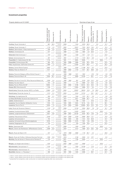| Property details as at 31.12.2021                               |                                           |                                  |                                         |               |                    |                                    | Overview of type of use                                                |                          |                                                  |                          |                       |                         |                          |
|-----------------------------------------------------------------|-------------------------------------------|----------------------------------|-----------------------------------------|---------------|--------------------|------------------------------------|------------------------------------------------------------------------|--------------------------|--------------------------------------------------|--------------------------|-----------------------|-------------------------|--------------------------|
|                                                                 | Target rental and land<br>ease incomeTCHF | న<br>rate<br>Vacancy             | Ownership status                        | Built         | Year of renovation | $\tilde{\text{E}}$<br>area<br>Site | commercial units<br>excluding parking<br>$\tilde{\mathsf{F}}$<br>Total | Retail %                 | Offices, medical practice<br>న<br>premises, etc. | Hotel/gastronomy         | వ్<br>Assisted living | న<br>Storage facilities | Other <sup>%</sup>       |
| Conthey, Route Cantonale 4                                      | 867                                       | 30.3                             | sole ownership<br>land lease            | 2009          |                    | 7444                               | 4979                                                                   | 80.3                     |                                                  | 3.0                      |                       | 15.7                    | 1.0                      |
| Conthey, Route Cantonale 11                                     | 1719                                      | 4.2                              | sole ownership<br>land lease            | 2002          |                    | 10537                              | 7323                                                                   | 64.8                     | 16.4                                             | 0.7                      |                       | 15.4                    | 2.7                      |
| Dietikon, Bahnhofplatz 11/Neumattstrasse 24                     | 538                                       | 0.3                              | sole ownership                          | 1989          |                    | 1004                               | 1793                                                                   | 19.4                     | 55.8                                             |                          |                       | 24.3                    | 0.5                      |
| Dietikon, Kirchstrasse 20                                       | 577                                       |                                  | sole ownership                          | 1988          |                    | 1033                               | 1894                                                                   | 4.5                      | 84.0                                             | $\overline{\phantom{0}}$ |                       | 11.5                    | $\overline{\phantom{a}}$ |
| Dübendorf, Bahnhofstrasse 1                                     | 370                                       |                                  | sole ownership<br>land lease            | 1988          |                    | 1308                               | 1671                                                                   | 5.9                      | 71.1                                             |                          |                       | 23.0                    |                          |
| Eyholz, Kantonsstrasse 79                                       | 287                                       |                                  | sole ownership<br>land lease            | 1991          |                    | 2719                               | 1319                                                                   | 92.3                     | 5.6                                              |                          |                       | 1.5                     | 0.6                      |
| Frauenfeld, St. Gallerstrasse 30-30c                            | 1715                                      | $\qquad \qquad -$                | sole ownership                          | 1991          |                    | 8842                               | 9528                                                                   |                          |                                                  |                          | 100.0                 |                         | $\overline{\phantom{0}}$ |
| Frauenfeld, Zürcherstrasse 305                                  | 582                                       | 31.1                             | sole ownership                          | 1982          | 2006               | 3866                               | 4201                                                                   | 39.3                     | 34.5                                             | $\qquad \qquad -$        |                       | 22.0                    | 4.2                      |
| Frick, Hauptstrasse 132/Fricktal Centre A3                      | 1069                                      | 1.7                              | sole ownership                          | 2007          |                    | 13365                              | 5011                                                                   | 66.0                     |                                                  | 3.1                      |                       | 28.3                    | 2.6                      |
| <b>Geneva,</b> Centre Rhône-Fusterie                            | 3083                                      |                                  | freehold<br>property                    | 1990          |                    | 2530                               | 11 1 86                                                                | 76.2                     | 0.3                                              |                          |                       | 23.5                    |                          |
| Geneva, Place du Molard 2-4 <sup>2</sup>                        | 7317                                      | ÷                                | sole ownership                          | 1690          | 2002               | 1718                               | 7271                                                                   | 38.1                     | 56.6                                             | 0.5                      |                       | 4.1                     | 0.7                      |
|                                                                 |                                           |                                  |                                         | 1960/         |                    |                                    |                                                                        |                          |                                                  |                          |                       |                         |                          |
| Geneva, Route de Malagnou 6/Rue Michel-Chauvet 7                | 776                                       | 5.6                              | sole ownership                          | 1969          | 1989               | 1321                               | 1602                                                                   |                          | 47.0                                             | 11.8                     |                       | 3.9                     | 37.3                     |
| Geneva, Route de Meyrin 49                                      | 3948                                      | 45.7                             | sole ownership                          | 1987          |                    | 9890                               | 10160                                                                  |                          | 85.1                                             |                          |                       | 13.0                    | 1.9                      |
| <b>Geneva,</b> Rue de la Croix-d'Or 7/Rue Neuve-du-Molard 4–6   | 2289                                      | 0.4                              | sole ownership                          | 1974/<br>1985 | 1994               | 591                                | 3478                                                                   | 37.8                     | 24.2                                             | 0.5                      |                       | 3.8                     | 33.7                     |
| Geneva, Rue des Alpes 5                                         | 915                                       | 1.9                              | sole ownership                          | 1860          |                    | 747                                | 2689                                                                   | 9.7                      | 45.2                                             | 1.2                      |                       | 0.6                     | 43.3                     |
| Geneva, Rue du Rhône 48–50 <sup>3</sup>                         | 18052                                     | 1.1                              | sole ownership                          | 1921          | 2002               | 5166                               | 33414                                                                  | 44.4                     | 33.4                                             | 7.2                      |                       | 12.8                    | 2.2                      |
| Gossau SG, Wilerstrasse 82                                      | 1106                                      | $\overline{\phantom{0}}$         | sole ownership                          | 2007          |                    | 13064                              | 4688                                                                   | 74.7                     | 5.5                                              |                          |                       | 17.0                    | 2.8                      |
| Grand-Lancy, Route des Jeunes 10/CCL La Praille                 | 13983                                     | 2.2                              | sole ownership<br>land lease            | 2002          |                    | 20597                              | 36010                                                                  | 51.6                     | 1.0                                              | 29.0                     |                       | 16.5                    | 1.9                      |
| Grand-Lancy, Route des Jeunes 12                                | 1473                                      | 5.7                              | sole ownership<br>land lease            | 2003          |                    | 5344                               | 12722                                                                  |                          | 39.1                                             | 44.7                     |                       | 14.1                    | 2.1                      |
| Heimberg, Gurnigelstrasse 38                                    | 555                                       | 0.1                              | sole ownership<br>land lease            | 2000          |                    | 7484                               | 1572                                                                   | 82.1                     | 2.8                                              |                          |                       | 8.6                     | 6.5                      |
| La Chaux-de-Fonds, Boulevard des Eplatures 44                   | 420                                       |                                  | sole ownership                          | 1972          |                    | 3021                               | 2506                                                                   | 94.7                     | 1.7                                              |                          |                       | 3.0                     | 0.6                      |
| Lachen, Seidenstrasse 2                                         | 348                                       |                                  | sole ownership                          | 1993          |                    | 708                                | 1532                                                                   | $\overline{\phantom{0}}$ | 81.5                                             |                          |                       | 18.5                    | $\sim$                   |
| Lausanne, Rue de Sébeillon 9/Sébeillon Centre                   | 1016                                      | 3.1                              | sole ownership                          | 1930          | 2001               | 2923                               | 10116                                                                  | 8.4                      | 54.1                                             |                          |                       | 36.1                    | 1.4                      |
| Lausanne, Rue du Pont 5                                         | 6450                                      | 1.4                              | sole ownership                          | 1910          | 2004               | 3884                               | 20805                                                                  | 50.5                     | 23.3                                             | 9.2                      |                       | 15.3                    | 1.7                      |
| Lutry, Route de l'Ancienne Ciblerie 2                           | 1478                                      | 1.9                              | freehold<br>property                    | 2006          |                    | 13150                              | 3264                                                                   | 69.6                     | 7.6                                              | 1.9                      |                       | 18.1                    | 2.8                      |
| Lucerne, Kreuzbuchstrasse 33/35                                 | 1885                                      |                                  | sole ownership<br>land lease            | 2010          |                    | 14402                              | 10533                                                                  |                          |                                                  |                          | 100.0                 |                         |                          |
| Lucerne, Langensandstrasse 23/Schönbühl                         | 2827                                      | $-0.6$                           | sole ownership                          | 1969          | 2007               | 20150                              | 9425                                                                   | 65.3                     | 10.8                                             | 1.9                      |                       | 21.6                    | 0.4                      |
| <b>Lucerne,</b> Pilatusstrasse 4/Flora                          | 3446                                      |                                  | freehold<br>property                    | 1979          | 2008               | 4376                               | 9906                                                                   | 69.6                     | 12.1                                             |                          |                       | 15.0                    | 3.3                      |
| Lucerne, Schwanenplatz 3                                        | 753                                       |                                  | sole ownership                          | 1958          | 2004               | 250                                | 1512                                                                   | 10.8                     | 62.6                                             |                          |                       | 18.7                    | 7.9                      |
| Lucerne, Schweizerhofquai 6/Gotthardgebäude                     | 2078                                      |                                  | sole ownership                          | 1889          | 2002               | 2479                               | 7261                                                                   | 6.8                      | 87.9                                             |                          |                       | 5.3                     | $\overline{a}$           |
| Lucerne, Weggisgasse 20, 22                                     | 735                                       |                                  | sole ownership                          | 1982          |                    | 228                                | 1285                                                                   | 76.8                     |                                                  |                          |                       | 23.2                    | $\overline{a}$           |
| Meilen, Seestrasse 545                                          | 511                                       |                                  | sole ownership<br>land lease            | 2008          |                    | 1645                               | 2458                                                                   |                          |                                                  |                          | 100.0                 |                         |                          |
| Meyrin, Chemin de Riantbosson 19/Riantbosson Centre             | 2399                                      | 21.0                             | sole ownership                          | 2018          |                    | 4414                               | 7609                                                                   | 33.4                     | 38.2                                             | 9.8                      |                       | 15.6                    | 3.0                      |
| <b>Meyrin,</b> Route de Meyrin 210                              | 247                                       |                                  | sole ownership<br>partial land<br>lease | 1979          | 1999               | 3860                               | 1116                                                                   | 65.7                     | 4.3                                              |                          |                       | 28.8                    | 1.2                      |
| Meyrin, Route de Pré-Bois 14/Geneva Business Terminal           | 1206                                      |                                  | sole ownership                          | 2003/<br>2018 |                    |                                    | 2928                                                                   |                          |                                                  |                          |                       | 6.2                     |                          |
| Monthey, Rue de Venise 5-7/Avenue de la Plantaud 4 <sup>4</sup> | 219                                       | 12.6<br>$\overline{\phantom{0}}$ | land lease                              | 2021          |                    | 2156<br>1785                       | 3649                                                                   | 6.1                      | 87.7                                             |                          | 100.0                 |                         |                          |
|                                                                 |                                           |                                  | sole ownership                          | 1795/         |                    |                                    |                                                                        |                          |                                                  |                          |                       |                         |                          |
| <b>Morges,</b> Les Vergers-de-la-Gottaz 1                       | 1220                                      |                                  | sole ownership                          | 2003          | 1995               | 11537                              | 3698                                                                   |                          |                                                  |                          | 100.0                 |                         |                          |
| Münchenstein, Genuastrasse 11                                   | 1478                                      |                                  | sole ownership<br>land lease            | 1993          |                    | 7550                               | 10 10 9                                                                |                          | 21.5                                             |                          |                       | 72.1                    | 6.4                      |
|                                                                 |                                           |                                  |                                         |               |                    |                                    |                                                                        |                          |                                                  |                          |                       |                         |                          |

Münchenstein, Helsinkistrasse 12<br>Neuchâtel, Avenue J.-J. Rousseau 7 12 180 1.1 sole ownership 1993 1993 1992 1020 3099 – 69.7 – – 22.7 76<br>22.7 1020 1020 1020 1020 1020 1020 1030 – 69.7 – – 22.7 1020

land lease 1998 4744 6592 – 1.4 – – 90.6 8.0

 $2$  1073 m<sup>2</sup> vacant spaces cannot be let due to a conversion project and are therefore not included in the vacancy rate

 $3$  3156 m<sup>2</sup> vacant spaces cannot be let due to a conversion project and are therefore not included in the vacancy rate

<sup>4</sup> reclassified from properties under construction to investment properties after new construction

Münchenstein, Helsinkistrasse 12 712 – Sole ownership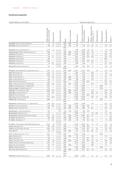| Property details as at 31.12.2021                                                   |                                            |                                  |                                   |              |                         |                                      | Overview of type of use                                 |                          |                                                            |                          |                          |                            |                    |
|-------------------------------------------------------------------------------------|--------------------------------------------|----------------------------------|-----------------------------------|--------------|-------------------------|--------------------------------------|---------------------------------------------------------|--------------------------|------------------------------------------------------------|--------------------------|--------------------------|----------------------------|--------------------|
|                                                                                     | Target rental and land<br>lease incomeTCHF | న<br>rate<br>Vacancy             | status<br>Ownership               | Built        | renovation<br>đ<br>Year | $\mathbf{\tilde{E}}$<br>area<br>Site | units,<br>$m2$ commercial<br>excluding parking<br>Total | న<br>Retail              | practice<br>medical<br>ಸಿ<br>etc.<br>premises,<br>Offices, | Hotel/gastronomy         | న<br>Assisted living     | న<br>facilities<br>Storage | Other <sup>%</sup> |
| Neuchâtel, Rue de l'Ecluse 19/parking                                               | 42                                         | 1.3                              | sole ownership                    | 1960         | 1997                    | 715                                  |                                                         |                          |                                                            | $\overline{a}$           | $\overline{\phantom{a}}$ |                            | Ĩ.                 |
| Neuchâtel, Rue du Temple-Neuf 11                                                    | 285                                        | 1.6                              | sole ownership                    | 1953         | 1993                    | 262                                  | 1155                                                    | 14.0                     | 57.3                                                       | 4.7                      | $\overline{a}$           | 13.9                       | 10.1               |
|                                                                                     |                                            |                                  |                                   | 1902/        |                         |                                      |                                                         |                          |                                                            |                          |                          |                            |                    |
| Neuchâtel, Rue du Temple-Neuf 14                                                    | 2278                                       | 2.4                              | sole ownership                    | 2014         |                         | 1928                                 | 6908                                                    | 47.6                     | 15.7                                                       |                          |                          | 17.8                       | 18.9               |
| Niederwangen b. Bern, Riedmoosstrasse 10                                            | 2306                                       | $\overline{\phantom{a}}$         | sole ownership                    | 1985         | 2006                    | 12709                                | 12855                                                   | 33.3                     | 13.2                                                       |                          |                          | 51.6                       | 1.9                |
| Oberbüren, Buchental 2                                                              | 762                                        | $\overline{\phantom{a}}$         | sole ownership                    | 1980         | 2007                    | 6391                                 | 6486                                                    | 34.3                     | 1.8                                                        |                          |                          | 63.5                       | 0.4                |
| Oberbüren, Buchental 3                                                              | 329                                        | 12.7                             | sole ownership                    | 1964         |                         | 4651                                 | 2336                                                    | 20.8                     | 32.6                                                       |                          |                          | 34.6                       | 12.0               |
| <b>Oberbüren,</b> Buchental 3a                                                      | 238                                        | $\overline{a}$                   | sole ownership                    | 1964         |                         | 3613                                 | 2464                                                    | $\overline{a}$           |                                                            |                          |                          | 100.0                      |                    |
| Oberbüren, Buchental 4                                                              | 1502                                       | $\overline{\phantom{0}}$         | sole ownership                    | 1990         |                         | 4963                                 | 9547                                                    | 38.5                     | 20.3                                                       |                          |                          | 41.2                       |                    |
| <b>Oberbüren,</b> Buchental 5                                                       | 65                                         | 32.1                             | sole ownership<br>freehold proper | 1920         |                         | 3456                                 | 1648                                                    |                          | 12.1                                                       |                          |                          | 54.4                       | 33.5               |
| Oberwil BL, Mühlemattstrasse 23                                                     | 315                                        |                                  | ty land lease                     | 1986         |                         | 6200                                 | 1652                                                    | 75.9                     | 4.2                                                        |                          |                          | 18.6                       | 1.3                |
|                                                                                     |                                            |                                  |                                   | 2006/        |                         |                                      |                                                         |                          |                                                            |                          |                          |                            |                    |
| Oftringen, Spitalweidstrasse 1/shopping centre a1                                   | 3762                                       | 0.1                              | sole ownership                    | 2020         | 2020                    | 42031                                | 23703                                                   | 78.8                     |                                                            | 0.5                      |                          | 19.8                       | 0.9                |
| Olten, Bahnhofquai 18                                                               | 1619                                       | 0.7                              | sole ownership                    | 1996         |                         | 2553                                 | 5134                                                    | $\overline{\phantom{0}}$ | 93.6                                                       | $\overline{a}$           |                          | 6.4                        |                    |
| Olten, Bahnhofquai 20                                                               | 2028                                       | 0.1                              | sole ownership                    | 1999         |                         | 1916                                 | 7423                                                    | ÷                        | 84.8                                                       |                          |                          | 14.4                       | 0.8                |
| Olten, Frohburgstrasse 1                                                            | 95                                         | 47.4                             | sole ownership                    | 1899         | 2009                    | 379                                  | 1196                                                    | ÷                        | 78.3                                                       |                          |                          | 21.7                       |                    |
| Olten, Frohburgstrasse 15                                                           | 548                                        | 1.2                              | sole ownership                    | 1961         | 1998                    | 596                                  | 1863                                                    | $\overline{a}$           | 78.6                                                       |                          |                          | 21.4<br>32.3               |                    |
| Olten, Solothurnerstrasse 201                                                       | 333<br>2065                                | $\overline{\phantom{0}}$<br>16.2 | sole ownership                    | 2006<br>1907 | 2011                    | 5156<br>12922                        | 1592<br>11515                                           | 62.3                     | 63.6                                                       | $\overline{a}$           | ۰                        | 36.3                       | 5.4<br>0.1         |
| Olten, Solothurnerstrasse 231-235/Usego<br>Opfikon, Müllackerstrasse 2, 4/Bubenholz | 2037                                       | $\overline{\phantom{a}}$         | sole ownership                    | 2015         |                         | 6169                                 | 10802                                                   |                          |                                                            | $\overline{a}$           | 100.0                    |                            |                    |
| Ostermundigen, Mitteldorfstrasse 16                                                 | 1701                                       | $\overline{\phantom{a}}$         | sole ownership                    | 2009         |                         | 7503                                 | 10925                                                   |                          |                                                            | $\overline{a}$           | 100.0                    |                            | ÷,                 |
| Otelfingen, Industriestrasse 19/21                                                  | 6999                                       | 10.0                             | sole ownership<br>sole ownership  | 1965         | 2000                    | 101933                               | 79684                                                   |                          | 15.8                                                       | $\overline{a}$           |                          | 81.6                       | 2.6                |
| Otelfingen, Industriestrasse 31                                                     | 1275                                       | 31.5                             | sole ownership                    | 1986         | 1993                    | 12135                                | 11884                                                   | $\overline{\phantom{0}}$ | 36.6                                                       | 0.4                      |                          | 60.2                       | 2.8                |
| Payerne, Route de Bussy 2                                                           | 1219                                       | $\overline{\phantom{a}}$         | sole ownership                    | 2006         |                         | 12400                                | 6017                                                    | 83.9                     | 4.4                                                        | $\overline{\phantom{0}}$ |                          | 11.0                       | 0.7                |
| Petit-Lancy, Route de Chancy 59                                                     | 7732                                       | 40.0                             | sole ownership                    | 1990         |                         | 13052                                | 22309                                                   |                          | 69.3                                                       | 4.7                      |                          | 25.5                       | 0.5                |
| Pfäffikon SZ, Huobstrasse 5                                                         | 2805                                       | $\overline{\phantom{a}}$         | sole ownership                    | 2004         |                         | 7005                                 | 11660                                                   | $\overline{\phantom{0}}$ |                                                            | $\overline{\phantom{0}}$ | 100.0                    |                            |                    |
|                                                                                     |                                            |                                  |                                   | 1962/        |                         |                                      |                                                         |                          |                                                            |                          |                          |                            |                    |
| Regensdorf, Riedthofstrasse 172–184/Iseli-Areal                                     | 1489                                       | 22.8                             | sole ownership                    | 2009         |                         | 25003                                | 13499                                                   |                          | 16.3                                                       |                          |                          | 62.3                       | 21.4               |
| Romanel, Chemin du Marais 8                                                         | 1138                                       | 26.8                             | sole ownershir                    | 1973         | 1995                    | 7264                                 | 6694                                                    | 87.8                     |                                                            |                          |                          | 11.4                       | 0.8                |
| Schwyz, Oberer Steisteg 18, 20                                                      | 565                                        | $\overline{a}$                   | sole ownership                    | 1988         | 2004                    | 1039                                 | 2669                                                    | 1.9                      | 65.1                                                       |                          |                          | 32.6                       | 0.4                |
| Spreitenbach, Industriestrasse/Tivoli                                               | 507                                        |                                  | freehold                          | 1974         | 2010                    | 25780                                | 980                                                     | 87.2                     |                                                            |                          |                          | 12.8                       |                    |
| Spreitenbach, Müslistrasse 44                                                       | 216                                        | $\overline{\phantom{0}}$         | property<br>sole ownership        | 2002         |                         | 2856                                 | 516                                                     |                          | 6.9                                                        | 30.3                     |                          | 11.4                       | 51.4               |
| Spreitenbach, Pfadackerstrasse 6/Limmatpark                                         | 5347                                       | 9.4                              | sole ownership                    | 1972         | 2003                    | 10318                                | 28437                                                   | 62.5                     | 27.1                                                       |                          |                          | 7.4                        | 3 <sub>c</sub>     |
| St. Gallen, Spisergasse 12                                                          | 460                                        | 87.9                             | sole ownership                    | 1900         | 1998                    | 208                                  | 1010                                                    | 81.7                     |                                                            |                          |                          |                            | 18.3               |
| St. Gallen, Spisergasse 12                                                          | 147                                        | 27.5                             | sole ownership                    | 1423         | 1984                    | 165                                  | 642                                                     | 34.3                     | 33.2                                                       | $\overline{a}$           |                          | 7.0                        | 25.5               |
|                                                                                     |                                            |                                  | sole ownership                    |              |                         |                                      |                                                         |                          |                                                            |                          |                          |                            |                    |
| St. Gallen, Zürcherstrasse 462–464/Shopping Arena                                   | 15927                                      | 1.8                              | parking 73/100<br>co-ownership    | 2008         |                         | 33106                                | 39406                                                   | 56.1                     | 9.7                                                        | 11.3                     |                          | 20.3                       | 2.6                |
| Sursee, Moosgasse 20                                                                | 649                                        | $-0.6$                           | sole ownership                    | 1998         |                         | 4171                                 | 2406                                                    | 83.6                     |                                                            | $\overline{a}$           |                          | 16.2                       | 0.2                |
| Thônex, Rue de Genève 104-108                                                       | 4542                                       | 0.5                              | sole ownership                    | 2008         |                         | 9224                                 | 11443                                                   | 54.7                     | 3.1                                                        | 3.5                      | $\overline{a}$           | 13.0                       | 25.7               |
| Thun, Bälliz 67                                                                     | 749                                        | 9.1                              | sole ownership                    | 1953         | 2001                    | 875                                  | 3128                                                    | 20.4                     | 62.4                                                       | 2.1                      |                          | 11.3                       | 3.8                |
| Thun, Göttibachweg 2-2e, 4, 6, 8                                                    | 2227                                       |                                  | sole ownership<br>land lease      | 2003         |                         | 14520                                | 11556                                                   |                          |                                                            |                          | 100.0                    |                            |                    |
| Uster, Poststrasse 10                                                               | 377                                        | $\overline{\phantom{a}}$         | sole ownership                    | 1972         | 2012                    | 701                                  | 1431                                                    | $\overline{a}$           | 78.4                                                       | $\overline{\phantom{0}}$ |                          | 21.6                       |                    |
| Uster, Poststrasse 12                                                               | 198                                        | $\overline{\phantom{a}}$         | sole ownership                    | 1890         |                         | 478                                  | 673                                                     | 35.7                     | 6.7                                                        |                          |                          | $\overline{a}$             | 57.6               |
| Uster, Poststrasse 14/20                                                            | 646                                        | 4.8                              | sole ownership                    | 1854         | 2000                    | 2449                                 | 3191                                                    | 63.4                     | 12.5                                                       | 3.8                      |                          | 19.5                       | 0.8                |
| <b>Vernier,</b> Chemin de l'Etang 72/Patio Plaza                                    | 4703                                       | 7.7                              | sole ownership                    | 2007         |                         | 10170                                | 13619                                                   | $\overline{a}$           | 81.9                                                       | $\overline{a}$           |                          | 17.2                       | 0.9                |
| Vevey, Rue de la Clergère 1                                                         | 735                                        | 0.7                              | sole ownership                    | 1927         | 1994                    | 717                                  | 3055                                                    |                          | 88.8                                                       |                          |                          | 11.2                       |                    |
| Wabern, Nesslerenweg 30                                                             | 1012                                       |                                  | sole ownership                    | 1990         |                         | 4397                                 | 6288                                                    |                          |                                                            | $\overline{a}$           | 100.0                    |                            |                    |
| Wil, Obere Bahnhofstrasse 40                                                        | 873                                        |                                  | sole ownership                    | 1958         | 2008                    | 1105                                 | 2877                                                    | 80.4                     | 8.6                                                        | $\overline{a}$           |                          | 10.5                       | 0.5                |
|                                                                                     |                                            |                                  |                                   | 1999/        |                         |                                      |                                                         |                          |                                                            |                          |                          |                            |                    |
|                                                                                     |                                            |                                  |                                   | 2000/        |                         |                                      |                                                         |                          |                                                            |                          |                          |                            |                    |

Winterthur, Theaterstrasse 15a-c, 17 8628 8.5 sole ownership 2004 15069 37228 – 71.3 0.5 – 22.0 6.2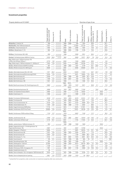Property details as at 31.12.2021 Overview of type of use

|                                                                           | Target rental and land<br>lease incomeTCHF | ℅<br>rate<br>Vacancy     | status<br>Ownership               | Built | of renovation<br>Year | ิ์ธ<br>area<br>Site | units,<br>commercial<br>parking<br>excluding<br>ิัธ<br>Total | న<br>Retail              | Offices, medical practice<br>న<br>etc.<br>premises, | Hotel/gastronomy         | న<br>Assisted living | న<br>Storage facilities  | Other <sup>%</sup>       |
|---------------------------------------------------------------------------|--------------------------------------------|--------------------------|-----------------------------------|-------|-----------------------|---------------------|--------------------------------------------------------------|--------------------------|-----------------------------------------------------|--------------------------|----------------------|--------------------------|--------------------------|
| Winterthur, Untertor 24                                                   | 399                                        | $\overline{\phantom{0}}$ | sole ownership                    | 1960  | 2006                  | 290                 | 1364                                                         | $\overline{\phantom{0}}$ | 69.9                                                | $\overline{\phantom{a}}$ |                      | 30.1                     | L.                       |
| Worblaufen, Alte Tiefenaustrasse 6                                        | 7437                                       | $\overline{\phantom{a}}$ | sole ownership                    | 1999  |                       | 21804               | 37170                                                        |                          | 87.4                                                |                          |                      | 12.6                     |                          |
| Zollikofen, Industriestrasse 21                                           | 1593                                       |                          | sole ownership                    | 2003  | 2016                  | 2906                | 7263                                                         |                          | 73.6                                                | 3.1                      |                      | 23.3                     |                          |
| Zollikon, Bergstrasse 17, 19                                              | 592                                        | 1.0                      | sole ownership                    | 1989  | 2004                  | 1768                | 2126                                                         |                          | 70.2                                                |                          |                      | 29.8                     |                          |
|                                                                           |                                            |                          |                                   | 1984/ |                       |                     |                                                              |                          |                                                     |                          |                      |                          |                          |
| Zollikon, Forchstrasse 452-456                                            | 630                                        |                          | sole ownership                    | 1998  |                       | 2626                | 2251                                                         |                          | 68.4                                                |                          |                      | 31.6                     |                          |
| Zuchwil, Dorfackerstrasse 45/Birchi Centre                                | 2232                                       | 20.9                     | sole ownership<br>land lease      | 1997  |                       | 9563                | 13271                                                        | 62.9                     | 1.6                                                 | 13.0                     |                      | 13.4                     | 9.1                      |
| Zug, Zählerweg 4, 6/Dammstrasse 19/                                       |                                            |                          |                                   |       |                       |                     |                                                              |                          |                                                     |                          |                      |                          |                          |
| Landis+Gyr-Strasse 3/Opus 1                                               | 5770                                       | 3.6                      | sole ownership                    | 2002  |                       | 7400                | 16035                                                        |                          | 90.5                                                |                          |                      | 9.5                      |                          |
| Zug, Zählerweg 8, 10/Dammstrasse 21, 23/Opus 2                            | 7042                                       | 2.9                      | sole ownership                    | 2003  |                       | 8981                | 20108                                                        |                          | 91.2                                                |                          |                      | 8.8                      |                          |
| Zurich, Affolternstrasse 52/MFO building                                  | 501                                        | $\overline{\phantom{a}}$ | sole ownership                    | 1889  | 2012                  | 1367                | 2776                                                         |                          | 53.1                                                | 25.8                     |                      | 21.1                     |                          |
| Zurich, Affolternstrasse 54, 56/Cityport                                  | 9029                                       | $\overline{\phantom{a}}$ | sole ownership                    | 2001  |                       | 9830                | 23529                                                        |                          | 92.0                                                |                          |                      | 7.7                      | 0.3                      |
|                                                                           |                                            |                          |                                   | 1942- |                       |                     |                                                              |                          |                                                     |                          |                      |                          |                          |
| Zurich, Albisriederstrasse 203, 207, 243                                  | 1971                                       | 25.2                     | sole ownership                    | 2003  |                       | 13978               | 11615                                                        |                          | 59.7                                                | 22.7                     |                      | 17.0                     | 0.6                      |
| Zurich, Albisriederstrasse/Rütiwiesweg/YOND                               | 5345                                       | 2.9                      | sole ownership                    | 2019  |                       | 9021                | 19553                                                        | 4.2                      | 95.5                                                |                          |                      | 0.1                      | 0.2                      |
| Zurich, Bahnhofstrasse 42                                                 | 2349                                       | $\overline{\phantom{a}}$ | sole ownership                    | 1968  | 1990                  | 482                 | 2003                                                         | 42.7                     | 44.6                                                |                          |                      | 12.7                     |                          |
| Zurich, Bahnhofstrasse 69                                                 | 1498                                       | 3.2                      | sole ownership                    | 1898  | 2007                  | 230                 | 1124                                                         | 10.8                     | 77.9                                                |                          |                      | 11.0                     | 0.3                      |
| Zurich, Bahnhofstrasse 106                                                | 1531                                       | 2.1                      | sole ownership                    | 1958  |                       | 200                 | 1208                                                         | 11.7                     | 53.3                                                |                          |                      | 35.0                     | $\overline{\phantom{a}}$ |
|                                                                           |                                            |                          |                                   | 1966- | $2013 -$              |                     |                                                              |                          |                                                     |                          |                      |                          |                          |
| Zurich, Beethovenstrasse 33, Dreikönigstrasse 24                          | 3862                                       |                          | sole ownership                    | 1968  | 2016                  | 1347                | 5811                                                         |                          | 85.6                                                | 2.1                      |                      | 11.4                     | 0.9                      |
|                                                                           |                                            |                          |                                   |       | $2015 -$              |                     |                                                              |                          |                                                     |                          |                      |                          |                          |
| Zurich, Brandschenkestrasse 25                                            | 4609                                       |                          | sole ownership                    | 1910  | 2017                  | 3902                | 17164                                                        |                          |                                                     | 70.6                     |                      | 29.4                     |                          |
| Zurich, Carl-Spitteler-Strasse 68/70                                      | 4065                                       |                          | sole ownership                    | 1993  |                       | 11732               | 19343                                                        |                          |                                                     |                          | 100.0                |                          |                          |
| Zurich, Etzelstrasse 14                                                   | 1205                                       | $\overline{\phantom{a}}$ | sole ownership                    | 2017  |                       | 1809                | 2135                                                         |                          |                                                     | $\overline{\phantom{0}}$ | 100.0                |                          |                          |
| Zurich, Flurstrasse 55/Medienpark                                         | 6246                                       | 4.7                      | sole ownership                    | 1979  | $2013-$<br>2015       | 8270                | 24 16 1                                                      | 1.7                      | 70.5                                                | 4.1                      |                      | 23.7                     |                          |
| Zurich, Flurstrasse 89                                                    | 470                                        | $\overline{\phantom{a}}$ | sole ownership                    | 1949  | 2003                  | 2330                | 3331                                                         |                          | 12.0                                                |                          |                      | 88.0                     |                          |
| Zurich, Fraumünsterstrasse 16                                             | 5125                                       | 0.3                      | sole ownership                    | 1901  | 2017                  | 2475                | 8588                                                         | 15.4                     | 73.9                                                |                          |                      | 10.7                     |                          |
| Zurich, Giesshübelstrasse 15                                              | 1340                                       | 0.8                      | sole ownership                    | 1956  | 1999                  | 1713                | 2843                                                         |                          | 88.5                                                | $\overline{\phantom{0}}$ |                      | 11.5                     |                          |
| Zurich, Hagenholzstrasse 60/SkyKey                                        | 11 11 5                                    | $\overline{\phantom{0}}$ | sole ownership                    | 2014  |                       | 9573                | 41251                                                        |                          | 86.0                                                | 9.8                      |                      | 4.2                      |                          |
| Zurich, Hardstrasse 201/Prime Tower                                       | 20605                                      | 5.5                      | sole ownership                    | 2011  |                       | 10451               | 48138                                                        | 0.7                      | 87.4                                                | 5.5                      |                      | 6.3                      | 0.1                      |
|                                                                           |                                            |                          |                                   | 1929- |                       |                     |                                                              |                          |                                                     |                          |                      |                          |                          |
| Zurich, Hardstrasse 219/Eventblock Maag                                   | 1124                                       | 0.7                      | sole ownership                    | 1978  |                       | 9507                | 7183                                                         |                          | 21.7                                                |                          |                      | 76.2                     | 2.1                      |
|                                                                           |                                            |                          |                                   | 1962/ |                       |                     |                                                              |                          |                                                     |                          |                      |                          |                          |
| Zurich, Josefstrasse 53, 59                                               | 3790                                       | 4.3                      | sole ownership                    | 1972  | 2001                  | 2931                | 12072                                                        | 5.6                      | 78.2                                                | 1.4                      |                      | 14.3                     | 0.5                      |
| Zurich, Juchstrasse 3/West-Log <sup>4</sup>                               | 3170                                       | 18.7                     | sole ownership                    | 2021  |                       | 7733                | 17343                                                        | 1.3                      | 43.2                                                |                          |                      | 54.7                     | 0.8                      |
|                                                                           |                                            |                          |                                   | 1900/ |                       |                     |                                                              |                          |                                                     |                          |                      |                          |                          |
| Zurich, Jupiterstrasse 15/Böcklinstrasse 19                               | 933                                        |                          | sole ownership                    | 1995  | 1996                  | 1630                | 1829                                                         |                          |                                                     |                          | 100.0                |                          |                          |
| Zurich, Kappenbühlweg 9, 11/Holbrigstrasse 10/<br>Regensdorferstrasse 18a | 2997                                       | $\overline{\phantom{a}}$ | sole ownership                    | 1991  |                       | 9557                | 14790                                                        |                          |                                                     |                          | 100.0                |                          |                          |
| Zurich, Maagplatz 1/Platform                                              | 6955                                       | $\overline{\phantom{0}}$ | sole ownership                    | 2011  |                       | 5907                | 20310                                                        | 2.1                      | 91.1                                                | 0.5                      |                      | 6.3                      |                          |
| Zurich, Manessestrasse 85                                                 | 2781                                       | 8.5                      | sole ownership                    | 1985  | 2012                  | 3284                | 8270                                                         |                          | 71.2                                                |                          |                      | 25.8                     | 3.0                      |
| Zurich, Nansenstrasse 5/7                                                 | 2352                                       | 0.2                      | sole ownership                    | 1985  |                       | 1740                | 5864                                                         | 39.1                     | 27.0                                                |                          |                      | 6.2                      | 27.7                     |
| Zurich, Ohmstrasse 11, 11a                                                | 2124                                       | $\overline{a}$           | sole ownership                    | 1927  | 2007                  | 1970                | 6031                                                         | 54.7                     | 23.4                                                | 2.2                      |                      | 15.8                     | 3.9                      |
| Zurich, Querstrasse 6                                                     | 183                                        | 0.1                      | sole ownership                    | 1927  | 1990                  | 280                 | 563                                                          | 7.6                      | 5.7                                                 |                          |                      |                          | 86.7                     |
| Zurich, Restelbergstrasse 108                                             | 354                                        | $\overline{\phantom{0}}$ | sole ownership                    | 1936  | 1997                  | 1469                | 672                                                          | $\overline{a}$           | $\overline{a}$                                      |                          | 100.0                | $\overline{\phantom{0}}$ |                          |
| Zurich, Seidengasse 1/Jelmoli                                             | 27300                                      | $\overline{\phantom{a}}$ | sole ownership                    | 1898  | 2010                  | 6514                | 36770                                                        | 64.6                     | 3.7                                                 | 13.3                     |                      | 12.8                     | 5.6                      |
| Zurich, Siewerdtstrasse 8                                                 | 1129                                       | $\overline{\phantom{a}}$ | sole ownership                    | 1981  |                       | 1114                | 3687                                                         | $\overline{a}$           | 91.1                                                | $\overline{a}$           |                      | 8.9                      | $\overline{\phantom{a}}$ |
| Zurich, Sihlstrasse 24/St. Annagasse 16                                   | 1801                                       | $\overline{\phantom{0}}$ | sole ownership                    | 1885  | 2007                  | 1155                | 2858                                                         | 3.9                      | 70.5                                                | 14.3                     |                      | 6.9                      | 4.4                      |
| Zurich, Stadelhoferstrasse 18                                             | 92                                         |                          | sold 01.02.2021                   |       |                       |                     |                                                              |                          |                                                     |                          |                      |                          |                          |
| Zurich, Steinmühleplatz 1/St. Annagasse 18/Sihlstrasse 20                 | 3810                                       | 1.1                      | sole ownership                    | 1957  | 1999                  | 1534                | 6185                                                         | 11.1                     | 68.7                                                | 2.3                      |                      | 16.7                     | 1.2                      |
| Zurich, Steinmühleplatz/Jelmoli parking                                   | 2651                                       | 0.5                      | sole ownership<br>with concession | 1972  | 2009                  | 1970                | 84                                                           | 100.0                    |                                                     |                          |                      |                          |                          |

<sup>4</sup> reclassified from properties under construction to investment properties after new construction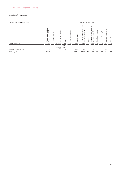| Property details as at 31.12.2021 |                                                            |                                 |                                        |               |                           |                                 | Overview of type of use                                                                                         |                          |                                                                      |                          |                          |                            |         |
|-----------------------------------|------------------------------------------------------------|---------------------------------|----------------------------------------|---------------|---------------------------|---------------------------------|-----------------------------------------------------------------------------------------------------------------|--------------------------|----------------------------------------------------------------------|--------------------------|--------------------------|----------------------------|---------|
|                                   | land<br>TCHF<br>and<br>income<br>rental<br>Target<br>lease | వ్<br>ate<br>ਠ<br><b>G</b><br>Ŝ | status<br>rship<br>$\omega$<br>C       | Built         | noita<br>ren<br>৳<br>Year | $\sim$<br>ε<br>rea<br>ω<br>Site | its,<br>ercial<br>arking<br>ε<br>ε<br>$\Omega$<br>$\circ$<br>ರಾ<br>din<br>$\tilde{\mathbf{r}}$<br>Total<br>excl | న<br>Retail              | ctice<br>ō<br>효<br>medical<br>వ్<br>etc.<br>S<br>premise<br>Offices, | omy<br>Hotel/gastron     | %<br>pa<br>Ξ<br>Assisted | న<br>facilities<br>Storage | Other % |
| Zurich, Talacker 21, 23           | 2971                                                       | 1.6                             | sole ownership                         | 1965<br>1942/ | 2008                      | 1720                            | 4904                                                                                                            | 9.6                      | 64.2                                                                 | $\overline{\phantom{0}}$ | $\overline{\phantom{0}}$ | 26.2                       |         |
| Zurich, Vulkanstrasse 126         | 172                                                        | $\qquad \qquad -$               | sole ownership<br>bought<br>23.04.2021 | 1972/<br>1979 |                           | 4298                            | 2273                                                                                                            | $\overline{\phantom{0}}$ | 17.1                                                                 | $\qquad \qquad -$        | $\overline{\phantom{0}}$ | 82.9                       |         |
| <b>Total properties</b>           | 452821                                                     | 4.5                             |                                        |               |                           | 1133414                         | 1623298                                                                                                         | 17.7                     | 41.9                                                                 | 7.0                      | 7.9                      | 22.4                       | 3.1     |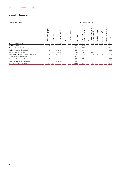## **Undeveloped properties**

| Property details as at 31.12.2021        |                                                     |                             |                       |       |                         |                                        |                                                          |             | Overview of type of use                                             |                  |                      |                                   |         |
|------------------------------------------|-----------------------------------------------------|-----------------------------|-----------------------|-------|-------------------------|----------------------------------------|----------------------------------------------------------|-------------|---------------------------------------------------------------------|------------------|----------------------|-----------------------------------|---------|
|                                          | and land<br>incomeTCHF<br>rental<br>Target<br>lease | ৯<br>ate<br>cancy<br>ā<br>⋝ | status<br>ership<br>O | Built | renovation<br>đ<br>Year | $\widetilde{\text{E}}$<br>area<br>Site | nits,<br>commercia<br>parking<br>excluding<br>Total $m2$ | న<br>Retail | practice<br>medical<br>న<br>etc.<br>$\omega$<br>premise<br>Offices, | Hotel/gastronomy | ৯<br>Assisted living | $\%$<br>facilities<br>rage<br>Sto | Other % |
| Augst, Rheinstrasse 54                   | 106                                                 | $\overline{\phantom{0}}$    | sole ownership        |       |                         | 10958                                  |                                                          |             |                                                                     |                  |                      |                                   | 100.0   |
| Dietikon, Bodacher                       | 15                                                  |                             | sole ownership        |       |                         | 13615                                  | 1375                                                     |             |                                                                     |                  |                      |                                   | 100.0   |
| Dietikon, Bodacher/Im Maienweg           |                                                     |                             | sole ownership        |       |                         | 4249                                   | 4240                                                     |             |                                                                     |                  |                      |                                   | 100.0   |
| Dietikon, Bodacher/Ziegelägerten         | 10                                                  |                             | sole ownership        |       |                         | 3825                                   | 4324                                                     |             |                                                                     |                  |                      |                                   | 100.0   |
| Meyrin, Route de Pré-Bois                | 33                                                  | 48.3                        | sole ownership        |       |                         | 10183                                  | 372                                                      | -           | 79.0                                                                |                  |                      |                                   | 21.0    |
| Niederwangen b. Bern, Riedmoosstrasse 10 |                                                     |                             | sole ownership        |       |                         | 5895                                   |                                                          |             |                                                                     |                  |                      |                                   |         |
| Oberbüren, Buchental/parking             | 29                                                  |                             | sole ownership        |       |                         | 1825                                   |                                                          |             |                                                                     |                  |                      |                                   |         |
| Spreitenbach, Joosäcker 7                | 37                                                  |                             | sole ownership        |       |                         | 16256                                  | 7759                                                     |             |                                                                     |                  |                      |                                   | 100.0   |
| Wangen b. Olten, Rickenbacherfeld        |                                                     |                             | sole ownership        |       |                         | 11 197                                 |                                                          |             |                                                                     |                  |                      |                                   |         |
| Total undeveloped properties             | 230                                                 | 6.9                         |                       |       |                         | 78003                                  | 18071                                                    |             | 1.6                                                                 |                  |                      |                                   | 98.4    |